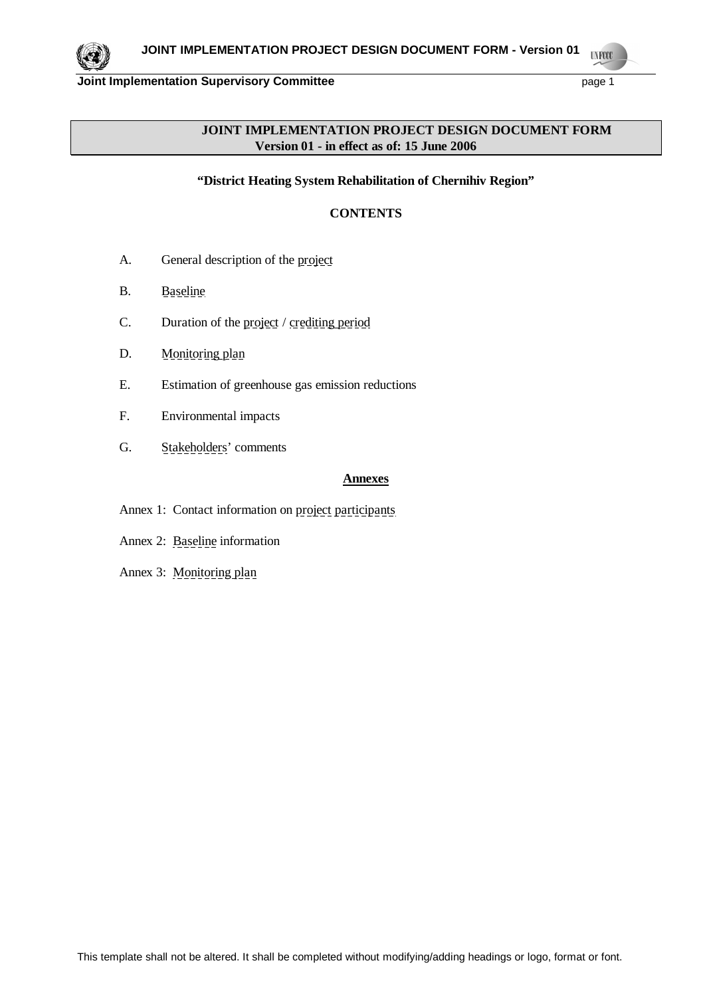

# **JOINT IMPLEMENTATION PROJECT DESIGN DOCUMENT FORM Version 01 - in effect as of: 15 June 2006**

**"District Heating System Rehabilitation of Chernihiv Region"**

# **CONTENTS**

- A. General description of the project
- B. Baseline
- C. Duration of the project / crediting period
- D. Monitoring plan
- E. Estimation of greenhouse gas emission reductions
- F. Environmental impacts
- G. Stakeholders' comments

### **Annexes**

- Annex 1: Contact information on project participants
- Annex 2: Baseline information
- Annex 3: Monitoring plan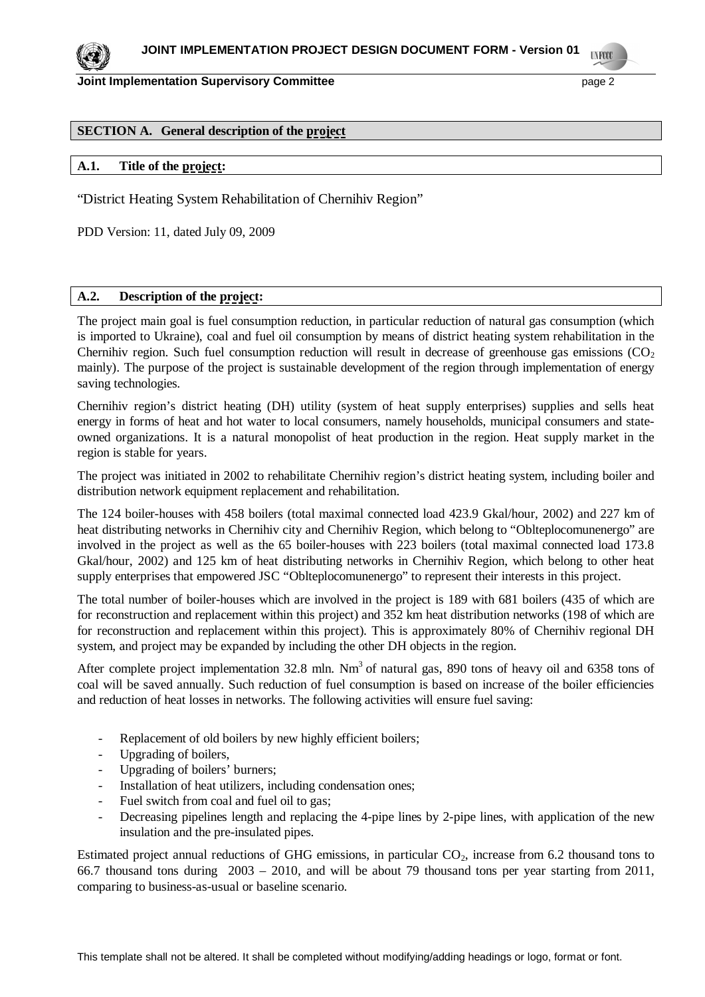## **SECTION A. General description of the project**

### **A.1. Title of the project:**

"District Heating System Rehabilitation of Chernihiv Region"

PDD Version: 11, dated July 09, 2009

### **A.2. Description of the project:**

The project main goal is fuel consumption reduction, in particular reduction of natural gas consumption (which is imported to Ukraine), coal and fuel oil consumption by means of district heating system rehabilitation in the Chernihiv region. Such fuel consumption reduction will result in decrease of greenhouse gas emissions  $(CO<sub>2</sub>)$ mainly). The purpose of the project is sustainable development of the region through implementation of energy saving technologies.

Chernihiv region's district heating (DH) utility (system of heat supply enterprises) supplies and sells heat energy in forms of heat and hot water to local consumers, namely households, municipal consumers and stateowned organizations. It is a natural monopolist of heat production in the region. Heat supply market in the region is stable for years.

The project was initiated in 2002 to rehabilitate Chernihiv region's district heating system, including boiler and distribution network equipment replacement and rehabilitation.

The 124 boiler-houses with 458 boilers (total maximal connected load 423.9 Gkal/hour, 2002) and 227 km of heat distributing networks in Chernihiv city and Chernihiv Region, which belong to "Oblteplocomunenergo" are involved in the project as well as the 65 boiler-houses with 223 boilers (total maximal connected load 173.8 Gkal/hour, 2002) and 125 km of heat distributing networks in Chernihiv Region, which belong to other heat supply enterprises that empowered JSC "Oblteplocomunenergo" to represent their interests in this project.

The total number of boiler-houses which are involved in the project is 189 with 681 boilers (435 of which are for reconstruction and replacement within this project) and 352 km heat distribution networks (198 of which are for reconstruction and replacement within this project). This is approximately 80% of Chernihiv regional DH system, and project may be expanded by including the other DH objects in the region.

After complete project implementation 32.8 mln.  $Nm<sup>3</sup>$  of natural gas, 890 tons of heavy oil and 6358 tons of coal will be saved annually. Such reduction of fuel consumption is based on increase of the boiler efficiencies and reduction of heat losses in networks. The following activities will ensure fuel saving:

- Replacement of old boilers by new highly efficient boilers;
- Upgrading of boilers,
- Upgrading of boilers' burners;
- Installation of heat utilizers, including condensation ones;
- Fuel switch from coal and fuel oil to gas;
- Decreasing pipelines length and replacing the 4-pipe lines by 2-pipe lines, with application of the new insulation and the pre-insulated pipes.

Estimated project annual reductions of GHG emissions, in particular  $CO<sub>2</sub>$ , increase from 6.2 thousand tons to 66.7 thousand tons during 2003 – 2010, and will be about 79 thousand tons per year starting from 2011, comparing to business-as-usual or baseline scenario.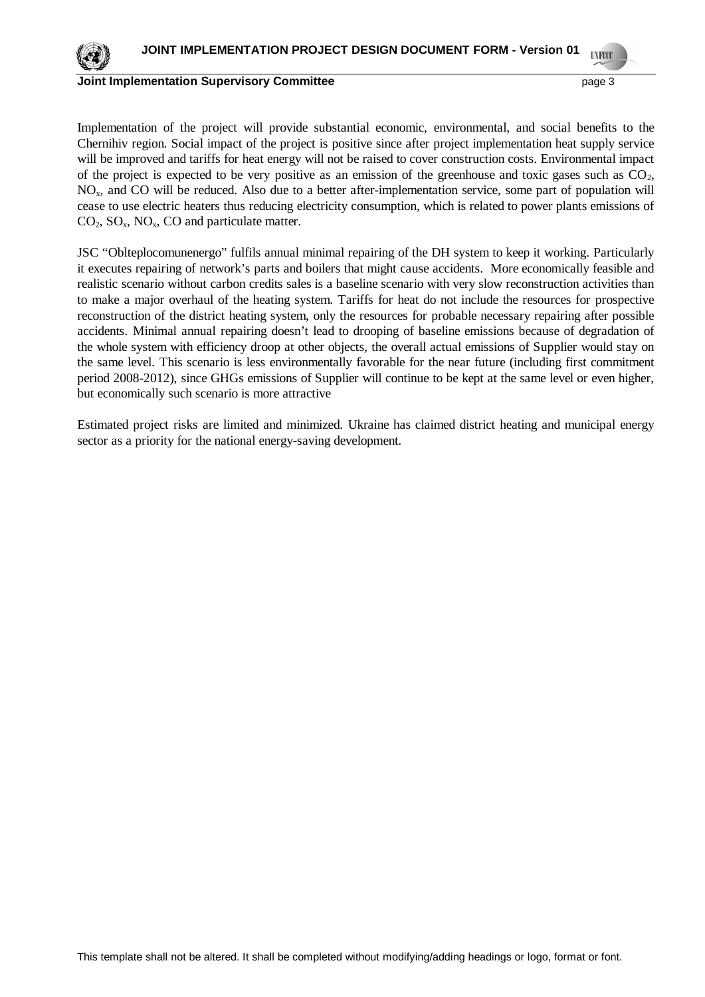

#### **Joint Implementation Supervisory Committee** *page 3* **and the page 3**

Implementation of the project will provide substantial economic, environmental, and social benefits to the Chernihiv region. Social impact of the project is positive since after project implementation heat supply service will be improved and tariffs for heat energy will not be raised to cover construction costs. Environmental impact of the project is expected to be very positive as an emission of the greenhouse and toxic gases such as  $CO<sub>2</sub>$ , NOx, and CO will be reduced. Also due to a better after-implementation service, some part of population will cease to use electric heaters thus reducing electricity consumption, which is related to power plants emissions of  $CO<sub>2</sub>$ ,  $SO<sub>x</sub>$ ,  $NO<sub>x</sub>$ ,  $CO$  and particulate matter.

JSC "Oblteplocomunenergo" fulfils annual minimal repairing of the DH system to keep it working. Particularly it executes repairing of network's parts and boilers that might cause accidents. More economically feasible and realistic scenario without carbon credits sales is a baseline scenario with very slow reconstruction activities than to make a major overhaul of the heating system. Tariffs for heat do not include the resources for prospective reconstruction of the district heating system, only the resources for probable necessary repairing after possible accidents. Minimal annual repairing doesn't lead to drooping of baseline emissions because of degradation of the whole system with efficiency droop at other objects, the overall actual emissions of Supplier would stay on the same level. This scenario is less environmentally favorable for the near future (including first commitment period 2008-2012), since GHGs emissions of Supplier will continue to be kept at the same level or even higher, but economically such scenario is more attractive

Estimated project risks are limited and minimized. Ukraine has claimed district heating and municipal energy sector as a priority for the national energy-saving development.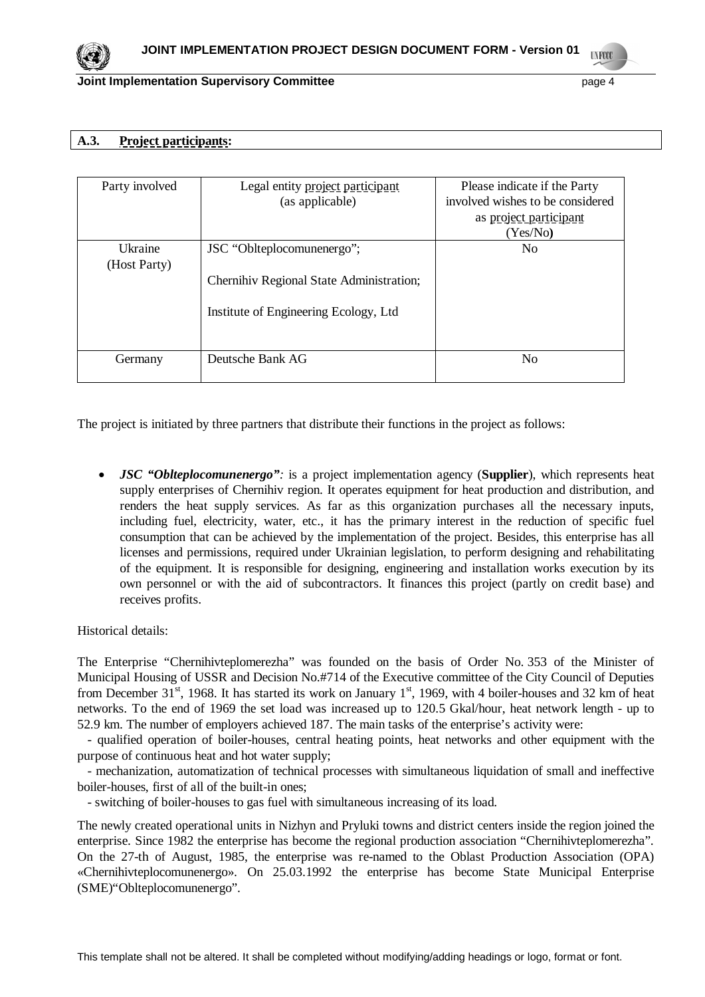

# **A.3. Project participants:**

| Party involved          | Legal entity project participant<br>(as applicable)                                                             | Please indicate if the Party<br>involved wishes to be considered<br>as project participant<br>(Yes/No) |
|-------------------------|-----------------------------------------------------------------------------------------------------------------|--------------------------------------------------------------------------------------------------------|
| Ukraine<br>(Host Party) | JSC "Oblteplocomunenergo";<br>Chernihiv Regional State Administration;<br>Institute of Engineering Ecology, Ltd | No                                                                                                     |
| Germany                 | Deutsche Bank AG                                                                                                | No                                                                                                     |

The project is initiated by three partners that distribute their functions in the project as follows:

x *JSC "Oblteplocomunenergo":* is a project implementation agency (**Supplier**), which represents heat supply enterprises of Chernihiv region. It operates equipment for heat production and distribution, and renders the heat supply services. As far as this organization purchases all the necessary inputs, including fuel, electricity, water, etc., it has the primary interest in the reduction of specific fuel consumption that can be achieved by the implementation of the project. Besides, this enterprise has all licenses and permissions, required under Ukrainian legislation, to perform designing and rehabilitating of the equipment. It is responsible for designing, engineering and installation works execution by its own personnel or with the aid of subcontractors. It finances this project (partly on credit base) and receives profits.

Historical details:

The Enterprise "Chernihivteplomerezha" was founded on the basis of Order No. 353 of the Minister of Municipal Housing of USSR and Decision No.#714 of the Executive committee of the City Council of Deputies from December 31<sup>st</sup>, 1968. It has started its work on January 1<sup>st</sup>, 1969, with 4 boiler-houses and 32 km of heat networks. To the end of 1969 the set load was increased up to 120.5 Gkal/hour, heat network length - up to 52.9 km. The number of employers achieved 187. The main tasks of the enterprise's activity were:

 - qualified operation of boiler-houses, central heating points, heat networks and other equipment with the purpose of continuous heat and hot water supply;

 - mechanization, automatization of technical processes with simultaneous liquidation of small and ineffective boiler-houses, first of all of the built-in ones;

- switching of boiler-houses to gas fuel with simultaneous increasing of its load.

The newly created operational units in Nizhyn and Pryluki towns and district centers inside the region joined the enterprise. Since 1982 the enterprise has become the regional production association "Chernihivteplomerezha". On the 27-th of August, 1985, the enterprise was re-named to the Oblast Production Association (OPA) «Chernihivteplocomunenergo». On 25.03.1992 the enterprise has become State Municipal Enterprise (SME)"Oblteplocomunenergo".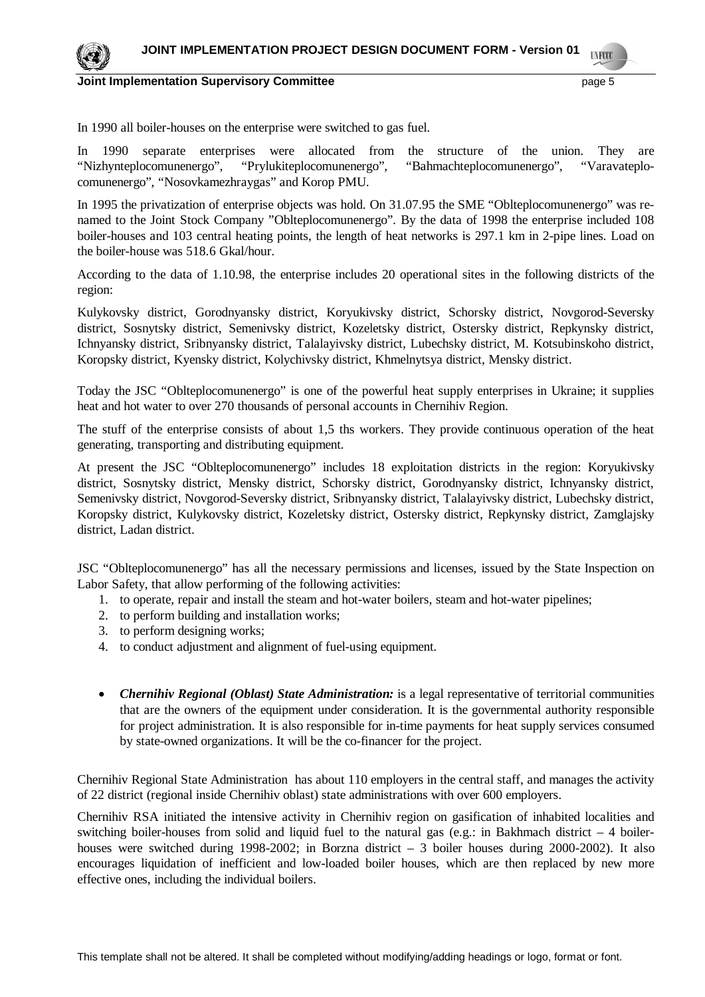

In 1990 all boiler-houses on the enterprise were switched to gas fuel.

In 1990 separate enterprises were allocated from the structure of the union. They are "Nizhynteplocomunenergo", "Prylukiteplocomunenergo", "Bahmachteplocomunenergo", "Varavateplocomunenergo", "Nosovkamezhraygas" and Korop PMU.

In 1995 the privatization of enterprise objects was hold. On 31.07.95 the SME "Oblteplocomunenergo" was renamed to the Joint Stock Company "Oblteplocomunenergo". By the data of 1998 the enterprise included 108 boiler-houses and 103 central heating points, the length of heat networks is 297.1 km in 2-pipe lines. Load on the boiler-house was 518.6 Gkal/hour.

According to the data of 1.10.98, the enterprise includes 20 operational sites in the following districts of the region:

Kulykovsky district, Gorodnyansky district, Koryukivsky district, Schorsky district, Novgorod-Seversky district, Sosnytsky district, Semenivsky district, Kozeletsky district, Ostersky district, Repkynsky district, Ichnyansky district, Sribnyansky district, Talalayivsky district, Lubechsky district, M. Kotsubinskoho district, Koropsky district, Kyensky district, Kolychivsky district, Khmelnytsya district, Mensky district.

Today the JSC "Oblteplocomunenergo" is one of the powerful heat supply enterprises in Ukraine; it supplies heat and hot water to over 270 thousands of personal accounts in Chernihiv Region.

The stuff of the enterprise consists of about 1,5 ths workers. They provide continuous operation of the heat generating, transporting and distributing equipment.

At present the JSC "Oblteplocomunenergo" includes 18 exploitation districts in the region: Koryukivsky district, Sosnytsky district, Mensky district, Schorsky district, Gorodnyansky district, Ichnyansky district, Semenivsky district, Novgorod-Seversky district, Sribnyansky district, Talalayivsky district, Lubechsky district, Koropsky district, Kulykovsky district, Kozeletsky district, Ostersky district, Repkynsky district, Zamglajsky district, Ladan district.

JSC "Oblteplocomunenergo" has all the necessary permissions and licenses, issued by the State Inspection on Labor Safety, that allow performing of the following activities:

- 1. to operate, repair and install the steam and hot-water boilers, steam and hot-water pipelines;
- 2. to perform building and installation works;
- 3. to perform designing works;
- 4. to conduct adjustment and alignment of fuel-using equipment.
- *Chernihiv Regional (Oblast) State Administration:* is a legal representative of territorial communities that are the owners of the equipment under consideration. It is the governmental authority responsible for project administration. It is also responsible for in-time payments for heat supply services consumed by state-owned organizations. It will be the co-financer for the project.

Chernihiv Regional State Administration has about 110 employers in the central staff, and manages the activity of 22 district (regional inside Chernihiv oblast) state administrations with over 600 employers.

Chernihiv RSA initiated the intensive activity in Chernihiv region on gasification of inhabited localities and switching boiler-houses from solid and liquid fuel to the natural gas (e.g.: in Bakhmach district  $-4$  boilerhouses were switched during 1998-2002; in Borzna district – 3 boiler houses during 2000-2002). It also encourages liquidation of inefficient and low-loaded boiler houses, which are then replaced by new more effective ones, including the individual boilers.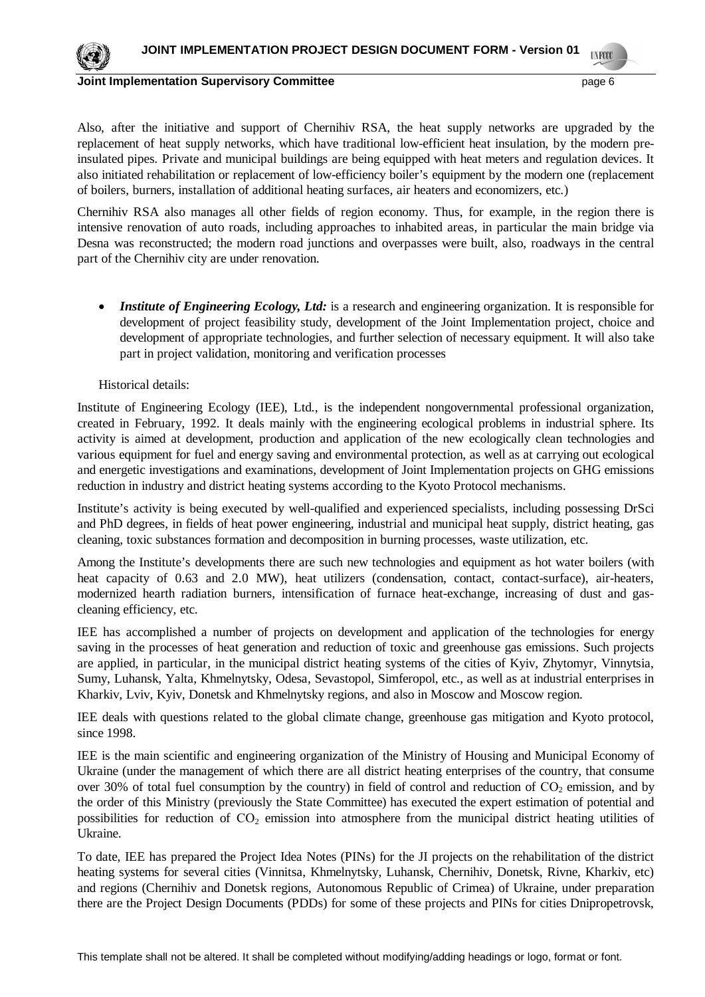

Also, after the initiative and support of Chernihiv RSA, the heat supply networks are upgraded by the replacement of heat supply networks, which have traditional low-efficient heat insulation, by the modern preinsulated pipes. Private and municipal buildings are being equipped with heat meters and regulation devices. It also initiated rehabilitation or replacement of low-efficiency boiler's equipment by the modern one (replacement of boilers, burners, installation of additional heating surfaces, air heaters and economizers, etc.)

Chernihiv RSA also manages all other fields of region economy. Thus, for example, in the region there is intensive renovation of auto roads, including approaches to inhabited areas, in particular the main bridge via Desna was reconstructed; the modern road junctions and overpasses were built, also, roadways in the central part of the Chernihiv city are under renovation.

• *Institute of Engineering Ecology, Ltd:* is a research and engineering organization. It is responsible for development of project feasibility study, development of the Joint Implementation project, choice and development of appropriate technologies, and further selection of necessary equipment. It will also take part in project validation, monitoring and verification processes

Historical details:

Institute of Engineering Ecology (IEE), Ltd., is the independent nongovernmental professional organization, created in February, 1992. It deals mainly with the engineering ecological problems in industrial sphere. Its activity is aimed at development, production and application of the new ecologically clean technologies and various equipment for fuel and energy saving and environmental protection, as well as at carrying out ecological and energetic investigations and examinations, development of Joint Implementation projects on GHG emissions reduction in industry and district heating systems according to the Kyoto Protocol mechanisms.

Institute's activity is being executed by well-qualified and experienced specialists, including possessing DrSci and PhD degrees, in fields of heat power engineering, industrial and municipal heat supply, district heating, gas cleaning, toxic substances formation and decomposition in burning processes, waste utilization, etc.

Among the Institute's developments there are such new technologies and equipment as hot water boilers (with heat capacity of 0.63 and 2.0 MW), heat utilizers (condensation, contact, contact-surface), air-heaters, modernized hearth radiation burners, intensification of furnace heat-exchange, increasing of dust and gascleaning efficiency, etc.

IEE has accomplished a number of projects on development and application of the technologies for energy saving in the processes of heat generation and reduction of toxic and greenhouse gas emissions. Such projects are applied, in particular, in the municipal district heating systems of the cities of Kyiv, Zhytomyr, Vinnytsia, Sumy, Luhansk, Yalta, Khmelnytsky, Odesa, Sevastopol, Simferopol, etc., as well as at industrial enterprises in Kharkiv, Lviv, Kyiv, Donetsk and Khmelnytsky regions, and also in Moscow and Moscow region.

IEE deals with questions related to the global climate change, greenhouse gas mitigation and Kyoto protocol, since 1998.

IEE is the main scientific and engineering organization of the Ministry of Housing and Municipal Economy of Ukraine (under the management of which there are all district heating enterprises of the country, that consume over 30% of total fuel consumption by the country) in field of control and reduction of  $CO<sub>2</sub>$  emission, and by the order of this Ministry (previously the State Committee) has executed the expert estimation of potential and possibilities for reduction of  $CO<sub>2</sub>$  emission into atmosphere from the municipal district heating utilities of Ukraine.

To date, IEE has prepared the Project Idea Notes (PINs) for the JI projects on the rehabilitation of the district heating systems for several cities (Vinnitsa, Khmelnytsky, Luhansk, Chernihiv, Donetsk, Rivne, Kharkiv, etc) and regions (Chernihiv and Donetsk regions, Autonomous Republic of Crimea) of Ukraine, under preparation there are the Project Design Documents (PDDs) for some of these projects and PINs for cities Dnipropetrovsk,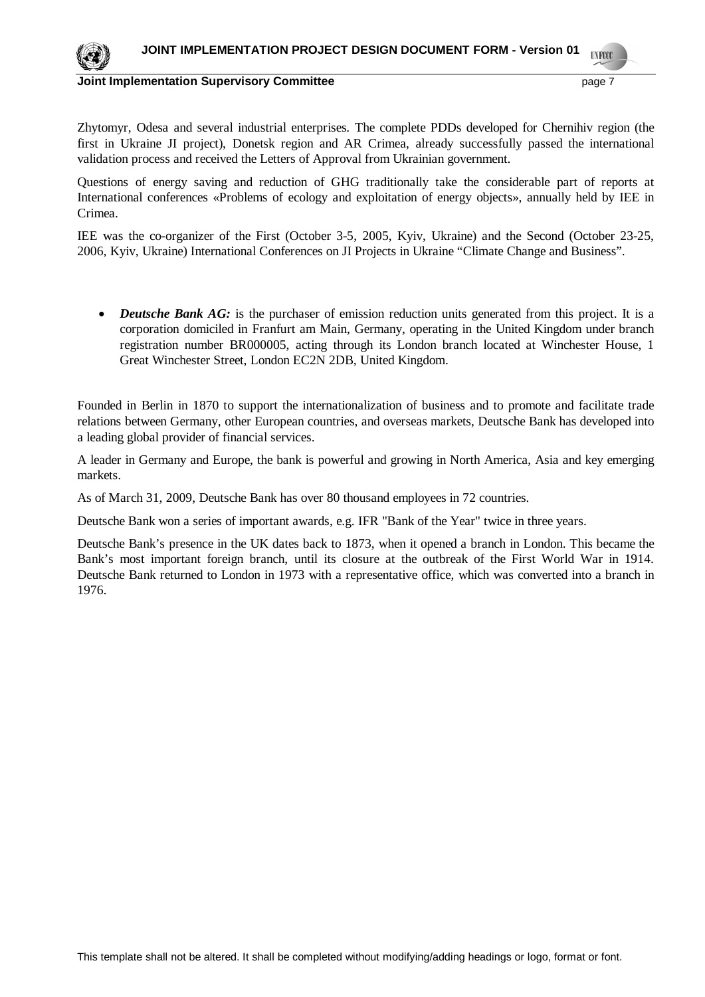

**Joint Implementation Supervisory Committee** *page 7* **and the page 7** 

Zhytomyr, Odesa and several industrial enterprises. The complete PDDs developed for Chernihiv region (the first in Ukraine JI project), Donetsk region and AR Crimea, already successfully passed the international validation process and received the Letters of Approval from Ukrainian government.

Questions of energy saving and reduction of GHG traditionally take the considerable part of reports at International conferences «Problems of ecology and exploitation of energy objects», annually held by IEE in Crimea.

IEE was the co-organizer of the First (October 3-5, 2005, Kyiv, Ukraine) and the Second (October 23-25, 2006, Kyiv, Ukraine) International Conferences on JI Projects in Ukraine "Climate Change and Business".

• *Deutsche Bank AG*: is the purchaser of emission reduction units generated from this project. It is a corporation domiciled in Franfurt am Main, Germany, operating in the United Kingdom under branch registration number BR000005, acting through its London branch located at Winchester House, 1 Great Winchester Street, London EC2N 2DB, United Kingdom.

Founded in Berlin in 1870 to support the internationalization of business and to promote and facilitate trade relations between Germany, other European countries, and overseas markets, Deutsche Bank has developed into a leading global provider of financial services.

A leader in Germany and Europe, the bank is powerful and growing in North America, Asia and key emerging markets.

As of March 31, 2009, Deutsche Bank has over 80 thousand employees in 72 countries.

Deutsche Bank won a series of important awards, e.g. IFR "Bank of the Year" twice in three years.

Deutsche Bank's presence in the UK dates back to 1873, when it opened a branch in London. This became the Bank's most important foreign branch, until its closure at the outbreak of the First World War in 1914. Deutsche Bank returned to London in 1973 with a representative office, which was converted into a branch in 1976.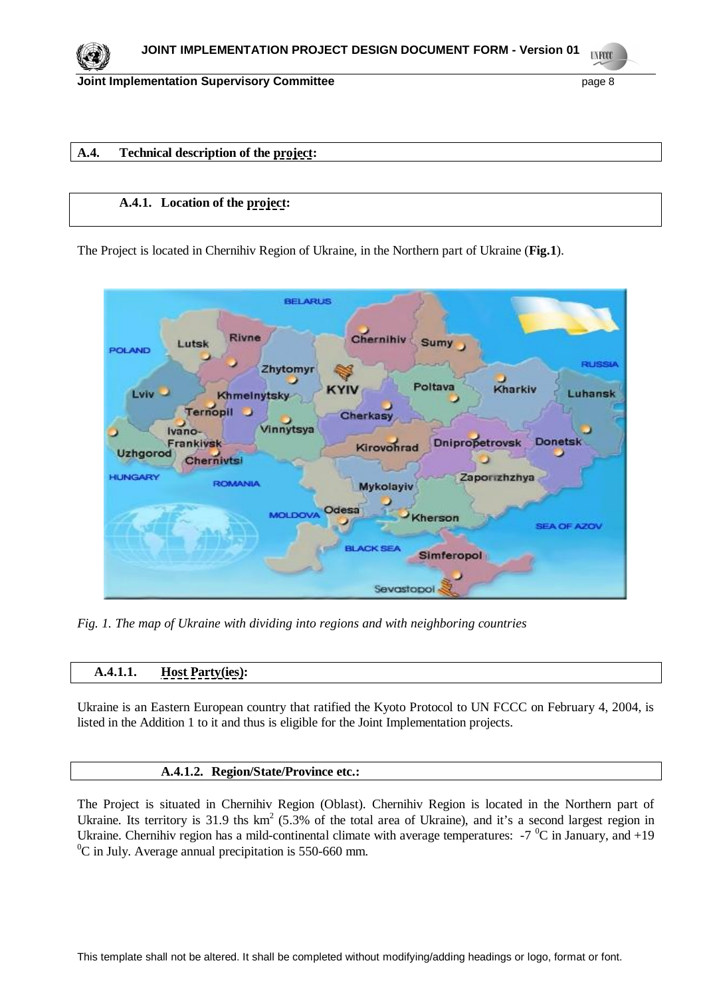

# **A.4. Technical description of the project:**

# **A.4.1. Location of the project:**

The Project is located in Chernihiv Region of Ukraine, in the Northern part of Ukraine (**Fig.1**).



*Fig. 1. The map of Ukraine with dividing into regions and with neighboring countries*

# **A.4.1.1. Host Party(ies):**

Ukraine is an Eastern European country that ratified the Kyoto Protocol to UN FCCC on February 4, 2004, is listed in the Addition 1 to it and thus is eligible for the Joint Implementation projects.

## **A.4.1.2. Region/State/Province etc.:**

The Project is situated in Chernihiv Region (Oblast). Chernihiv Region is located in the Northern part of Ukraine. Its territory is 31.9 ths  $km^2$  (5.3% of the total area of Ukraine), and it's a second largest region in Ukraine. Chernihiv region has a mild-continental climate with average temperatures:  $-7\degree$ C in January, and  $+19$  ${}^{0}C$  in July. Average annual precipitation is 550-660 mm.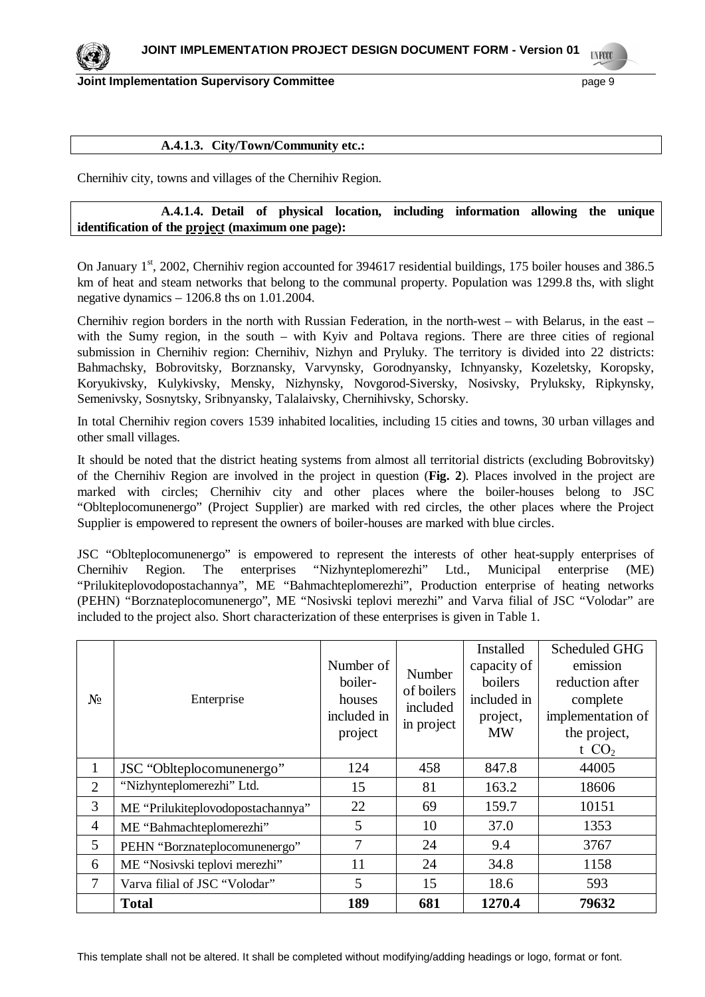

### **A.4.1.3. City/Town/Community etc.:**

Chernihiv city, towns and villages of the Chernihiv Region.

# **A.4.1.4. Detail of physical location, including information allowing the unique identification of the project (maximum one page):**

On January  $1^{st}$ , 2002, Chernihiv region accounted for 394617 residential buildings, 175 boiler houses and 386.5 km of heat and steam networks that belong to the communal property. Population was 1299.8 ths, with slight negative dynamics – 1206.8 ths on 1.01.2004.

Chernihiv region borders in the north with Russian Federation, in the north-west – with Belarus, in the east – with the Sumy region, in the south – with Kyiv and Poltava regions. There are three cities of regional submission in Chernihiv region: Chernihiv, Nizhyn and Pryluky. The territory is divided into 22 districts: Bahmachsky, Bobrovitsky, Borznansky, Varvynsky, Gorodnyansky, Ichnyansky, Kozeletsky, Koropsky, Koryukivsky, Kulykivsky, Mensky, Nizhynsky, Novgorod-Siversky, Nosivsky, Pryluksky, Ripkynsky, Semenivsky, Sosnytsky, Sribnyansky, Talalaivsky, Chernihivsky, Schorsky.

In total Chernihiv region covers 1539 inhabited localities, including 15 cities and towns, 30 urban villages and other small villages.

It should be noted that the district heating systems from almost all territorial districts (excluding Bobrovitsky) of the Chernihiv Region are involved in the project in question (**Fig. 2**). Places involved in the project are marked with circles; Chernihiv city and other places where the boiler-houses belong to JSC "Oblteplocomunenergo" (Project Supplier) are marked with red circles, the other places where the Project Supplier is empowered to represent the owners of boiler-houses are marked with blue circles.

JSC "Oblteplocomunenergo" is empowered to represent the interests of other heat-supply enterprises of Chernihiv Region. The enterprises "Nizhynteplomerezhi" Ltd., Municipal enterprise (ME) "Prilukiteplovodopostachannya", ME "Bahmachteplomerezhi", Production enterprise of heating networks (PEHN) "Borznateplocomunenergo", ME "Nosivski teplovi merezhi" and Varva filial of JSC "Volodar" are included to the project also. Short characterization of these enterprises is given in Table 1.

| $N_2$          | Enterprise                        | Number of<br>boiler-<br>houses<br>included in<br>project | Number<br>of boilers<br>included<br>in project | Installed<br>capacity of<br>boilers<br>included in<br>project,<br><b>MW</b> | <b>Scheduled GHG</b><br>emission<br>reduction after<br>complete<br>implementation of<br>the project,<br>t $CO2$ |
|----------------|-----------------------------------|----------------------------------------------------------|------------------------------------------------|-----------------------------------------------------------------------------|-----------------------------------------------------------------------------------------------------------------|
| $\mathbf{1}$   | JSC "Oblteplocomunenergo"         | 124                                                      | 458                                            | 847.8                                                                       | 44005                                                                                                           |
| 2              | "Nizhynteplomerezhi" Ltd.         | 15                                                       | 81                                             | 163.2                                                                       | 18606                                                                                                           |
| 3              | ME "Prilukiteplovodopostachannya" | 22                                                       | 69                                             | 159.7                                                                       | 10151                                                                                                           |
| $\overline{4}$ | ME "Bahmachteplomerezhi"          | 5                                                        | 10                                             | 37.0                                                                        | 1353                                                                                                            |
| 5              | PEHN "Borznateplocomunenergo"     | 7                                                        | 24                                             | 9.4                                                                         | 3767                                                                                                            |
| 6              | ME "Nosivski teplovi merezhi"     | 11                                                       | 24                                             | 34.8                                                                        | 1158                                                                                                            |
| 7              | Varva filial of JSC "Volodar"     | 5                                                        | 15                                             | 18.6                                                                        | 593                                                                                                             |
|                | <b>Total</b>                      | 189                                                      | 681                                            | 1270.4                                                                      | 79632                                                                                                           |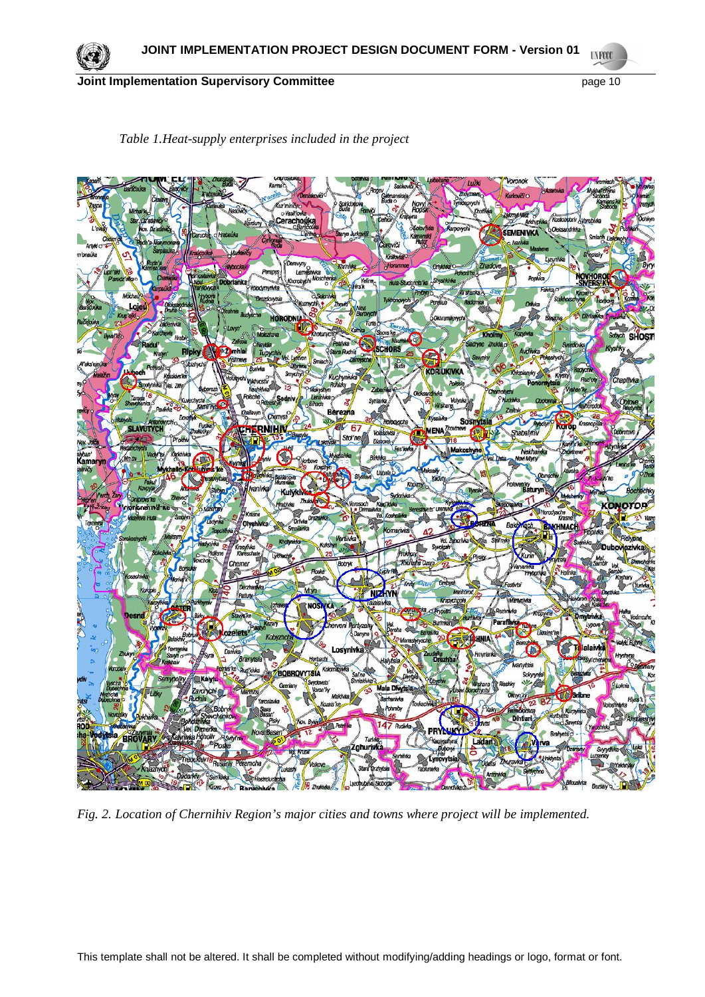

# *Table 1.Heat-supply enterprises included in the project*

*Fig. 2. Location of Chernihiv Region's major cities and towns where project will be implemented.*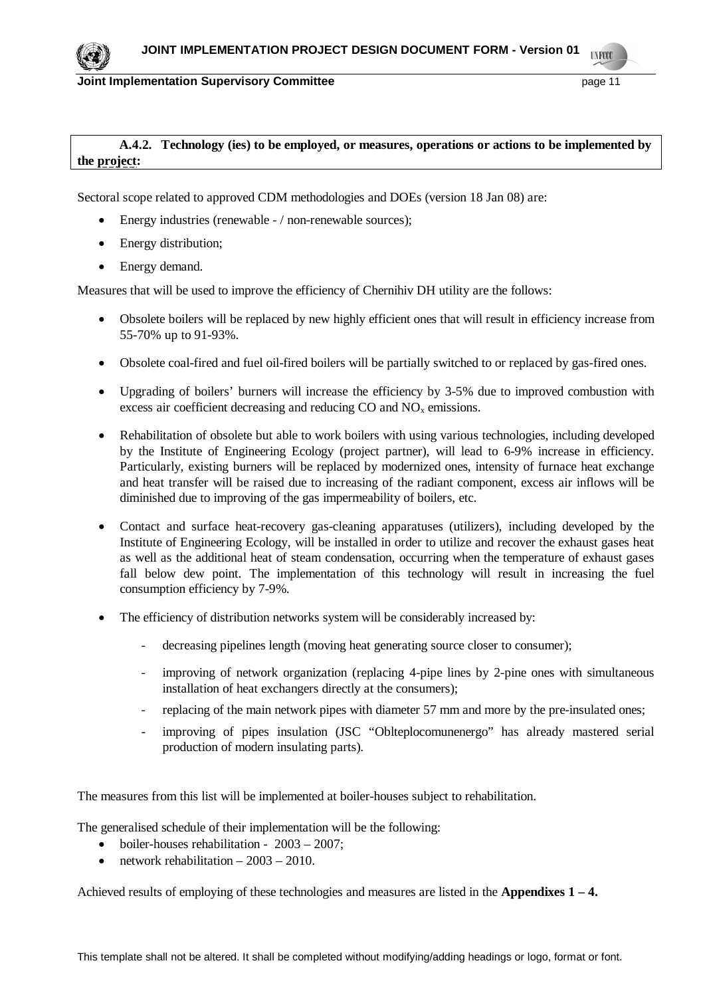

# **A.4.2. Technology (ies) to be employed, or measures, operations or actions to be implemented by the project:**

Sectoral scope related to approved CDM methodologies and DOEs (version 18 Jan 08) are:

- $\bullet$  Energy industries (renewable / non-renewable sources);
- $\bullet$  Energy distribution;
- Energy demand.

Measures that will be used to improve the efficiency of Chernihiv DH utility are the follows:

- Obsolete boilers will be replaced by new highly efficient ones that will result in efficiency increase from 55-70% up to 91-93%.
- Obsolete coal-fired and fuel oil-fired boilers will be partially switched to or replaced by gas-fired ones.
- Upgrading of boilers' burners will increase the efficiency by 3-5% due to improved combustion with excess air coefficient decreasing and reducing  $CO$  and  $NO<sub>x</sub>$  emissions.
- Rehabilitation of obsolete but able to work boilers with using various technologies, including developed by the Institute of Engineering Ecology (project partner), will lead to 6-9% increase in efficiency. Particularly, existing burners will be replaced by modernized ones, intensity of furnace heat exchange and heat transfer will be raised due to increasing of the radiant component, excess air inflows will be diminished due to improving of the gas impermeability of boilers, etc.
- Contact and surface heat-recovery gas-cleaning apparatuses (utilizers), including developed by the Institute of Engineering Ecology, will be installed in order to utilize and recover the exhaust gases heat as well as the additional heat of steam condensation, occurring when the temperature of exhaust gases fall below dew point. The implementation of this technology will result in increasing the fuel consumption efficiency by 7-9%.
- The efficiency of distribution networks system will be considerably increased by:
	- decreasing pipelines length (moving heat generating source closer to consumer);
	- improving of network organization (replacing 4-pipe lines by 2-pine ones with simultaneous installation of heat exchangers directly at the consumers);
	- replacing of the main network pipes with diameter 57 mm and more by the pre-insulated ones;
	- improving of pipes insulation (JSC "Oblteplocomunenergo" has already mastered serial production of modern insulating parts).

The measures from this list will be implemented at boiler-houses subject to rehabilitation.

The generalised schedule of their implementation will be the following:

- $\bullet$  boiler-houses rehabilitation 2003 2007;
- x network rehabilitation 2003 2010.

Achieved results of employing of these technologies and measures are listed in the **Appendixes 1 – 4.**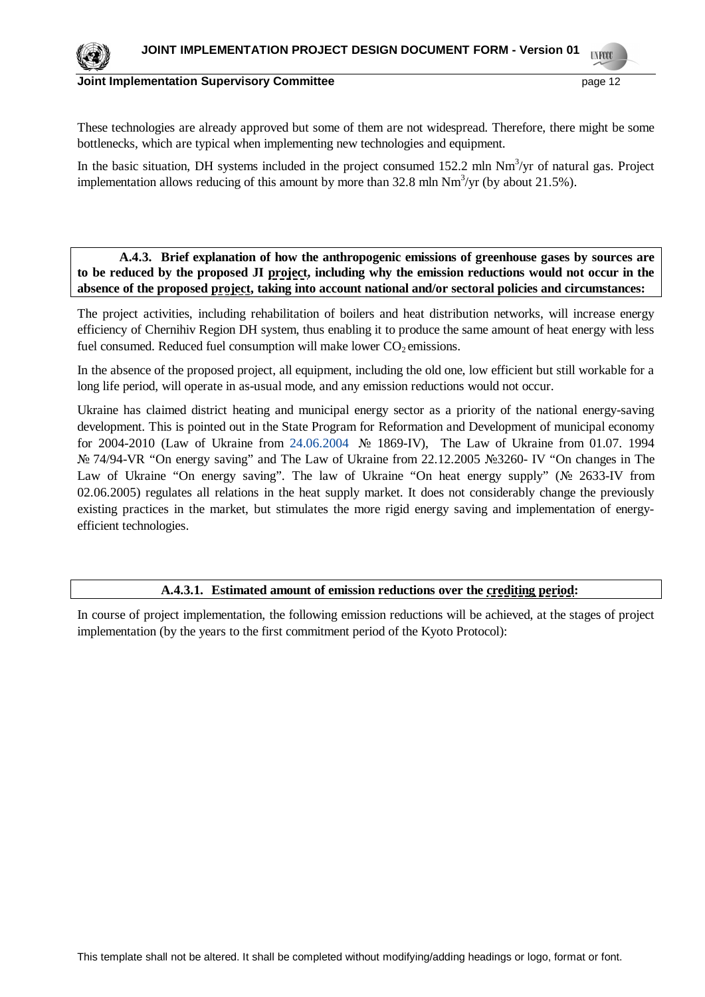#### **Joint Implementation Supervisory Committee page 12 page 12 page 12**

These technologies are already approved but some of them are not widespread. Therefore, there might be some bottlenecks, which are typical when implementing new technologies and equipment.

In the basic situation, DH systems included in the project consumed 152.2 mln Nm<sup>3</sup>/yr of natural gas. Project implementation allows reducing of this amount by more than  $32.8$  mln Nm<sup>3</sup>/yr (by about 21.5%).

# **A.4.3. Brief explanation of how the anthropogenic emissions of greenhouse gases by sources are to be reduced by the proposed JI project, including why the emission reductions would not occur in the absence of the proposed project, taking into account national and/or sectoral policies and circumstances:**

The project activities, including rehabilitation of boilers and heat distribution networks, will increase energy efficiency of Chernihiv Region DH system, thus enabling it to produce the same amount of heat energy with less fuel consumed. Reduced fuel consumption will make lower  $CO<sub>2</sub>$  emissions.

In the absence of the proposed project, all equipment, including the old one, low efficient but still workable for a long life period, will operate in as-usual mode, and any emission reductions would not occur.

Ukraine has claimed district heating and municipal energy sector as a priority of the national energy-saving development. This is pointed out in the State Program for Reformation and Development of municipal economy for 2004-2010 (Law of Ukraine from 24.06.2004  $\mathcal{N}_2$  1869-IV), The Law of Ukraine from 01.07. 1994 Nº 74/94-VR "On energy saving" and The Law of Ukraine from 22.12.2005 №3260- IV "On changes in The Law of Ukraine "On energy saving". The law of Ukraine "On heat energy supply" ( $\mathcal{N}$ <sup>o</sup> 2633-IV from 02.06.2005) regulates all relations in the heat supply market. It does not considerably change the previously existing practices in the market, but stimulates the more rigid energy saving and implementation of energyefficient technologies.

## **A.4.3.1. Estimated amount of emission reductions over the crediting period:**

In course of project implementation, the following emission reductions will be achieved, at the stages of project implementation (by the years to the first commitment period of the Kyoto Protocol):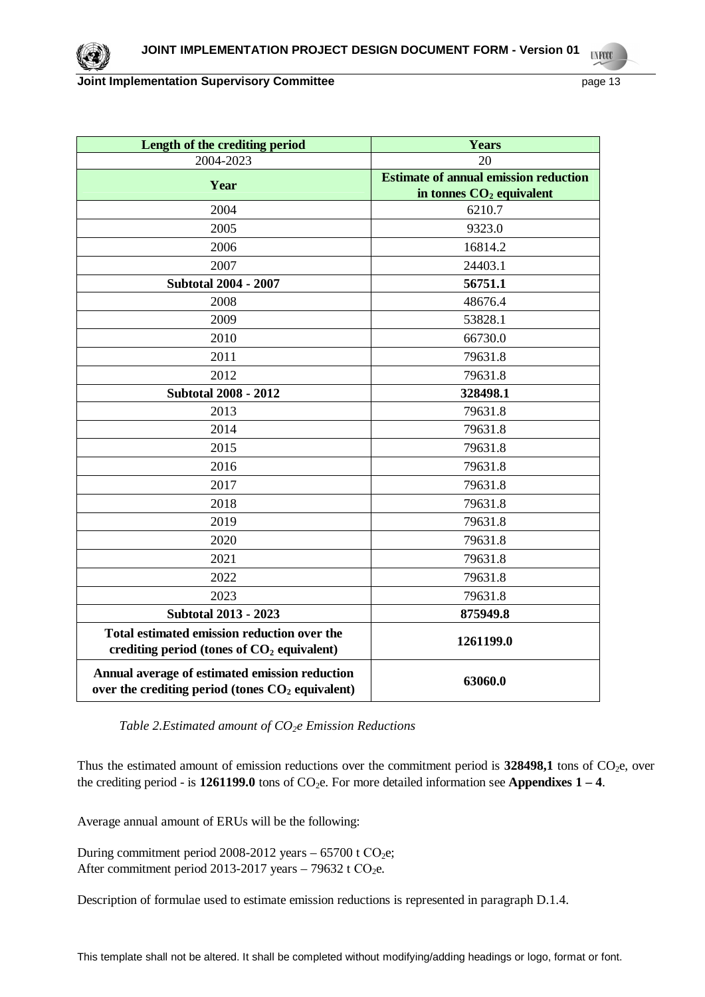| Length of the crediting period                                                                                 | Years                                        |  |  |
|----------------------------------------------------------------------------------------------------------------|----------------------------------------------|--|--|
| 2004-2023                                                                                                      | 20                                           |  |  |
| Year                                                                                                           | <b>Estimate of annual emission reduction</b> |  |  |
|                                                                                                                | in tonnes CO <sub>2</sub> equivalent         |  |  |
| 2004                                                                                                           | 6210.7                                       |  |  |
| 2005                                                                                                           | 9323.0                                       |  |  |
| 2006                                                                                                           | 16814.2                                      |  |  |
| 2007                                                                                                           | 24403.1                                      |  |  |
| <b>Subtotal 2004 - 2007</b>                                                                                    | 56751.1                                      |  |  |
| 2008                                                                                                           | 48676.4                                      |  |  |
| 2009                                                                                                           | 53828.1                                      |  |  |
| 2010                                                                                                           | 66730.0                                      |  |  |
| 2011                                                                                                           | 79631.8                                      |  |  |
| 2012                                                                                                           | 79631.8                                      |  |  |
| <b>Subtotal 2008 - 2012</b>                                                                                    | 328498.1                                     |  |  |
| 2013                                                                                                           | 79631.8                                      |  |  |
| 2014                                                                                                           | 79631.8                                      |  |  |
| 2015                                                                                                           | 79631.8                                      |  |  |
| 2016                                                                                                           | 79631.8                                      |  |  |
| 2017                                                                                                           | 79631.8                                      |  |  |
| 2018                                                                                                           | 79631.8                                      |  |  |
| 2019                                                                                                           | 79631.8                                      |  |  |
| 2020                                                                                                           | 79631.8                                      |  |  |
| 2021                                                                                                           | 79631.8                                      |  |  |
| 2022                                                                                                           | 79631.8                                      |  |  |
| 2023                                                                                                           | 79631.8                                      |  |  |
| <b>Subtotal 2013 - 2023</b>                                                                                    | 875949.8                                     |  |  |
| Total estimated emission reduction over the<br>crediting period (tones of $CO2$ equivalent)                    | 1261199.0                                    |  |  |
| Annual average of estimated emission reduction<br>over the crediting period (tones CO <sub>2</sub> equivalent) | 63060.0                                      |  |  |

*Table 2.Estimated amount of CO2e Emission Reductions*

Thus the estimated amount of emission reductions over the commitment period is  $328498,1$  tons of CO<sub>2</sub>e, over the crediting period - is  $1261199.0$  tons of  $CO_2e$ . For more detailed information see **Appendixes 1 – 4**.

Average annual amount of ERUs will be the following:

During commitment period 2008-2012 years –  $65700$  t  $CO<sub>2</sub>e$ ; After commitment period 2013-2017 years  $-79632$  t CO<sub>2</sub>e.

Description of formulae used to estimate emission reductions is represented in paragraph D.1.4.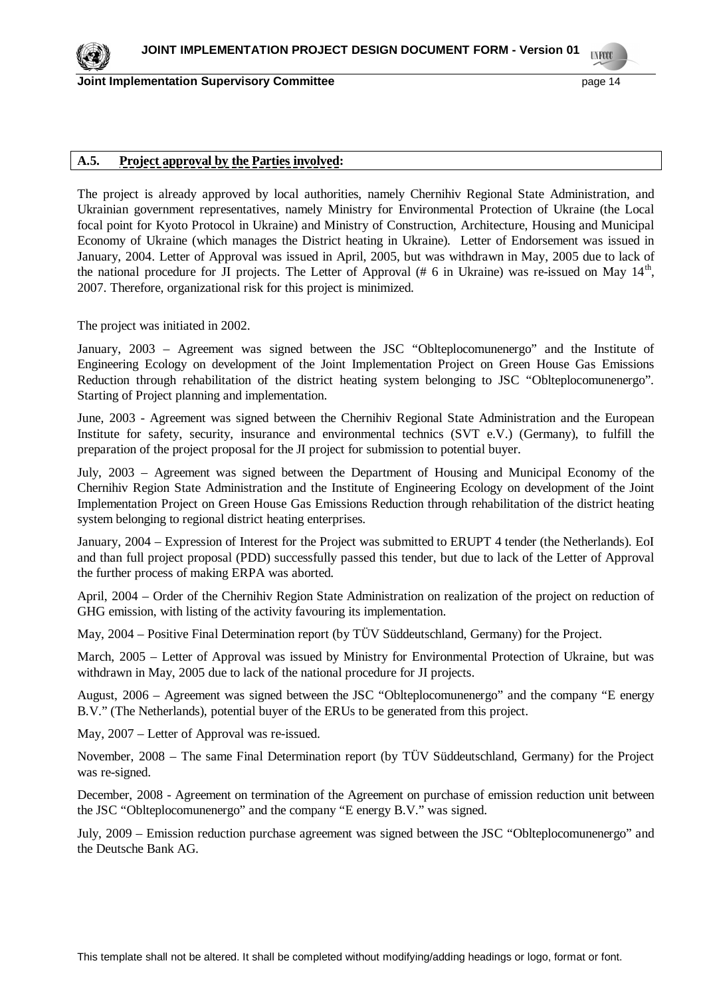**Joint Implementation Supervisory Committee page 14 page 14 page 14** 

# **A.5. Project approval by the Parties involved:**

The project is already approved by local authorities, namely Chernihiv Regional State Administration, and Ukrainian government representatives, namely Ministry for Environmental Protection of Ukraine (the Local focal point for Kyoto Protocol in Ukraine) and Ministry of Construction, Architecture, Housing and Municipal Economy of Ukraine (which manages the District heating in Ukraine). Letter of Endorsement was issued in January, 2004. Letter of Approval was issued in April, 2005, but was withdrawn in May, 2005 due to lack of the national procedure for JI projects. The Letter of Approval (# 6 in Ukraine) was re-issued on May  $14<sup>th</sup>$ , 2007. Therefore, organizational risk for this project is minimized.

The project was initiated in 2002.

January, 2003 – Agreement was signed between the JSC "Oblteplocomunenergo" and the Institute of Engineering Ecology on development of the Joint Implementation Project on Green House Gas Emissions Reduction through rehabilitation of the district heating system belonging to JSC "Oblteplocomunenergo". Starting of Project planning and implementation.

June, 2003 - Agreement was signed between the Chernihiv Regional State Administration and the European Institute for safety, security, insurance and environmental technics (SVT e.V.) (Germany), to fulfill the preparation of the project proposal for the JI project for submission to potential buyer.

July, 2003 – Agreement was signed between the Department of Housing and Municipal Economy of the Chernihiv Region State Administration and the Institute of Engineering Ecology on development of the Joint Implementation Project on Green House Gas Emissions Reduction through rehabilitation of the district heating system belonging to regional district heating enterprises.

January, 2004 – Expression of Interest for the Project was submitted to ERUPT 4 tender (the Netherlands). EoI and than full project proposal (PDD) successfully passed this tender, but due to lack of the Letter of Approval the further process of making ERPA was aborted.

April, 2004 – Order of the Chernihiv Region State Administration on realization of the project on reduction of GHG emission, with listing of the activity favouring its implementation.

May, 2004 – Positive Final Determination report (by TÜV Süddeutschland, Germany) for the Project.

March, 2005 – Letter of Approval was issued by Ministry for Environmental Protection of Ukraine, but was withdrawn in May, 2005 due to lack of the national procedure for JI projects.

August, 2006 – Agreement was signed between the JSC "Oblteplocomunenergo" and the company "E energy B.V." (The Netherlands), potential buyer of the ERUs to be generated from this project.

May, 2007 – Letter of Approval was re-issued.

November, 2008 – The same Final Determination report (by TÜV Süddeutschland, Germany) for the Project was re-signed.

December, 2008 - Agreement on termination of the Agreement on purchase of emission reduction unit between the JSC "Oblteplocomunenergo" and the company "E energy B.V." was signed.

July, 2009 – Emission reduction purchase agreement was signed between the JSC "Oblteplocomunenergo" and the Deutsche Bank AG.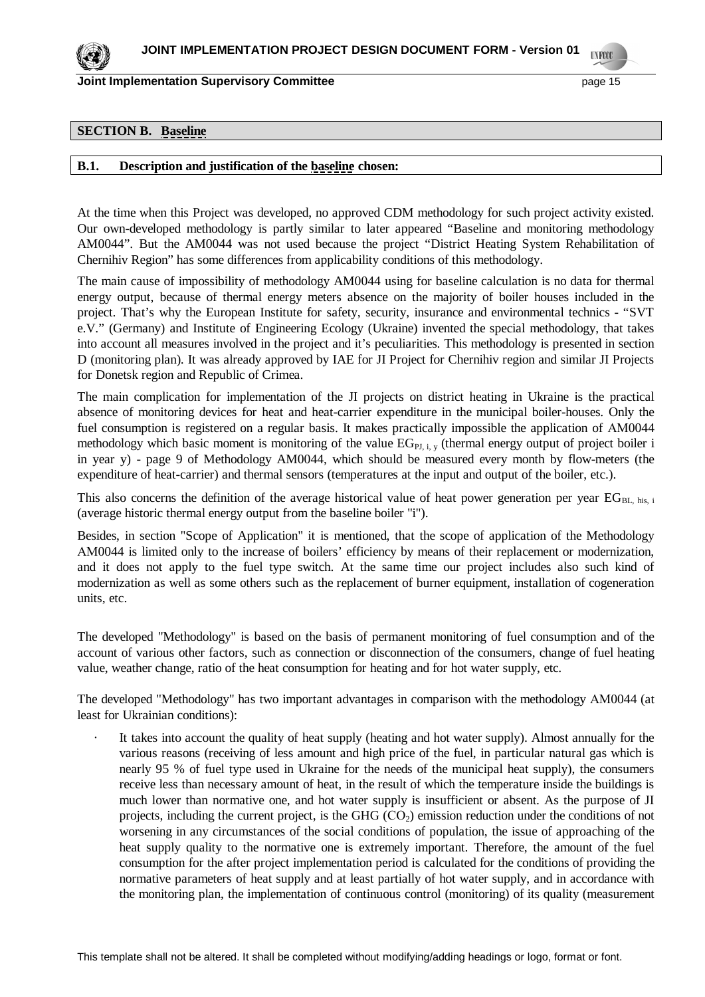

### **SECTION B. Baseline**

### **B.1. Description and justification of the baseline chosen:**

At the time when this Project was developed, no approved CDM methodology for such project activity existed. Our own-developed methodology is partly similar to later appeared "Baseline and monitoring methodology AM0044". But the AM0044 was not used because the project "District Heating System Rehabilitation of Chernihiv Region" has some differences from applicability conditions of this methodology.

The main cause of impossibility of methodology AM0044 using for baseline calculation is no data for thermal energy output, because of thermal energy meters absence on the majority of boiler houses included in the project. That's why the European Institute for safety, security, insurance and environmental technics - "SVT e.V." (Germany) and Institute of Engineering Ecology (Ukraine) invented the special methodology, that takes into account all measures involved in the project and it's peculiarities. This methodology is presented in section D (monitoring plan). It was already approved by IAE for JI Project for Chernihiv region and similar JI Projects for Donetsk region and Republic of Crimea.

The main complication for implementation of the JI projects on district heating in Ukraine is the practical absence of monitoring devices for heat and heat-carrier expenditure in the municipal boiler-houses. Only the fuel consumption is registered on a regular basis. It makes practically impossible the application of AM0044 methodology which basic moment is monitoring of the value  $EG_{PL,i,v}$  (thermal energy output of project boiler i in year y) - page 9 of Methodology AM0044, which should be measured every month by flow-meters (the expenditure of heat-carrier) and thermal sensors (temperatures at the input and output of the boiler, etc.).

This also concerns the definition of the average historical value of heat power generation per year  $EG_{BL, his, i}$ (average historic thermal energy output from the baseline boiler "i").

Besides, in section "Scope of Application" it is mentioned, that the scope of application of the Methodology AM0044 is limited only to the increase of boilers' efficiency by means of their replacement or modernization, and it does not apply to the fuel type switch. At the same time our project includes also such kind of modernization as well as some others such as the replacement of burner equipment, installation of cogeneration units, etc.

The developed "Methodology" is based on the basis of permanent monitoring of fuel consumption and of the account of various other factors, such as connection or disconnection of the consumers, change of fuel heating value, weather change, ratio of the heat consumption for heating and for hot water supply, etc.

The developed "Methodology" has two important advantages in comparison with the methodology AM0044 (at least for Ukrainian conditions):

It takes into account the quality of heat supply (heating and hot water supply). Almost annually for the various reasons (receiving of less amount and high price of the fuel, in particular natural gas which is nearly 95 % of fuel type used in Ukraine for the needs of the municipal heat supply), the consumers receive less than necessary amount of heat, in the result of which the temperature inside the buildings is much lower than normative one, and hot water supply is insufficient or absent. As the purpose of JI projects, including the current project, is the GHG  $(CO<sub>2</sub>)$  emission reduction under the conditions of not worsening in any circumstances of the social conditions of population, the issue of approaching of the heat supply quality to the normative one is extremely important. Therefore, the amount of the fuel consumption for the after project implementation period is calculated for the conditions of providing the normative parameters of heat supply and at least partially of hot water supply, and in accordance with the monitoring plan, the implementation of continuous control (monitoring) of its quality (measurement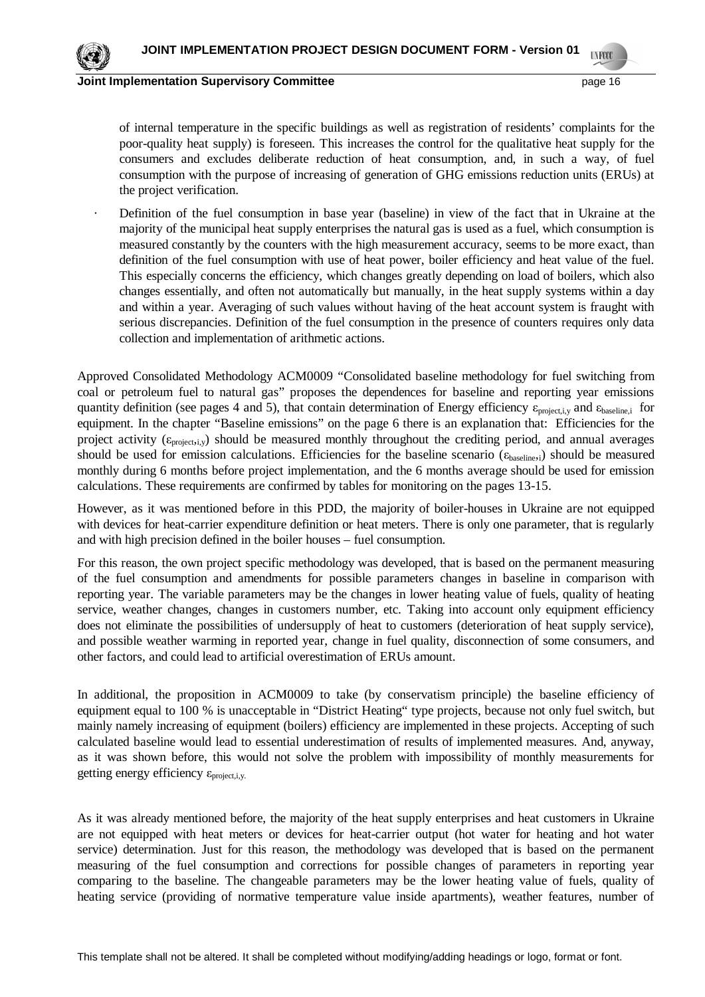

of internal temperature in the specific buildings as well as registration of residents' complaints for the poor-quality heat supply) is foreseen. This increases the control for the qualitative heat supply for the consumers and excludes deliberate reduction of heat consumption, and, in such a way, of fuel consumption with the purpose of increasing of generation of GHG emissions reduction units (ERUs) at the project verification.

Definition of the fuel consumption in base year (baseline) in view of the fact that in Ukraine at the majority of the municipal heat supply enterprises the natural gas is used as a fuel, which consumption is measured constantly by the counters with the high measurement accuracy, seems to be more exact, than definition of the fuel consumption with use of heat power, boiler efficiency and heat value of the fuel. This especially concerns the efficiency, which changes greatly depending on load of boilers, which also changes essentially, and often not automatically but manually, in the heat supply systems within a day and within a year. Averaging of such values without having of the heat account system is fraught with serious discrepancies. Definition of the fuel consumption in the presence of counters requires only data collection and implementation of arithmetic actions.

Approved Consolidated Methodology ACM0009 "Consolidated baseline methodology for fuel switching from coal or petroleum fuel to natural gas" proposes the dependences for baseline and reporting year emissions quantity definition (see pages 4 and 5), that contain determination of Energy efficiency  $\varepsilon_{project,i,v}$  and  $\varepsilon_{baseline,i}$  for equipment. In the chapter "Baseline emissions" on the page 6 there is an explanation that: Efficiencies for the project activity ( $\epsilon_{\text{projecti},v}$ ) should be measured monthly throughout the crediting period, and annual averages should be used for emission calculations. Efficiencies for the baseline scenario ( $\epsilon_{\text{baseline},i}$ ) should be measured monthly during 6 months before project implementation, and the 6 months average should be used for emission calculations. These requirements are confirmed by tables for monitoring on the pages 13-15.

However, as it was mentioned before in this PDD, the majority of boiler-houses in Ukraine are not equipped with devices for heat-carrier expenditure definition or heat meters. There is only one parameter, that is regularly and with high precision defined in the boiler houses – fuel consumption.

For this reason, the own project specific methodology was developed, that is based on the permanent measuring of the fuel consumption and amendments for possible parameters changes in baseline in comparison with reporting year. The variable parameters may be the changes in lower heating value of fuels, quality of heating service, weather changes, changes in customers number, etc. Taking into account only equipment efficiency does not eliminate the possibilities of undersupply of heat to customers (deterioration of heat supply service), and possible weather warming in reported year, change in fuel quality, disconnection of some consumers, and other factors, and could lead to artificial overestimation of ERUs amount.

In additional, the proposition in ACM0009 to take (by conservatism principle) the baseline efficiency of equipment equal to 100 % is unacceptable in "District Heating" type projects, because not only fuel switch, but mainly namely increasing of equipment (boilers) efficiency are implemented in these projects. Accepting of such calculated baseline would lead to essential underestimation of results of implemented measures. And, anyway, as it was shown before, this would not solve the problem with impossibility of monthly measurements for getting energy efficiency  $\varepsilon_{\text{project,i.v.}}$ 

As it was already mentioned before, the majority of the heat supply enterprises and heat customers in Ukraine are not equipped with heat meters or devices for heat-carrier output (hot water for heating and hot water service) determination. Just for this reason, the methodology was developed that is based on the permanent measuring of the fuel consumption and corrections for possible changes of parameters in reporting year comparing to the baseline. The changeable parameters may be the lower heating value of fuels, quality of heating service (providing of normative temperature value inside apartments), weather features, number of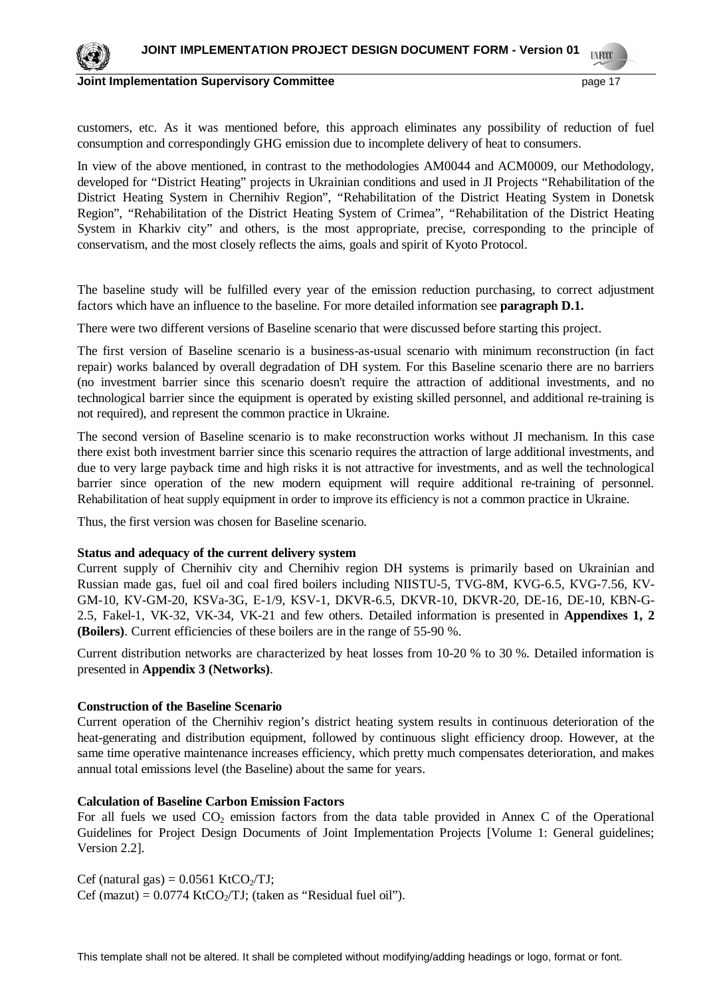

customers, etc. As it was mentioned before, this approach eliminates any possibility of reduction of fuel consumption and correspondingly GHG emission due to incomplete delivery of heat to consumers.

In view of the above mentioned, in contrast to the methodologies AM0044 and ACM0009, our Methodology, developed for "District Heating" projects in Ukrainian conditions and used in JI Projects "Rehabilitation of the District Heating System in Chernihiv Region", "Rehabilitation of the District Heating System in Donetsk Region", "Rehabilitation of the District Heating System of Crimea", "Rehabilitation of the District Heating System in Kharkiv city" and others, is the most appropriate, precise, corresponding to the principle of conservatism, and the most closely reflects the aims, goals and spirit of Kyoto Protocol.

The baseline study will be fulfilled every year of the emission reduction purchasing, to correct adjustment factors which have an influence to the baseline. For more detailed information see **paragraph D.1.**

There were two different versions of Baseline scenario that were discussed before starting this project.

The first version of Baseline scenario is a business-as-usual scenario with minimum reconstruction (in fact repair) works balanced by overall degradation of DH system. For this Baseline scenario there are no barriers (no investment barrier since this scenario doesn't require the attraction of additional investments, and no technological barrier since the equipment is operated by existing skilled personnel, and additional re-training is not required), and represent the common practice in Ukraine.

The second version of Baseline scenario is to make reconstruction works without JI mechanism. In this case there exist both investment barrier since this scenario requires the attraction of large additional investments, and due to very large payback time and high risks it is not attractive for investments, and as well the technological barrier since operation of the new modern equipment will require additional re-training of personnel. Rehabilitation of heat supply equipment in order to improve its efficiency is not a common practice in Ukraine.

Thus, the first version was chosen for Baseline scenario.

### **Status and adequacy of the current delivery system**

Current supply of Chernihiv city and Chernihiv region DH systems is primarily based on Ukrainian and Russian made gas, fuel oil and coal fired boilers including NIISTU-5, TVG-8M, KVG-6.5, KVG-7.56, KV-GM-10, KV-GM-20, KSVa-3G, E-1/9, KSV-1, DKVR-6.5, DKVR-10, DKVR-20, DE-16, DE-10, KBN-G-2.5, Fakel-1, VK-32, VK-34, VK-21 and few others. Detailed information is presented in **Appendixes 1, 2 (Boilers)**. Current efficiencies of these boilers are in the range of 55-90 %.

Current distribution networks are characterized by heat losses from 10-20 % to 30 %. Detailed information is presented in **Appendix 3 (Networks)**.

#### **Construction of the Baseline Scenario**

Current operation of the Chernihiv region's district heating system results in continuous deterioration of the heat-generating and distribution equipment, followed by continuous slight efficiency droop. However, at the same time operative maintenance increases efficiency, which pretty much compensates deterioration, and makes annual total emissions level (the Baseline) about the same for years.

### **Calculation of Baseline Carbon Emission Factors**

For all fuels we used  $CO<sub>2</sub>$  emission factors from the data table provided in Annex C of the Operational Guidelines for Project Design Documents of Joint Implementation Projects [Volume 1: General guidelines; Version 2.2].

Cef (natural gas) =  $0.0561$  KtCO<sub>2</sub>/TJ; Cef (mazut) =  $0.0774$  KtCO<sub>2</sub>/TJ; (taken as "Residual fuel oil").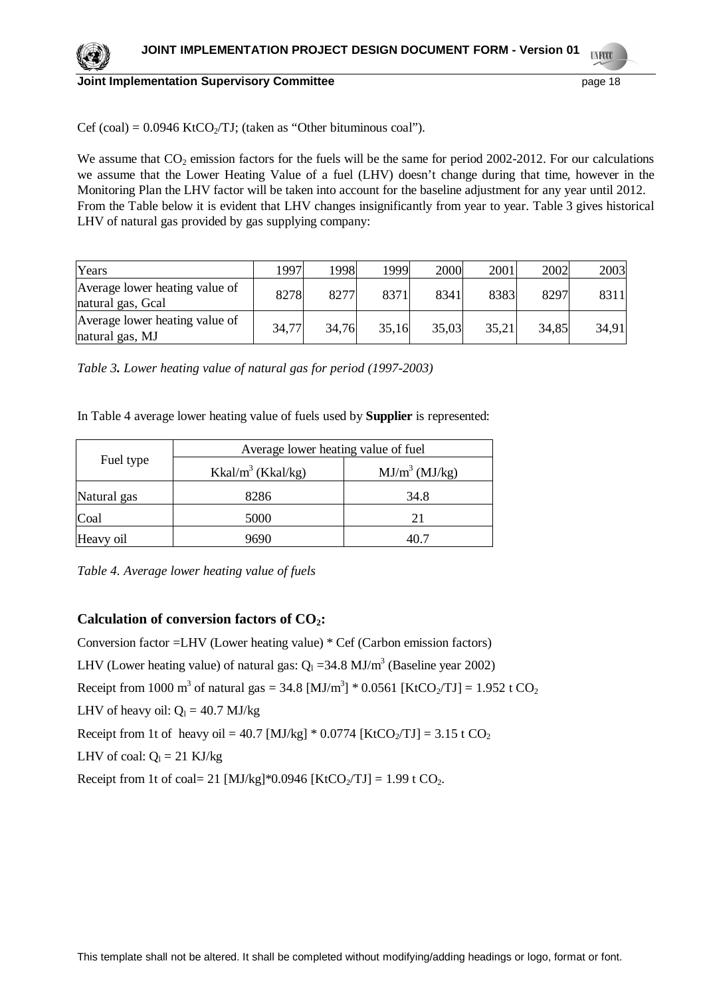

Cef (coal) =  $0.0946$  KtCO<sub>2</sub>/TJ; (taken as "Other bituminous coal").

We assume that  $CO<sub>2</sub>$  emission factors for the fuels will be the same for period 2002-2012. For our calculations we assume that the Lower Heating Value of a fuel (LHV) doesn't change during that time, however in the Monitoring Plan the LHV factor will be taken into account for the baseline adjustment for any year until 2012. From the Table below it is evident that LHV changes insignificantly from year to year. Table 3 gives historical LHV of natural gas provided by gas supplying company:

| Years                                               | 1997  | 1998  | 1999  | 2000  | 2001  | 2002  | 2003  |
|-----------------------------------------------------|-------|-------|-------|-------|-------|-------|-------|
| Average lower heating value of<br>natural gas, Gcal | 8278  | 8277  | 8371  | 8341  | 8383  | 8297  | 8311  |
| Average lower heating value of<br>natural gas, MJ   | 34,77 | 34,76 | 35,16 | 35,03 | 35,21 | 34,85 | 34,91 |

*Table 3. Lower heating value of natural gas for period (1997-2003)*

In Table 4 average lower heating value of fuels used by **Supplier** is represented:

|             | Average lower heating value of fuel |                  |  |  |
|-------------|-------------------------------------|------------------|--|--|
| Fuel type   | Kkal/m <sup>3</sup> (Kkal/kg)       | $MJ/m^3$ (MJ/kg) |  |  |
| Natural gas | 8286                                | 34.8             |  |  |
| Coal        | 5000                                | 21               |  |  |
| Heavy oil   | 9690                                |                  |  |  |

*Table 4. Average lower heating value of fuels*

# **Calculation of conversion factors of CO2:**

Conversion factor =LHV (Lower heating value) \* Cef (Carbon emission factors) LHV (Lower heating value) of natural gas:  $Q_1 = 34.8$  MJ/m<sup>3</sup> (Baseline year 2002) Receipt from 1000 m<sup>3</sup> of natural gas = 34.8 [MJ/m<sup>3</sup>] \* 0.0561 [KtCO<sub>2</sub>/TJ] = 1.952 t CO<sub>2</sub> LHV of heavy oil:  $Q_1 = 40.7$  MJ/kg Receipt from 1t of heavy oil = 40.7 [MJ/kg]  $*$  0.0774 [KtCO<sub>2</sub>/TJ] = 3.15 t CO<sub>2</sub> LHV of coal:  $Q_1 = 21$  KJ/kg Receipt from 1t of coal= 21 [MJ/kg]\*0.0946 [KtCO<sub>2</sub>/TJ] = 1.99 t CO<sub>2</sub>.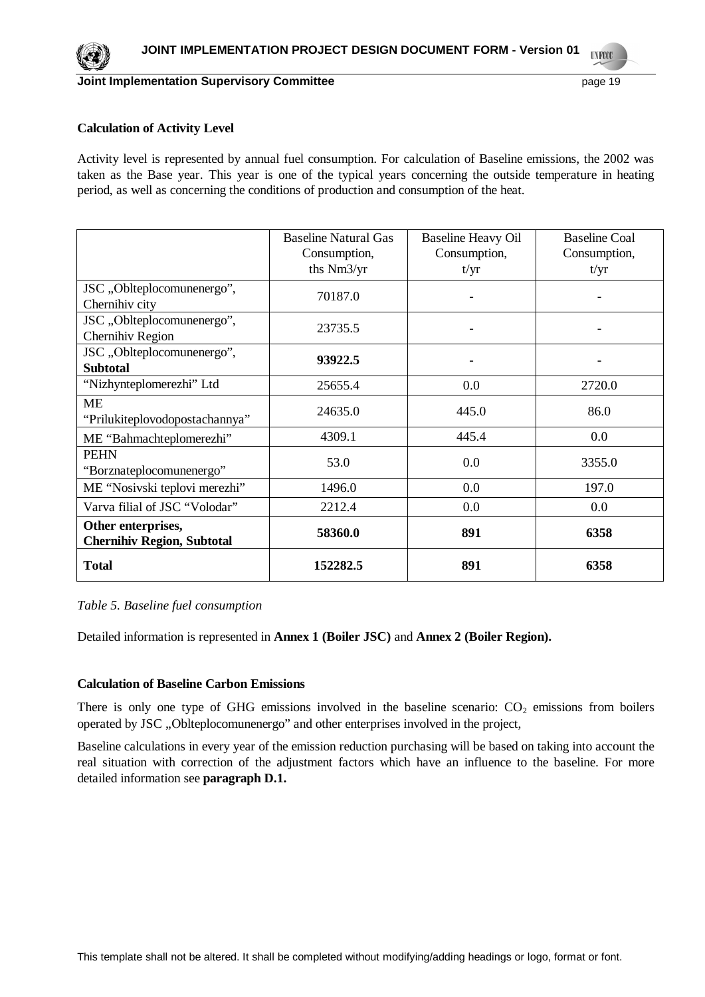

## **Calculation of Activity Level**

Activity level is represented by annual fuel consumption. For calculation of Baseline emissions, the 2002 was taken as the Base year. This year is one of the typical years concerning the outside temperature in heating period, as well as concerning the conditions of production and consumption of the heat.

|                                                         | <b>Baseline Natural Gas</b><br>Consumption,<br>ths Nm3/yr | <b>Baseline Heavy Oil</b><br>Consumption,<br>t/yr | <b>Baseline Coal</b><br>Consumption,<br>t/yr |
|---------------------------------------------------------|-----------------------------------------------------------|---------------------------------------------------|----------------------------------------------|
| JSC, Oblteplocomunenergo",<br>Chernihiv city            | 70187.0                                                   |                                                   |                                              |
| JSC, Oblteplocomunenergo",<br>Chernihiv Region          | 23735.5                                                   |                                                   |                                              |
| JSC,,Oblteplocomunenergo",<br><b>Subtotal</b>           | 93922.5                                                   |                                                   | ۰                                            |
| "Nizhynteplomerezhi" Ltd                                | 25655.4                                                   | 0.0                                               | 2720.0                                       |
| <b>ME</b><br>"Prilukiteplovodopostachannya"             | 24635.0                                                   | 445.0                                             | 86.0                                         |
| ME "Bahmachteplomerezhi"                                | 4309.1                                                    | 445.4                                             | 0.0                                          |
| <b>PEHN</b><br>"Borznateplocomunenergo"                 | 53.0                                                      | 0.0                                               | 3355.0                                       |
| ME "Nosivski teplovi merezhi"                           | 1496.0                                                    | 0.0                                               | 197.0                                        |
| Varva filial of JSC "Volodar"                           | 2212.4                                                    | 0.0                                               | 0.0                                          |
| Other enterprises,<br><b>Chernihiv Region, Subtotal</b> | 58360.0                                                   | 891                                               | 6358                                         |
| <b>Total</b>                                            | 152282.5                                                  | 891                                               | 6358                                         |

#### *Table 5. Baseline fuel consumption*

Detailed information is represented in **Annex 1 (Boiler JSC)** and **Annex 2 (Boiler Region).**

# **Calculation of Baseline Carbon Emissions**

There is only one type of GHG emissions involved in the baseline scenario:  $CO<sub>2</sub>$  emissions from boilers operated by JSC "Oblteplocomunenergo" and other enterprises involved in the project,

Baseline calculations in every year of the emission reduction purchasing will be based on taking into account the real situation with correction of the adjustment factors which have an influence to the baseline. For more detailed information see **paragraph D.1.**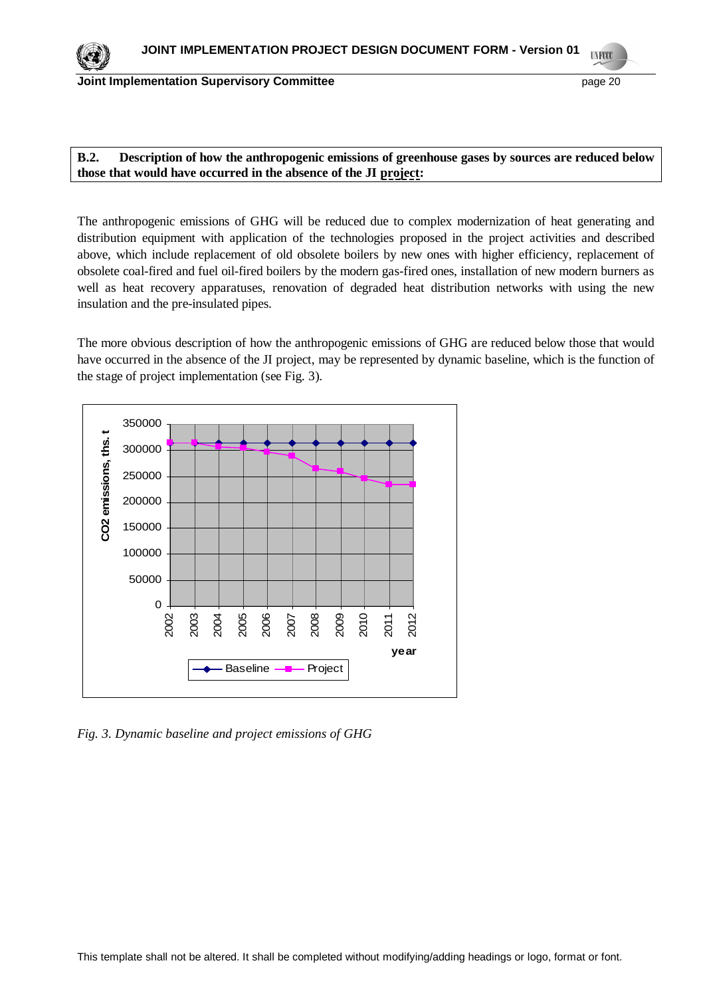# **B.2. Description of how the anthropogenic emissions of greenhouse gases by sources are reduced below those that would have occurred in the absence of the JI project:**

The anthropogenic emissions of GHG will be reduced due to complex modernization of heat generating and distribution equipment with application of the technologies proposed in the project activities and described above, which include replacement of old obsolete boilers by new ones with higher efficiency, replacement of obsolete coal-fired and fuel oil-fired boilers by the modern gas-fired ones, installation of new modern burners as well as heat recovery apparatuses, renovation of degraded heat distribution networks with using the new insulation and the pre-insulated pipes.

The more obvious description of how the anthropogenic emissions of GHG are reduced below those that would have occurred in the absence of the JI project, may be represented by dynamic baseline, which is the function of the stage of project implementation (see Fig. 3).



*Fig. 3. Dynamic baseline and project emissions of GHG*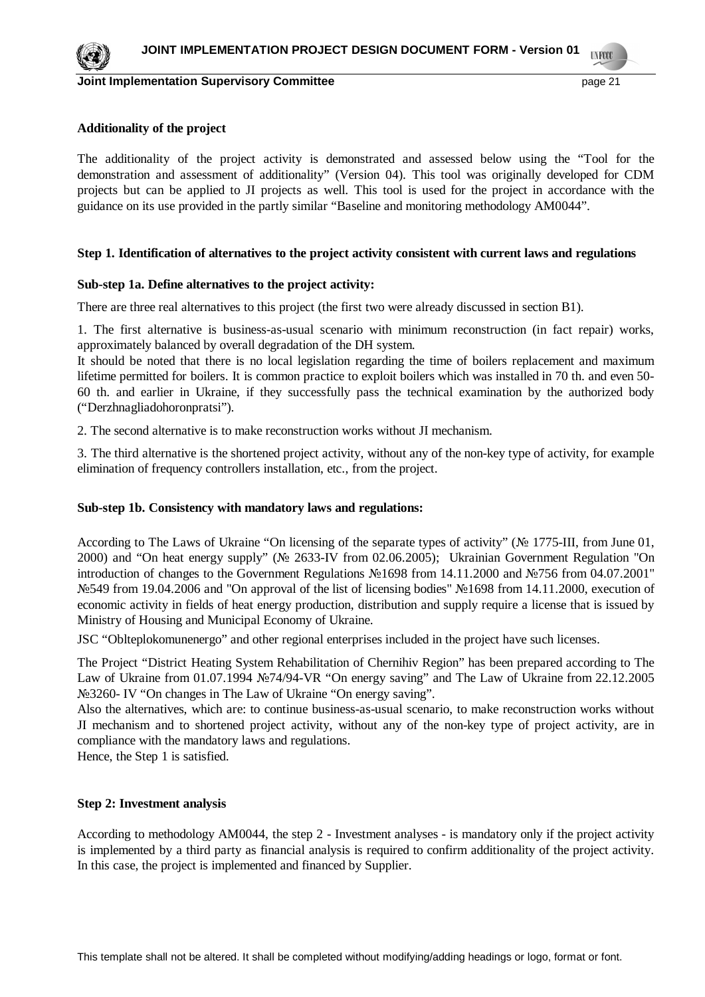

### **Additionality of the project**

The additionality of the project activity is demonstrated and assessed below using the "Tool for the demonstration and assessment of additionality" (Version 04). This tool was originally developed for CDM projects but can be applied to JI projects as well. This tool is used for the project in accordance with the guidance on its use provided in the partly similar "Baseline and monitoring methodology AM0044".

### **Step 1. Identification of alternatives to the project activity consistent with current laws and regulations**

### **Sub-step 1a. Define alternatives to the project activity:**

There are three real alternatives to this project (the first two were already discussed in section B1).

1. The first alternative is business-as-usual scenario with minimum reconstruction (in fact repair) works, approximately balanced by overall degradation of the DH system.

It should be noted that there is no local legislation regarding the time of boilers replacement and maximum lifetime permitted for boilers. It is common practice to exploit boilers which was installed in 70 th. and even 50- 60 th. and earlier in Ukraine, if they successfully pass the technical examination by the authorized body ("Derzhnagliadohoronpratsi").

2. The second alternative is to make reconstruction works without JI mechanism.

3. The third alternative is the shortened project activity, without any of the non-key type of activity, for example elimination of frequency controllers installation, etc., from the project.

#### **Sub-step 1b. Consistency with mandatory laws and regulations:**

According to The Laws of Ukraine "On licensing of the separate types of activity" ( $\mathcal{N}$  1775-III, from June 01, 2000) and "On heat energy supply" ( $\mathbb{N}$  2633-IV from 02.06.2005); Ukrainian Government Regulation "On introduction of changes to the Government Regulations  $\mathcal{N}$ 21698 from 14.11.2000 and  $\mathcal{N}$ 2756 from 04.07.2001" Nº549 from 19.04.2006 and "On approval of the list of licensing bodies" Nº1698 from 14.11.2000, execution of economic activity in fields of heat energy production, distribution and supply require a license that is issued by Ministry of Housing and Municipal Economy of Ukraine.

JSC "Oblteplokomunenergo" and other regional enterprises included in the project have such licenses.

The Project "District Heating System Rehabilitation of Chernihiv Region" has been prepared according to The Law of Ukraine from 01.07.1994  $\text{N}274/94$ -VR "On energy saving" and The Law of Ukraine from 22.12.2005 No. 3260 ■ IV "On changes in The Law of Ukraine "On energy saving".

Also the alternatives, which are: to continue business-as-usual scenario, to make reconstruction works without JI mechanism and to shortened project activity, without any of the non-key type of project activity, are in compliance with the mandatory laws and regulations.

Hence, the Step 1 is satisfied.

#### **Step 2: Investment analysis**

According to methodology AM0044, the step 2 - Investment analyses - is mandatory only if the project activity is implemented by a third party as financial analysis is required to confirm additionality of the project activity. In this case, the project is implemented and financed by Supplier.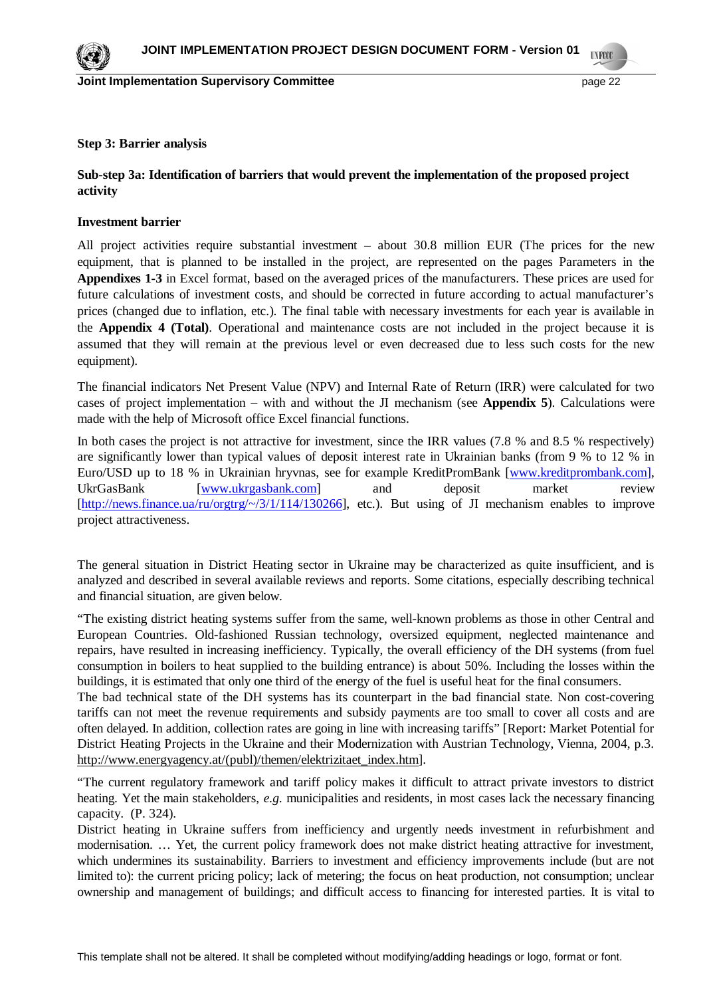

#### **Step 3: Barrier analysis**

# **Sub-step 3a: Identification of barriers that would prevent the implementation of the proposed project activity**

### **Investment barrier**

All project activities require substantial investment – about 30.8 million EUR (The prices for the new equipment, that is planned to be installed in the project, are represented on the pages Parameters in the **Appendixes 1-3** in Excel format, based on the averaged prices of the manufacturers. These prices are used for future calculations of investment costs, and should be corrected in future according to actual manufacturer's prices (changed due to inflation, etc.). The final table with necessary investments for each year is available in the **Appendix 4 (Total)**. Operational and maintenance costs are not included in the project because it is assumed that they will remain at the previous level or even decreased due to less such costs for the new equipment).

The financial indicators Net Present Value (NPV) and Internal Rate of Return (IRR) were calculated for two cases of project implementation – with and without the JI mechanism (see **Appendix 5**). Calculations were made with the help of Microsoft office Excel financial functions.

In both cases the project is not attractive for investment, since the IRR values (7.8 % and 8.5 % respectively) are significantly lower than typical values of deposit interest rate in Ukrainian banks (from 9 % to 12 % in Euro/USD up to 18 % in Ukrainian hryvnas, see for example KreditPromBank [[www.kreditprombank.com](http://www.kreditprombank.com)], UkrGasBank [[www.ukrgasbank.com](http://www.ukrgasbank.com)] and deposit market review [<http://news.finance.ua/ru/orgtrg/~/3/1/114/130266>], etc.). But using of JI mechanism enables to improve project attractiveness.

The general situation in District Heating sector in Ukraine may be characterized as quite insufficient, and is analyzed and described in several available reviews and reports. Some citations, especially describing technical and financial situation, are given below.

"The existing district heating systems suffer from the same, well-known problems as those in other Central and European Countries. Old-fashioned Russian technology, oversized equipment, neglected maintenance and repairs, have resulted in increasing inefficiency. Typically, the overall efficiency of the DH systems (from fuel consumption in boilers to heat supplied to the building entrance) is about 50%. Including the losses within the buildings, it is estimated that only one third of the energy of the fuel is useful heat for the final consumers.

The bad technical state of the DH systems has its counterpart in the bad financial state. Non cost-covering tariffs can not meet the revenue requirements and subsidy payments are too small to cover all costs and are often delayed. In addition, collection rates are going in line with increasing tariffs" [Report: Market Potential for District Heating Projects in the Ukraine and their Modernization with Austrian Technology, Vienna, 2004, p.3. [http://www.energyagency.at/\(publ\)/themen/elektrizitaet\\_index.htm\]](http://www.energyagency.at/(publ)/themen/elektrizitaet_index.htm).

"The current regulatory framework and tariff policy makes it difficult to attract private investors to district heating. Yet the main stakeholders, *e.g.* municipalities and residents, in most cases lack the necessary financing capacity. (P. 324).

District heating in Ukraine suffers from inefficiency and urgently needs investment in refurbishment and modernisation. … Yet, the current policy framework does not make district heating attractive for investment, which undermines its sustainability. Barriers to investment and efficiency improvements include (but are not limited to): the current pricing policy; lack of metering; the focus on heat production, not consumption; unclear ownership and management of buildings; and difficult access to financing for interested parties. It is vital to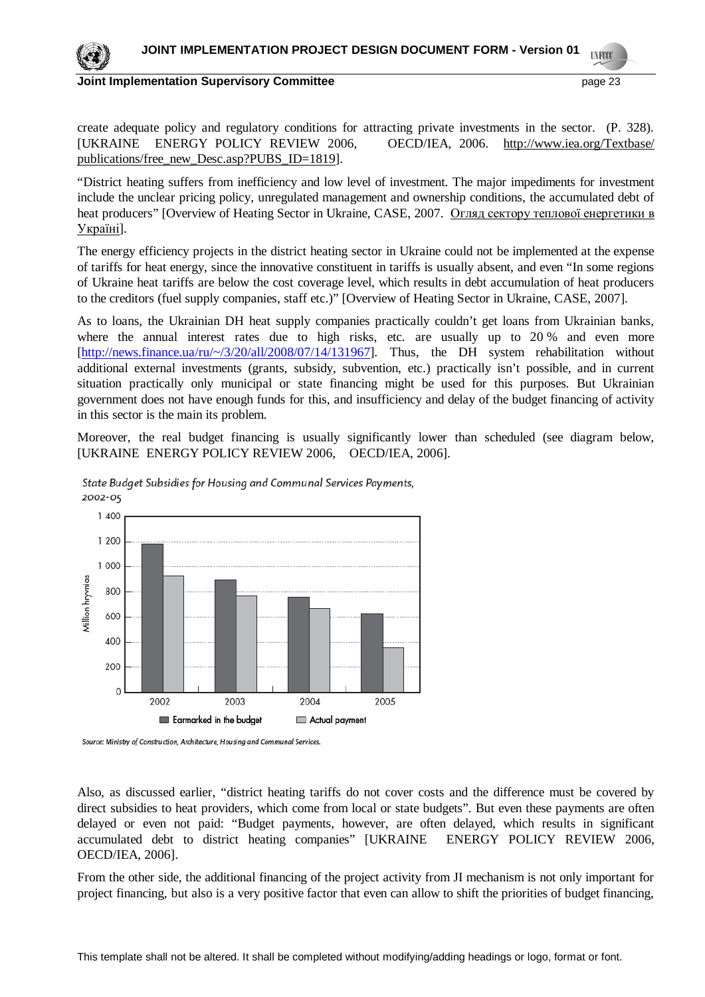

create adequate policy and regulatory conditions for attracting private investments in the sector. (P. 328). [UKRAINE ENERGY POLICY REVIEW 2006, OECD/IEA, 2006. <http://www.iea.org/Textbase/> publications/free\_new\_Desc.asp?PUBS\_ID=1819].

"District heating suffers from inefficiency and low level of investment. The major impediments for investment include the unclear pricing policy, unregulated management and ownership conditions, the accumulated debt of heat producers" [Overview of Heating Sector in Ukraine, CASE, 2007. Огляд сектору теплової енергетики в Україні].

The energy efficiency projects in the district heating sector in Ukraine could not be implemented at the expense of tariffs for heat energy, since the innovative constituent in tariffs is usually absent, and even "In some regions of Ukraine heat tariffs are below the cost coverage level, which results in debt accumulation of heat producers to the creditors (fuel supply companies, staff etc.)" [Overview of Heating Sector in Ukraine, CASE, 2007].

As to loans, the Ukrainian DH heat supply companies practically couldn't get loans from Ukrainian banks, where the annual interest rates due to high risks, etc. are usually up to 20 % and even more [[http://news.finance.ua/ru/~/3/20/all/2008/07/14/131967\]](http://news.finance.ua/ru/~/3/20/all/2008/07/14/131967). Thus, the DH system rehabilitation without additional external investments (grants, subsidy, subvention, etc.) practically isn't possible, and in current situation practically only municipal or state financing might be used for this purposes. But Ukrainian government does not have enough funds for this, and insufficiency and delay of the budget financing of activity in this sector is the main its problem.

Moreover, the real budget financing is usually significantly lower than scheduled (see diagram below, [UKRAINE ENERGY POLICY REVIEW 2006, OECD/IEA, 2006].



State Budget Subsidies for Housing and Communal Services Payments, 2002-05

Source: Ministry of Construction, Architecture, Housing and Communal Services.

Also, as discussed earlier, "district heating tariffs do not cover costs and the difference must be covered by direct subsidies to heat providers, which come from local or state budgets". But even these payments are often delayed or even not paid: "Budget payments, however, are often delayed, which results in significant accumulated debt to district heating companies" [UKRAINE ENERGY POLICY REVIEW 2006, OECD/IEA, 2006].

From the other side, the additional financing of the project activity from JI mechanism is not only important for project financing, but also is a very positive factor that even can allow to shift the priorities of budget financing,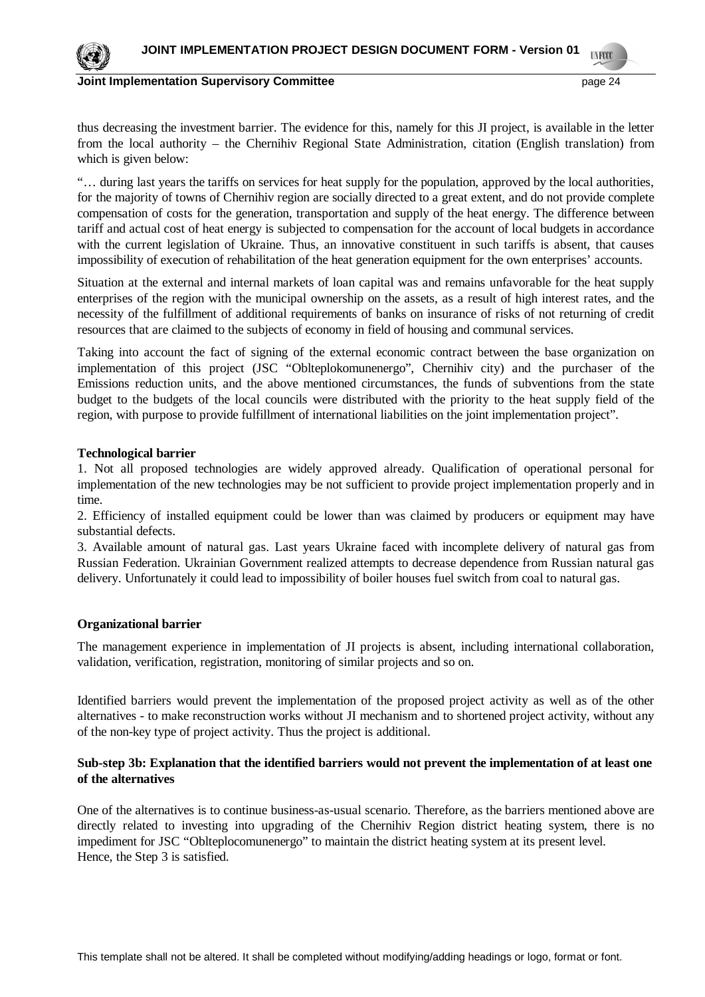

thus decreasing the investment barrier. The evidence for this, namely for this JI project, is available in the letter from the local authority – the Chernihiv Regional State Administration, citation (English translation) from which is given below:

"… during last years the tariffs on services for heat supply for the population, approved by the local authorities, for the majority of towns of Chernihiv region are socially directed to a great extent, and do not provide complete compensation of costs for the generation, transportation and supply of the heat energy. The difference between tariff and actual cost of heat energy is subjected to compensation for the account of local budgets in accordance with the current legislation of Ukraine. Thus, an innovative constituent in such tariffs is absent, that causes impossibility of execution of rehabilitation of the heat generation equipment for the own enterprises' accounts.

Situation at the external and internal markets of loan capital was and remains unfavorable for the heat supply enterprises of the region with the municipal ownership on the assets, as a result of high interest rates, and the necessity of the fulfillment of additional requirements of banks on insurance of risks of not returning of credit resources that are claimed to the subjects of economy in field of housing and communal services.

Taking into account the fact of signing of the external economic contract between the base organization on implementation of this project (JSC "Oblteplokomunenergo", Chernihiv city) and the purchaser of the Emissions reduction units, and the above mentioned circumstances, the funds of subventions from the state budget to the budgets of the local councils were distributed with the priority to the heat supply field of the region, with purpose to provide fulfillment of international liabilities on the joint implementation project".

### **Technological barrier**

1. Not all proposed technologies are widely approved already. Qualification of operational personal for implementation of the new technologies may be not sufficient to provide project implementation properly and in time.

2. Efficiency of installed equipment could be lower than was claimed by producers or equipment may have substantial defects.

3. Available amount of natural gas. Last years Ukraine faced with incomplete delivery of natural gas from Russian Federation. Ukrainian Government realized attempts to decrease dependence from Russian natural gas delivery. Unfortunately it could lead to impossibility of boiler houses fuel switch from coal to natural gas.

## **Organizational barrier**

The management experience in implementation of JI projects is absent, including international collaboration, validation, verification, registration, monitoring of similar projects and so on.

Identified barriers would prevent the implementation of the proposed project activity as well as of the other alternatives - to make reconstruction works without JI mechanism and to shortened project activity, without any of the non-key type of project activity. Thus the project is additional.

### **Sub-step 3b: Explanation that the identified barriers would not prevent the implementation of at least one of the alternatives**

One of the alternatives is to continue business-as-usual scenario. Therefore, as the barriers mentioned above are directly related to investing into upgrading of the Chernihiv Region district heating system, there is no impediment for JSC "Oblteplocomunenergo" to maintain the district heating system at its present level. Hence, the Step 3 is satisfied.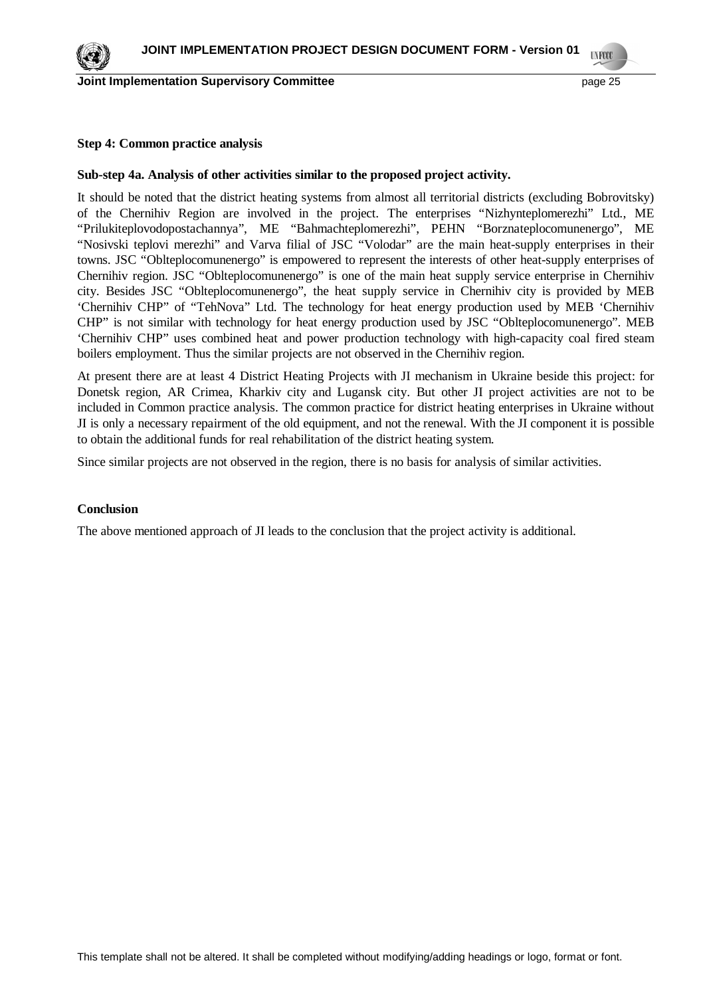#### **Step 4: Common practice analysis**

### **Sub-step 4a. Analysis of other activities similar to the proposed project activity.**

It should be noted that the district heating systems from almost all territorial districts (excluding Bobrovitsky) of the Chernihiv Region are involved in the project. The enterprises "Nizhynteplomerezhi" Ltd., ME "Prilukiteplovodopostachannya", ME "Bahmachteplomerezhi", PEHN "Borznateplocomunenergo", ME "Nosivski teplovi merezhi" and Varva filial of JSC "Volodar" are the main heat-supply enterprises in their towns. JSC "Oblteplocomunenergo" is empowered to represent the interests of other heat-supply enterprises of Chernihiv region. JSC "Oblteplocomunenergo" is one of the main heat supply service enterprise in Chernihiv city. Besides JSC "Oblteplocomunenergo", the heat supply service in Chernihiv city is provided by MEB 'Chernihiv CHP" of "TehNova" Ltd. The technology for heat energy production used by MEB 'Chernihiv CHP" is not similar with technology for heat energy production used by JSC "Oblteplocomunenergo". MEB 'Chernihiv CHP" uses combined heat and power production technology with high-capacity coal fired steam boilers employment. Thus the similar projects are not observed in the Chernihiv region.

At present there are at least 4 District Heating Projects with JI mechanism in Ukraine beside this project: for Donetsk region, AR Crimea, Kharkiv city and Lugansk city. But other JI project activities are not to be included in Common practice analysis. The common practice for district heating enterprises in Ukraine without JI is only a necessary repairment of the old equipment, and not the renewal. With the JI component it is possible to obtain the additional funds for real rehabilitation of the district heating system.

Since similar projects are not observed in the region, there is no basis for analysis of similar activities.

#### **Conclusion**

The above mentioned approach of JI leads to the conclusion that the project activity is additional.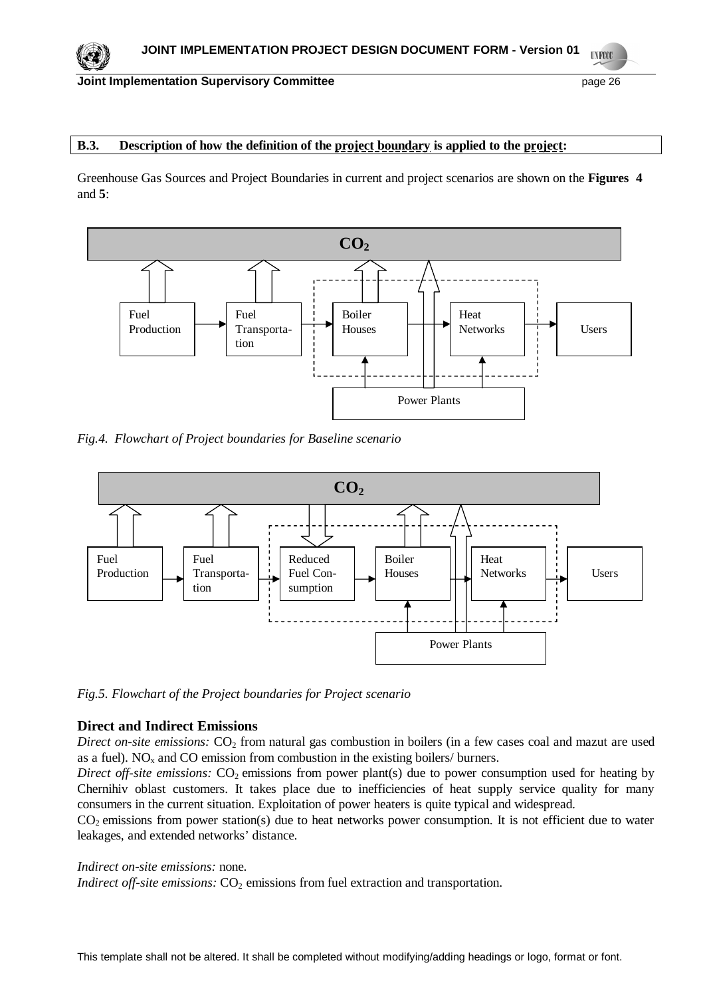#### **Joint Implementation Supervisory Committee page 26 page 26 page 26 page 26**

## **B.3. Description of how the definition of the project boundary is applied to the project:**

Greenhouse Gas Sources and Project Boundaries in current and project scenarios are shown on the **Figures 4** and **5**:



*Fig.4. Flowchart of Project boundaries for Baseline scenario*



*Fig.5. Flowchart of the Project boundaries for Project scenario*

### **Direct and Indirect Emissions**

*Direct on-site emissions:* CO<sub>2</sub> from natural gas combustion in boilers (in a few cases coal and mazut are used as a fuel).  $NO<sub>x</sub>$  and  $CO$  emission from combustion in the existing boilers/ burners.

*Direct off-site emissions:* CO<sub>2</sub> emissions from power plant(s) due to power consumption used for heating by Chernihiv oblast customers. It takes place due to inefficiencies of heat supply service quality for many consumers in the current situation. Exploitation of power heaters is quite typical and widespread.

CO<sup>2</sup> emissions from power station(s) due to heat networks power consumption. It is not efficient due to water leakages, and extended networks' distance.

#### *Indirect on-site emissions:* none.

*Indirect off-site emissions:*  $CO<sub>2</sub>$  emissions from fuel extraction and transportation.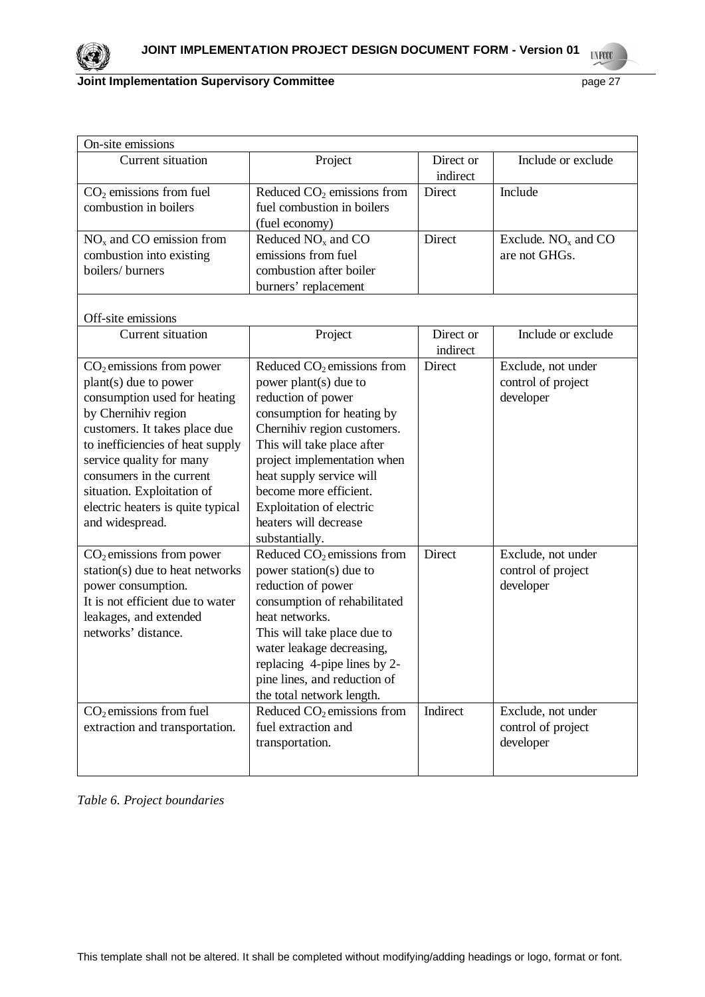

| On-site emissions                                                                                                                                                                                                                                                                                                             |                                                                                                                                                                                                                                                                                                                                    |                       |                                                       |  |  |  |
|-------------------------------------------------------------------------------------------------------------------------------------------------------------------------------------------------------------------------------------------------------------------------------------------------------------------------------|------------------------------------------------------------------------------------------------------------------------------------------------------------------------------------------------------------------------------------------------------------------------------------------------------------------------------------|-----------------------|-------------------------------------------------------|--|--|--|
| Current situation                                                                                                                                                                                                                                                                                                             | Project                                                                                                                                                                                                                                                                                                                            | Direct or<br>indirect | Include or exclude                                    |  |  |  |
| $CO2$ emissions from fuel<br>combustion in boilers                                                                                                                                                                                                                                                                            | Reduced $CO2$ emissions from<br>fuel combustion in boilers<br>(fuel economy)                                                                                                                                                                                                                                                       | Direct                | Include                                               |  |  |  |
| $NOx$ and CO emission from<br>combustion into existing<br>boilers/ burners                                                                                                                                                                                                                                                    | Reduced $NOx$ and $CO$<br>emissions from fuel<br>combustion after boiler<br>burners' replacement                                                                                                                                                                                                                                   | Direct                | Exclude. $NOx$ and $CO$<br>are not GHGs.              |  |  |  |
| Off-site emissions                                                                                                                                                                                                                                                                                                            |                                                                                                                                                                                                                                                                                                                                    |                       |                                                       |  |  |  |
| Current situation                                                                                                                                                                                                                                                                                                             | Project                                                                                                                                                                                                                                                                                                                            | Direct or<br>indirect | Include or exclude                                    |  |  |  |
| $CO2$ emissions from power<br>plant(s) due to power<br>consumption used for heating<br>by Chernihiv region<br>customers. It takes place due<br>to inefficiencies of heat supply<br>service quality for many<br>consumers in the current<br>situation. Exploitation of<br>electric heaters is quite typical<br>and widespread. | Reduced $CO2$ emissions from<br>power plant(s) due to<br>reduction of power<br>consumption for heating by<br>Chernihiv region customers.<br>This will take place after<br>project implementation when<br>heat supply service will<br>become more efficient.<br>Exploitation of electric<br>heaters will decrease<br>substantially. | Direct                | Exclude, not under<br>control of project<br>developer |  |  |  |
| $CO2$ emissions from power<br>station(s) due to heat networks<br>power consumption.<br>It is not efficient due to water<br>leakages, and extended<br>networks' distance.                                                                                                                                                      | Reduced $CO2$ emissions from<br>power station(s) due to<br>reduction of power<br>consumption of rehabilitated<br>heat networks.<br>This will take place due to<br>water leakage decreasing,<br>replacing 4-pipe lines by 2-<br>pine lines, and reduction of<br>the total network length.                                           | Direct                | Exclude, not under<br>control of project<br>developer |  |  |  |
| $CO2$ emissions from fuel<br>extraction and transportation.                                                                                                                                                                                                                                                                   | Reduced $CO2$ emissions from<br>fuel extraction and<br>transportation.                                                                                                                                                                                                                                                             | Indirect              | Exclude, not under<br>control of project<br>developer |  |  |  |

*Table 6. Project boundaries*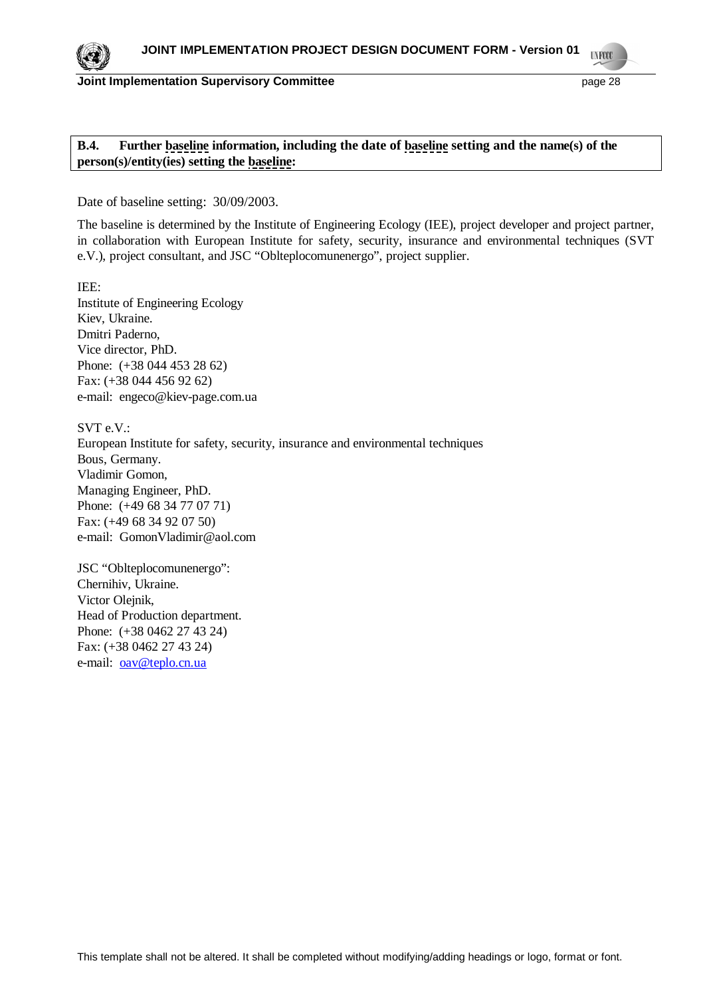

# **B.4. Further baseline information, including the date of baseline setting and the name(s) of the person(s)/entity(ies) setting the baseline:**

Date of baseline setting: 30/09/2003.

The baseline is determined by the Institute of Engineering Ecology (IEE), project developer and project partner, in collaboration with European Institute for safety, security, insurance and environmental techniques (SVT e.V.), project consultant, and JSC "Oblteplocomunenergo", project supplier.

IEE: Institute of Engineering Ecology Kiev, Ukraine. Dmitri Paderno, Vice director, PhD. Phone: (+38 044 453 28 62) Fax: (+38 044 456 92 62) e-mail: [engeco@kiev-page.com.ua](mailto:engeco@kiev-page.com.ua)

SVT e.V.: European Institute for safety, security, insurance and environmental techniques Bous, Germany. Vladimir Gomon, Managing Engineer, PhD. Phone: (+49 68 34 77 07 71) Fax: (+49 68 34 92 07 50) e-mail: [GomonVladimir@aol.com](mailto:GomonVladimir@aol.com)

JSC "Oblteplocomunenergo": Chernihiv, Ukraine. Victor Olejnik, Head of Production department. Phone: (+38 0462 27 43 24) Fax: (+38 0462 27 43 24) e-mail: [oav@teplo.cn.ua](mailto:oav@teplo.cn.ua)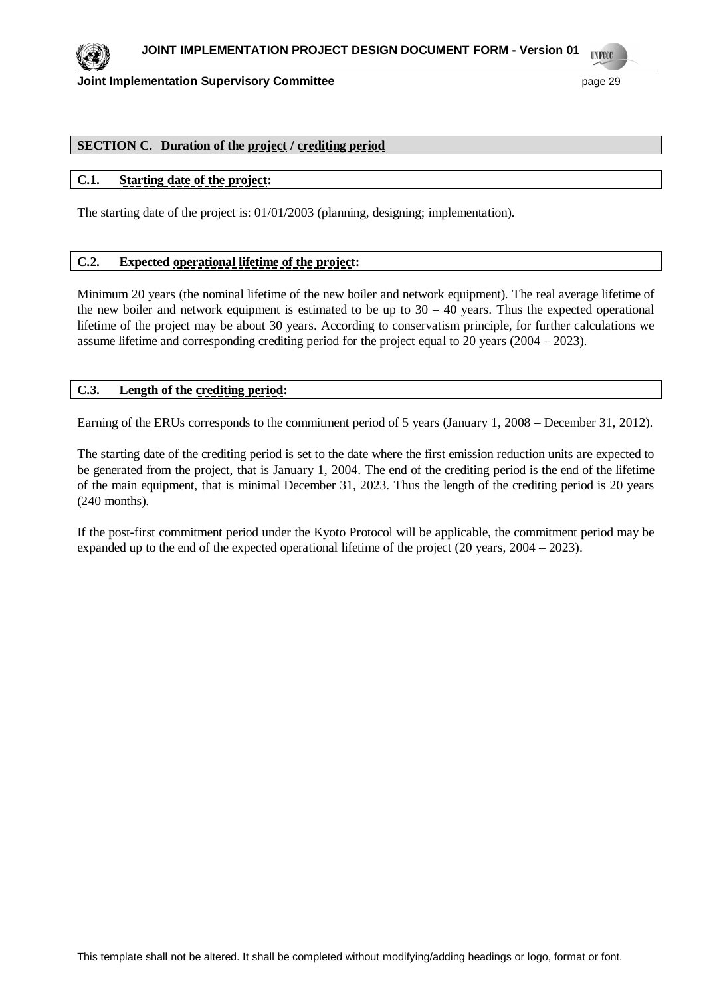

# **SECTION C. Duration of the project / crediting period**

### **C.1. Starting date of the project:**

The starting date of the project is: 01/01/2003 (planning, designing; implementation).

### **C.2. Expected operational lifetime of the project:**

Minimum 20 years (the nominal lifetime of the new boiler and network equipment). The real average lifetime of the new boiler and network equipment is estimated to be up to  $30 - 40$  years. Thus the expected operational lifetime of the project may be about 30 years. According to conservatism principle, for further calculations we assume lifetime and corresponding crediting period for the project equal to 20 years (2004 – 2023).

### **C.3. Length of the crediting period:**

Earning of the ERUs corresponds to the commitment period of 5 years (January 1, 2008 – December 31, 2012).

The starting date of the crediting period is set to the date where the first emission reduction units are expected to be generated from the project, that is January 1, 2004. The end of the crediting period is the end of the lifetime of the main equipment, that is minimal December 31, 2023. Thus the length of the crediting period is 20 years (240 months).

If the post-first commitment period under the Kyoto Protocol will be applicable, the commitment period may be expanded up to the end of the expected operational lifetime of the project (20 years, 2004 – 2023).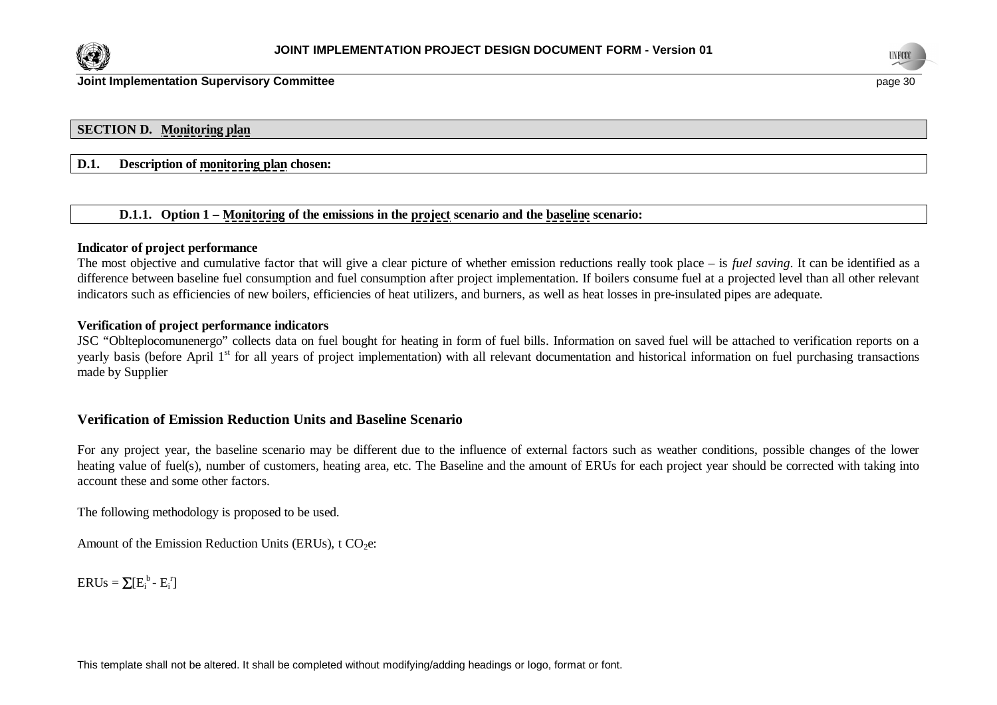



### **SECTION D. Monitoring plan**

# **D.1. Description of monitoring plan chosen:**

#### **D.1.1. Option 1 – Monitoring of the emissions in the project scenario and the baseline scenario:**

#### **Indicator of project performance**

The most objective and cumulative factor that will give a clear picture of whether emission reductions really took place – is *fuel saving*. It can be identified as a difference between baseline fuel consumption and fuel consumption after project implementation. If boilers consume fuel at a projected level than all other relevant indicators such as efficiencies of new boilers, efficiencies of heat utilizers, and burners, as well as heat losses in pre-insulated pipes are adequate.

### **Verification of project performance indicators**

JSC "Oblteplocomunenergo" collects data on fuel bought for heating in form of fuel bills. Information on saved fuel will be attached to verification reports on a yearly basis (before April 1<sup>st</sup> for all years of project implementation) with all relevant documentation and historical information on fuel purchasing transactions made by Supplier

### **Verification of Emission Reduction Units and Baseline Scenario**

For any project year, the baseline scenario may be different due to the influence of external factors such as weather conditions, possible changes of the lower heating value of fuel(s), number of customers, heating area, etc. The Baseline and the amount of ERUs for each project year should be corrected with taking into account these and some other factors.

The following methodology is proposed to be used.

Amount of the Emission Reduction Units (ERUs),  $t CO<sub>2</sub>e$ :

 $ERUs = \sum [E_i^b - E_i^r]$ 

This template shall not be altered. It shall be completed without modifying/adding headings or logo, format or font.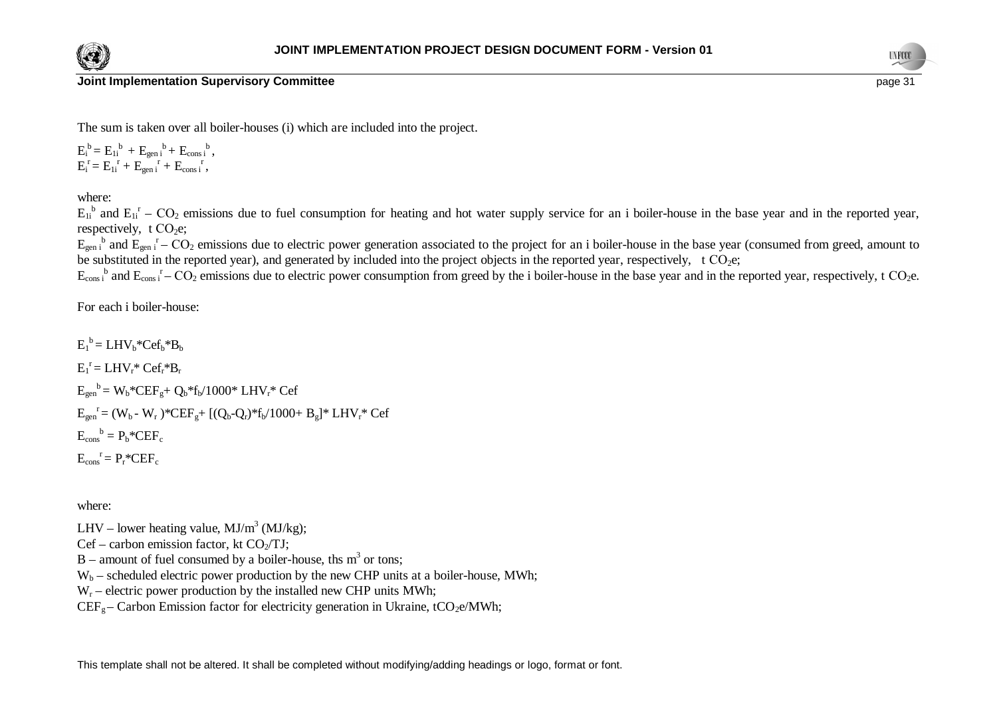



**Joint Implementation Supervisory Committee page 31** *page 31* **<b>***page 31 page 31* 

The sum is taken over all boiler-houses (i) which are included into the project.

 $E_i^b = E_{1i}^b + E_{gen i}^b + E_{cons i}^b,$  $E_i^r = E_{1i}^r + E_{gen i}^r + E_{cons i}^r,$ 

where:

 $E_{1i}$ <sup>b</sup> and  $E_{1i}$ <sup>r</sup> –  $CO_2$  emissions due to fuel consumption for heating and hot water supply service for an i boiler-house in the base year and in the reported year, respectively,  $t CO<sub>2</sub>e$ ;

 $E_{gen i}$ <sup>b</sup> and  $E_{gen i}$ <sup>r</sup> – CO<sub>2</sub> emissions due to electric power generation associated to the project for an i boiler-house in the base year (consumed from greed, amount to be substituted in the reported year), and generated by included into the project objects in the reported year, respectively, t  $CO<sub>2</sub>e$ ;

 $E_{\text{cons i}}^{\text{b}}$  and  $E_{\text{cons i}}^{\text{r}}$  – CO<sub>2</sub> emissions due to electric power consumption from greed by the i boiler-house in the base year and in the reported year, respectively, t CO<sub>2</sub>e.

For each i boiler-house:

 $E_1^b = LHV_b*Cef_b*B_b$  $E_1^r = LHV_r^*Cef_r^*B_r$  $E_{gen}^{\ b} = W_b* CEF_g + Q_b* f_b/1000* LHV_r* Cef$  $E_{gen}^{\{r\}} = (W_b - W_r)^* C E F_g + [(Q_b - Q_r)^* f_b / 1000 + B_g]^* L H V_r^* C e f$  $E_{\text{cons}}^{\text{b}} = P_{\text{b}}^* C E F_{\text{c}}$  $E_{\text{cons}}^{\dagger} = P_{r}^* C E F_{c}$ 

where:

LHV – lower heating value,  $MJ/m<sup>3</sup> (MJ/kg)$ ;

 $Cef - carbon$  emission factor, kt  $CO_2/TJ$ ;

 $B$  – amount of fuel consumed by a boiler-house, ths m<sup>3</sup> or tons;

 $W_b$  – scheduled electric power production by the new CHP units at a boiler-house, MWh;

 $W_r$  – electric power production by the installed new CHP units MWh;

 $CEF_{g}$  – Carbon Emission factor for electricity generation in Ukraine, tCO<sub>2</sub>e/MWh;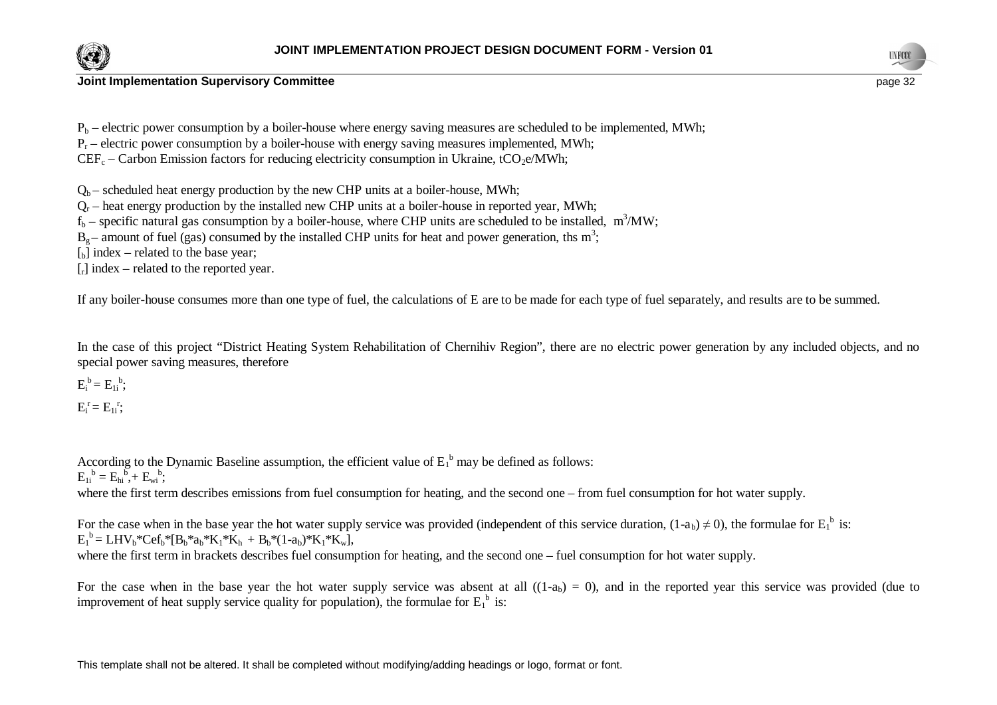



 $P_b$  – electric power consumption by a boiler-house where energy saving measures are scheduled to be implemented, MWh;

 $P_r$  – electric power consumption by a boiler-house with energy saving measures implemented, MWh;

 $CEF_c - Carbon Emission factors for reducing electricity consumption in Ukraine, tCO<sub>2</sub>e/MWh;$ 

 $Q_b$  – scheduled heat energy production by the new CHP units at a boiler-house, MWh;

 $Q_r$  – heat energy production by the installed new CHP units at a boiler-house in reported year, MWh;

 $f_b$  – specific natural gas consumption by a boiler-house, where CHP units are scheduled to be installed,  $m^3/MW$ ;

 $B_g$  – amount of fuel (gas) consumed by the installed CHP units for heat and power generation, ths m<sup>3</sup>;

 $\lceil_{\text{b}}\rceil$  index – related to the base year;

 $\lceil$  index – related to the reported year.

If any boiler-house consumes more than one type of fuel, the calculations of E are to be made for each type of fuel separately, and results are to be summed.

In the case of this project "District Heating System Rehabilitation of Chernihiv Region", there are no electric power generation by any included objects, and no special power saving measures, therefore

 $E_i^b = E_{1i}^b;$ 

 $E_i^r = E_{1i}^r;$ 

According to the Dynamic Baseline assumption, the efficient value of  $E_1^b$  may be defined as follows:

 $E_{1i}^{b} = E_{hi}^{b} + E_{wi}^{b};$ 

where the first term describes emissions from fuel consumption for heating, and the second one – from fuel consumption for hot water supply.

For the case when in the base year the hot water supply service was provided (independent of this service duration,  $(1-a_b) \neq 0$ ), the formulae for  $E_1^b$  is:  $E_1^b = LHV_b*Cef_b* [B_b*a_b*K_1*K_h + B_b*(1-a_b)*K_1*K_w],$ 

where the first term in brackets describes fuel consumption for heating, and the second one – fuel consumption for hot water supply.

For the case when in the base year the hot water supply service was absent at all  $((1-a<sub>b</sub>) = 0)$ , and in the reported year this service was provided (due to improvement of heat supply service quality for population), the formulae for  $E_1^b$  is: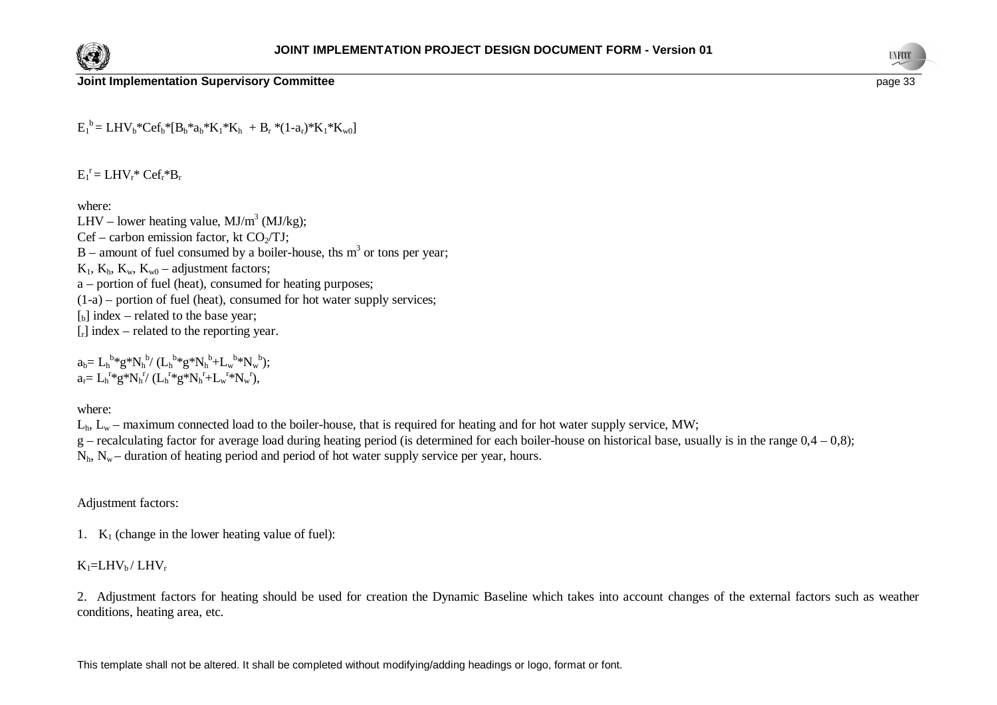



 $E_1^b = LHV_b*Cef_b* [B_b*a_b*K_1*K_h + B_r * (1-a_r)*K_1*K_w]$ 

 $E_1^r = LHV_r^*Cef_r^*B_r$ 

where:

LHV – lower heating value,  $MJ/m^3$  (MJ/kg);  $Cef - carbon$  emission factor, kt  $CO_2/TJ$ ;  $B$  – amount of fuel consumed by a boiler-house, ths  $m<sup>3</sup>$  or tons per year;  $K_1$ ,  $K_n$ ,  $K_w$ ,  $K_w$ <sup>0</sup> – adjustment factors; a – portion of fuel (heat), consumed for heating purposes;  $(1-a)$  – portion of fuel (heat), consumed for hot water supply services;  $\begin{bmatrix} 1 \\ 2 \end{bmatrix}$  index – related to the base year;  $[r]$  index – related to the reporting year.

 $a_b = L_h^{b*} g^* N_h^{b} / (L_h^{b*} g^* N_h^{b} + L_w^{b*} N_w^{b});$  $a_r = L_h^{r*} g^* N_h^{r} / (L_h^{r*} g^* N_h^{r} + L_w^{r*} N_w^{r}),$ 

where:

 $L<sub>h</sub>$ ,  $L<sub>w</sub>$  – maximum connected load to the boiler-house, that is required for heating and for hot water supply service, MW;

g – recalculating factor for average load during heating period (is determined for each boiler-house on historical base, usually is in the range  $0.4 - 0.8$ );

 $N<sub>h</sub>$ ,  $N<sub>w</sub>$  – duration of heating period and period of hot water supply service per year, hours.

Adjustment factors:

1.  $K_1$  (change in the lower heating value of fuel):

 $K_1=LHV_b/LHV_r$ 

2. Adjustment factors for heating should be used for creation the Dynamic Baseline which takes into account changes of the external factors such as weather conditions, heating area, etc.

This template shall not be altered. It shall be completed without modifying/adding headings or logo, format or font.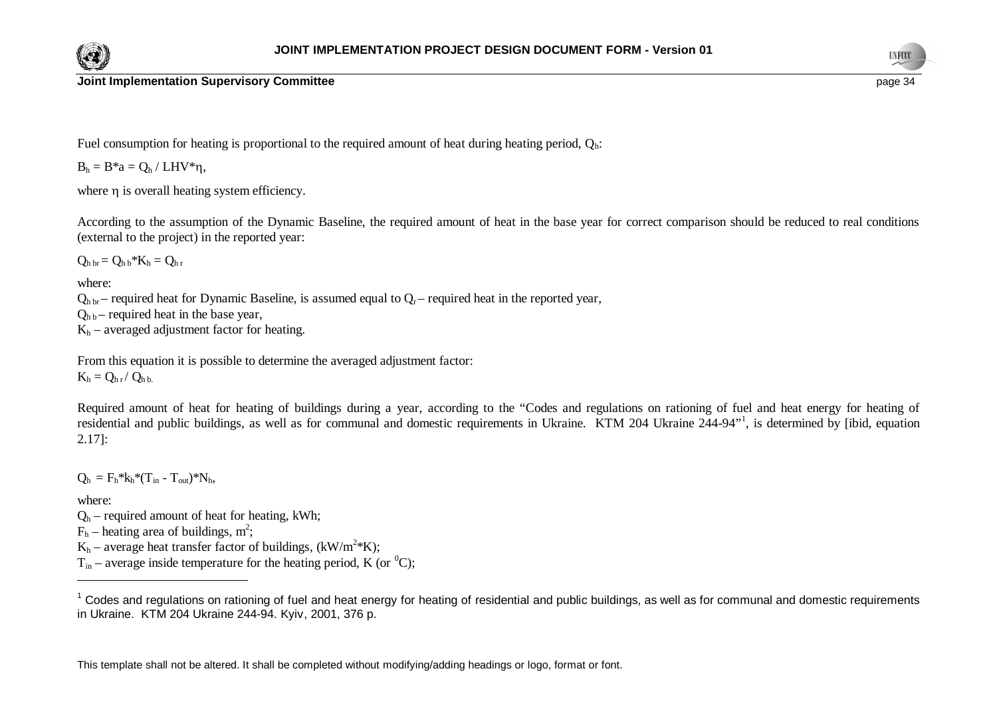



**Joint Implementation Supervisory Committee page 34 page 34 page 34 page 34 page 34 page 34** 

Fuel consumption for heating is proportional to the required amount of heat during heating period,  $Q_h$ .

 $B_h = B^*a = O_h / LHV^*n$ ,

where  $\eta$  is overall heating system efficiency.

According to the assumption of the Dynamic Baseline, the required amount of heat in the base year for correct comparison should be reduced to real conditions (external to the project) in the reported year:

 $Q_{\text{h} \text{h}} = Q_{\text{h} \text{h}} * K_{\text{h}} = Q_{\text{h} \text{r}}$ 

where:

 $Q_{h\,br}$  – required heat for Dynamic Baseline, is assumed equal to  $Q_{r}$  – required heat in the reported year,

 $Q_{\text{hb}}$  – required heat in the base year,

 $K_h$  – averaged adjustment factor for heating.

From this equation it is possible to determine the averaged adjustment factor:  $K_h = Q_{h r} / Q_{h h}$ .

Required amount of heat for heating of buildings during a year, according to the "Codes and regulations on rationing of fuel and heat energy for heating of residential and public buildings, as well as for communal and domestic requirements in Ukraine. KTM 204 Ukraine 244-94"<sup>1</sup>, is determined by [ibid, equation 2.17]:

 $Q_h = F_h * k_h * (T_{in} - T_{out}) * N_h$ 

where:

 $Q_h$  – required amount of heat for heating, kWh;

 $F_h$  – heating area of buildings, m<sup>2</sup>;

 $K_h$  – average heat transfer factor of buildings, (kW/m<sup>2</sup>\*K);

 $T_{in}$  – average inside temperature for the heating period, K (or <sup>0</sup>C);

 $1$  Codes and regulations on rationing of fuel and heat energy for heating of residential and public buildings, as well as for communal and domestic requirements in Ukraine. KTM 204 Ukraine 244-94. Kyiv, 2001, 376 p.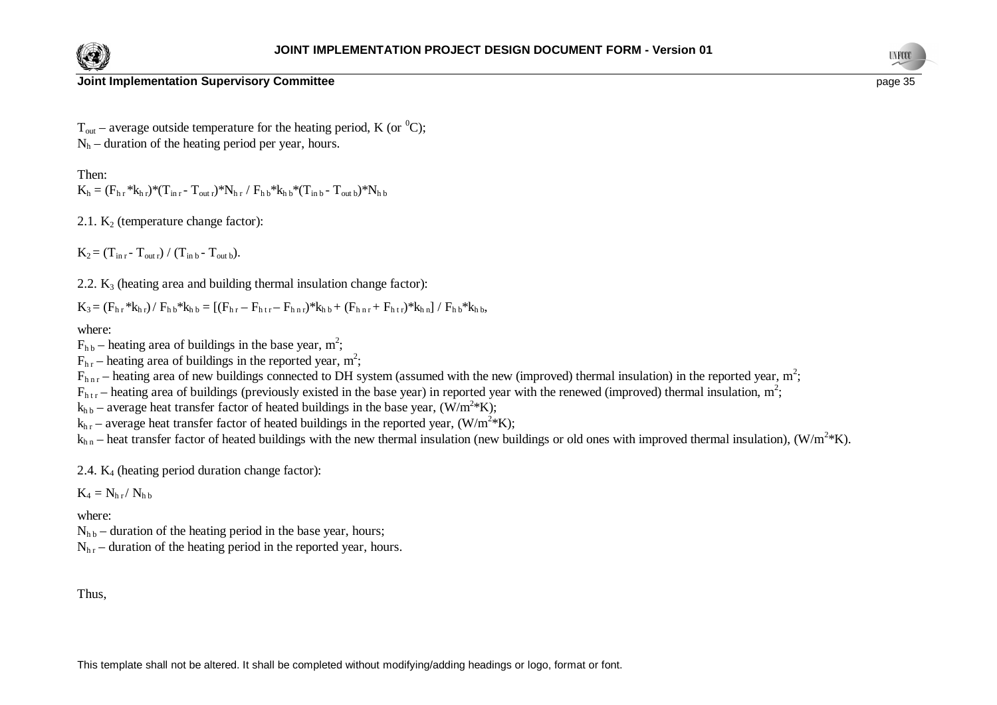



**Joint Implementation Supervisory Committee page 35** and the structure of the structure page 35

 $T_{\text{out}}$  – average outside temperature for the heating period, K (or <sup>0</sup>C);  $N<sub>b</sub>$  – duration of the heating period per year, hours.

Then:

 $K_h = (F_{h,r} * k_{h,r}) * (T_{in,r} - T_{outr}) * N_{h,r} / F_{h,b} * k_{h,b} * (T_{in,b} - T_{out,b}) * N_{h,b}$ 

2.1.  $K_2$  (temperature change factor):

 $K_2 = (T_{\text{in }r} - T_{\text{out }r}) / (T_{\text{in }b} - T_{\text{out }b}).$ 

2.2.  $K_3$  (heating area and building thermal insulation change factor):

 $K_3 = (F_{h,r} * k_{h,r}) / F_{h,b} * k_{h,b} = [(F_{h,r} - F_{h,r,r}) * k_{h,b} + (F_{h,r,r} + F_{h,r}) * k_{h,n}] / F_{h,b} * k_{h,b}$ 

where:

 $F_{hb}$  – heating area of buildings in the base year, m<sup>2</sup>;

 $F_{hr}$  – heating area of buildings in the reported year, m<sup>2</sup>;

 $F_{\text{hnr}}$  – heating area of new buildings connected to DH system (assumed with the new (improved) thermal insulation) in the reported year, m<sup>2</sup>;

 $F_{htr}$  – heating area of buildings (previously existed in the base year) in reported year with the renewed (improved) thermal insulation, m<sup>2</sup>;

 $k_{h\,b}$  – average heat transfer factor of heated buildings in the base year, (W/m<sup>2</sup>\*K);

 $k_{hr}$  – average heat transfer factor of heated buildings in the reported year, (W/m<sup>2</sup>\*K);

 $k_{h n}$  – heat transfer factor of heated buildings with the new thermal insulation (new buildings or old ones with improved thermal insulation), (W/m<sup>2</sup>\*K).

2.4.  $K_4$  (heating period duration change factor):

 $K_4 = N_{h r} / N_{h b}$ 

where:

 $N_{hh}$  – duration of the heating period in the base year, hours;

 $N_{hr}$  – duration of the heating period in the reported year, hours.

Thus,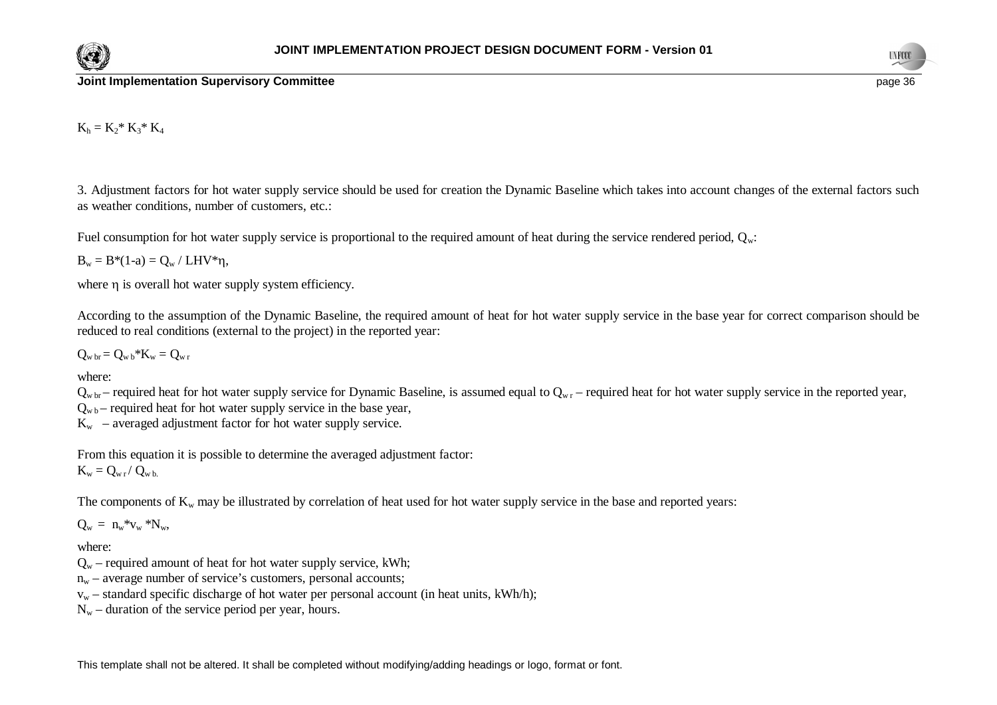



### **Joint Implementation Supervisory Committee page 36 page 36 page 36 page 36 page 36 page 36 page 36**

 $K_h = K_2^* K_3^* K_4$ 

3. Adjustment factors for hot water supply service should be used for creation the Dynamic Baseline which takes into account changes of the external factors such as weather conditions, number of customers, etc.:

Fuel consumption for hot water supply service is proportional to the required amount of heat during the service rendered period,  $Q_w$ :

 $B_w = B*(1-a) = Q_w / LHV*\eta,$ 

where n is overall hot water supply system efficiency.

According to the assumption of the Dynamic Baseline, the required amount of heat for hot water supply service in the base year for correct comparison should be reduced to real conditions (external to the project) in the reported year:

 $Q_{\rm w\, br} = Q_{\rm w\, b} * K_{\rm w} = Q_{\rm w\, r}$ 

where:

 $Q_{w \, br}$  – required heat for hot water supply service for Dynamic Baseline, is assumed equal to  $Q_{w \, r}$  – required heat for hot water supply service in the reported year,

 $Q_{\text{wb}}$  – required heat for hot water supply service in the base year,

 $K_w$  – averaged adjustment factor for hot water supply service.

From this equation it is possible to determine the averaged adjustment factor:  $K_w = Q_{w r} / Q_{w b}$ .

The components of  $K_w$  may be illustrated by correlation of heat used for hot water supply service in the base and reported years:

 $Q_w = n_w * v_w * N_w$ 

where:

- $Q_w$  required amount of heat for hot water supply service, kWh;
- $n_w$  average number of service's customers, personal accounts;
- $v_w$  standard specific discharge of hot water per personal account (in heat units, kWh/h);
- $N_w$  duration of the service period per year, hours.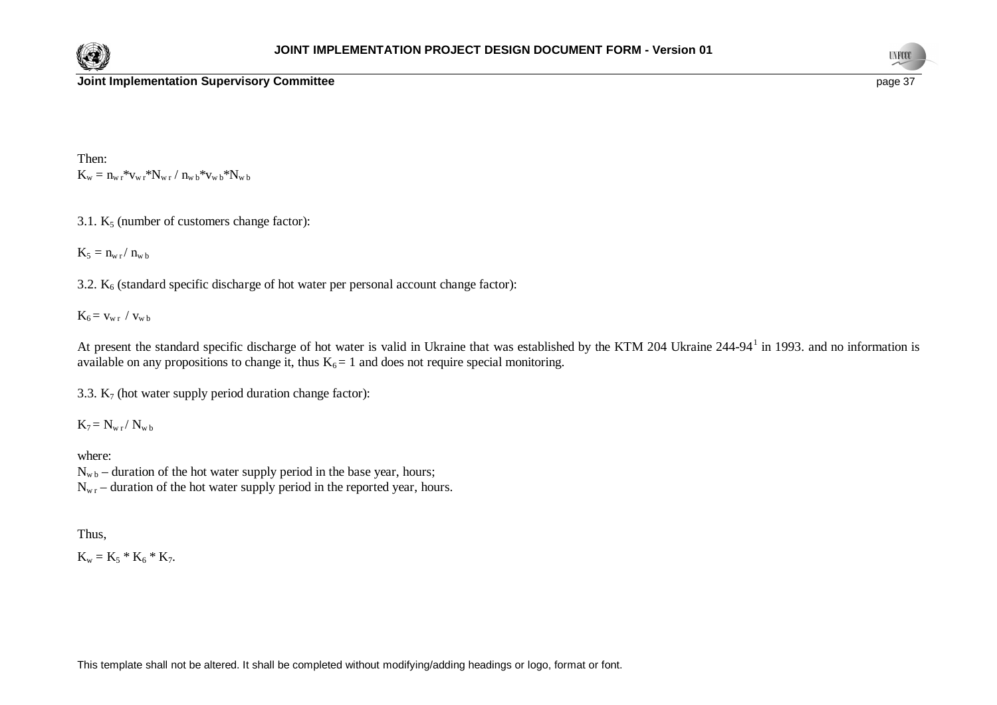



Then:  $K_w = n_{w r} * v_{w r} * N_{w r} / n_{w b} * v_{w b} * N_{w b}$ 

3.1.  $K_5$  (number of customers change factor):

 $K_5 = n_{w\,r}/\,n_{w\,b}$ 

3.2.  $K_6$  (standard specific discharge of hot water per personal account change factor):

 $K_6 = v_{w r} / v_{w b}$ 

At present the standard specific discharge of hot water is valid in Ukraine that was established by the KTM 204 Ukraine 244-94<sup>1</sup> in 1993. and no information is available on any propositions to change it, thus  $K_6 = 1$  and does not require special monitoring.

3.3.  $K_7$  (hot water supply period duration change factor):

 $K_7 = N_{w r} / N_{w b}$ 

where:  $N_{wb}$  – duration of the hot water supply period in the base year, hours;  $N_{\rm wr}$  – duration of the hot water supply period in the reported year, hours.

Thus,

 $K_w = K_5 * K_6 * K_7.$ 

This template shall not be altered. It shall be completed without modifying/adding headings or logo, format or font.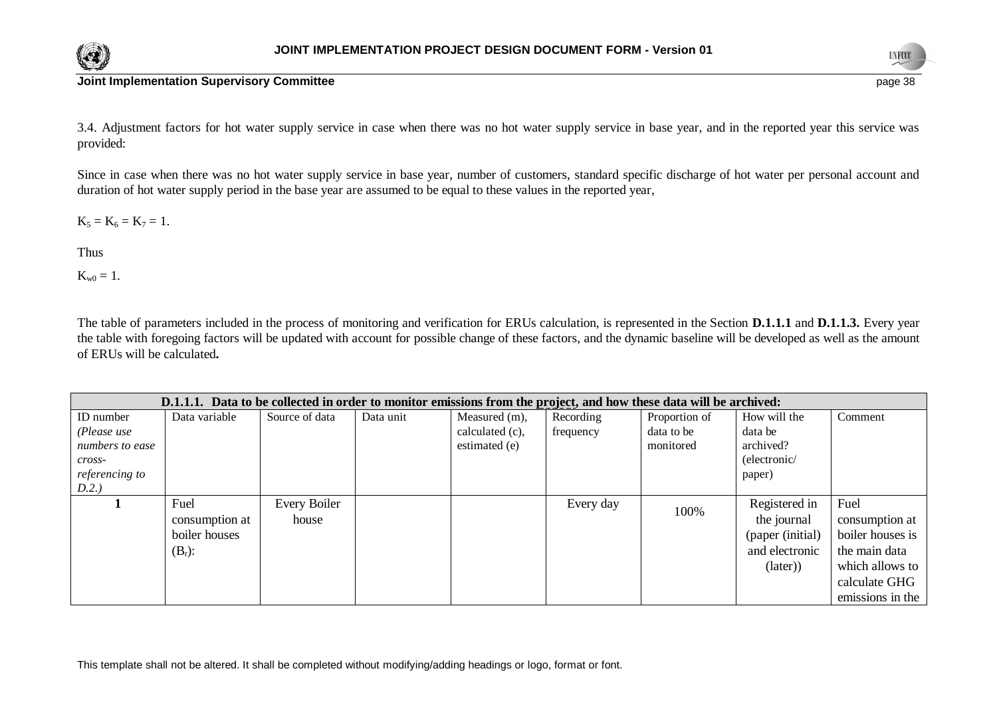



3.4. Adjustment factors for hot water supply service in case when there was no hot water supply service in base year, and in the reported year this service was provided:

Since in case when there was no hot water supply service in base year, number of customers, standard specific discharge of hot water per personal account and duration of hot water supply period in the base year are assumed to be equal to these values in the reported year,

 $K_5 = K_6 = K_7 = 1.$ 

Thus

 $K_{w0} = 1.$ 

The table of parameters included in the process of monitoring and verification for ERUs calculation, is represented in the Section **D.1.1.1** and **D.1.1.3.** Every year the table with foregoing factors will be updated with account for possible change of these factors, and the dynamic baseline will be developed as well as the amount of ERUs will be calculated**.**

|                 | D.1.1.1. Data to be collected in order to monitor emissions from the project, and how these data will be archived: |                |           |                 |           |               |                  |                  |  |
|-----------------|--------------------------------------------------------------------------------------------------------------------|----------------|-----------|-----------------|-----------|---------------|------------------|------------------|--|
| ID number       | Data variable                                                                                                      | Source of data | Data unit | Measured (m),   | Recording | Proportion of | How will the     | Comment          |  |
| (Please use     |                                                                                                                    |                |           | calculated (c), | frequency | data to be    | data be          |                  |  |
| numbers to ease |                                                                                                                    |                |           | estimated (e)   |           | monitored     | archived?        |                  |  |
| cross-          |                                                                                                                    |                |           |                 |           |               | (electronic/     |                  |  |
| referencing to  |                                                                                                                    |                |           |                 |           |               | paper)           |                  |  |
| D.2.)           |                                                                                                                    |                |           |                 |           |               |                  |                  |  |
|                 | Fuel                                                                                                               | Every Boiler   |           |                 | Every day | 100%          | Registered in    | Fuel             |  |
|                 | consumption at                                                                                                     | house          |           |                 |           |               | the journal      | consumption at   |  |
|                 | boiler houses                                                                                                      |                |           |                 |           |               | (paper (initial) | boiler houses is |  |
|                 | $(B_r)$ :                                                                                                          |                |           |                 |           |               | and electronic   | the main data    |  |
|                 |                                                                                                                    |                |           |                 |           |               | (later))         | which allows to  |  |
|                 |                                                                                                                    |                |           |                 |           |               |                  | calculate GHG    |  |
|                 |                                                                                                                    |                |           |                 |           |               |                  | emissions in the |  |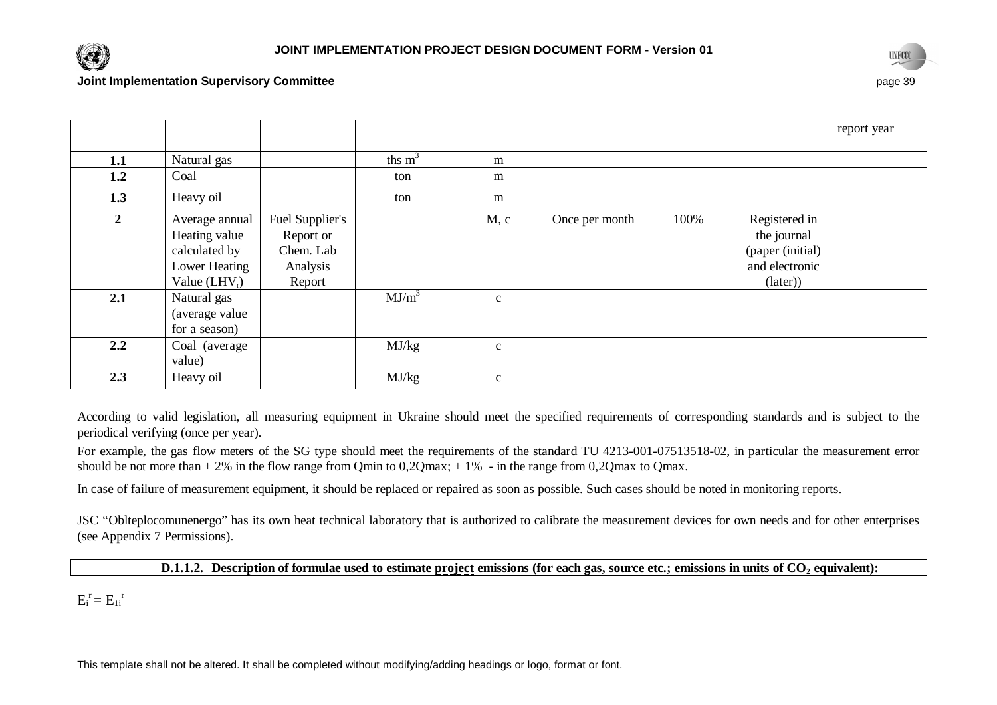



|                |                 |                 |           |              |                |      |                  | report year |
|----------------|-----------------|-----------------|-----------|--------------|----------------|------|------------------|-------------|
|                |                 |                 |           |              |                |      |                  |             |
| 1.1            | Natural gas     |                 | ths $m^3$ | m            |                |      |                  |             |
| 1.2            | Coal            |                 | ton       | m            |                |      |                  |             |
| 1.3            | Heavy oil       |                 | ton       | m            |                |      |                  |             |
| $\overline{2}$ | Average annual  | Fuel Supplier's |           | M, c         | Once per month | 100% | Registered in    |             |
|                | Heating value   | Report or       |           |              |                |      | the journal      |             |
|                | calculated by   | Chem. Lab       |           |              |                |      | (paper (initial) |             |
|                | Lower Heating   | Analysis        |           |              |                |      | and electronic   |             |
|                | Value $(LHV_r)$ | Report          |           |              |                |      | (later))         |             |
| 2.1            | Natural gas     |                 | $MJ/m^3$  | $\mathbf{C}$ |                |      |                  |             |
|                | (average value  |                 |           |              |                |      |                  |             |
|                | for a season)   |                 |           |              |                |      |                  |             |
| 2.2            | Coal (average   |                 | MJ/kg     | $\mathbf{C}$ |                |      |                  |             |
|                | value)          |                 |           |              |                |      |                  |             |
| 2.3            | Heavy oil       |                 | MJ/kg     | $\mathbf{C}$ |                |      |                  |             |

According to valid legislation, all measuring equipment in Ukraine should meet the specified requirements of corresponding standards and is subject to the periodical verifying (once per year).

For example, the gas flow meters of the SG type should meet the requirements of the standard TU 4213-001-07513518-02, in particular the measurement error should be not more than  $\pm 2\%$  in the flow range from Qmin to 0,2Qmax;  $\pm 1\%$  - in the range from 0,2Qmax to Qmax.

In case of failure of measurement equipment, it should be replaced or repaired as soon as possible. Such cases should be noted in monitoring reports.

JSC "Oblteplocomunenergo" has its own heat technical laboratory that is authorized to calibrate the measurement devices for own needs and for other enterprises (see Appendix 7 Permissions).

**D.1.1.2.** Description of formulae used to estimate project emissions (for each gas, source etc.; emissions in units of CO<sub>2</sub> equivalent):

 $E_i^r = E_{1i}^r$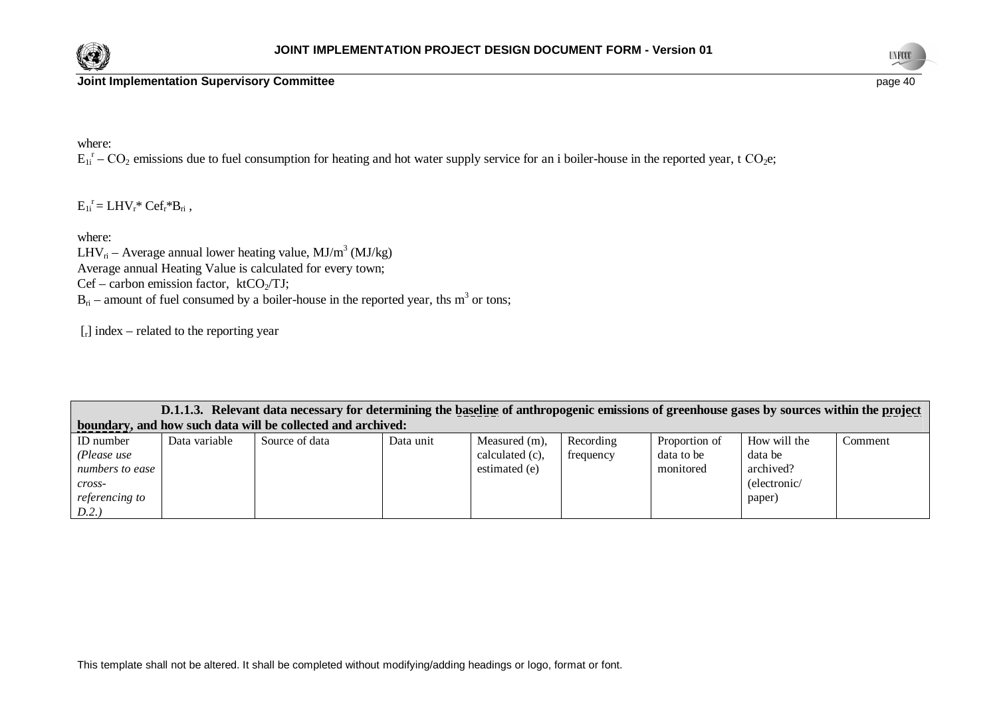



where:

 $E_{1i}^r$  –  $CO_2$  emissions due to fuel consumption for heating and hot water supply service for an i boiler-house in the reported year, t  $CO_2$ e;

 $E_{1i}^{\rceil} = LHV_{r}^*Cef_{r}^*B_{ri}$ ,

where:

LHV<sub>n</sub> – Average annual lower heating value, MJ/m<sup>3</sup> (MJ/kg) Average annual Heating Value is calculated for every town; Cef – carbon emission factor,  $ktCO<sub>2</sub>/TJ$ ;  $B_{ri}$  – amount of fuel consumed by a boiler-house in the reported year, ths m<sup>3</sup> or tons;

 $[r]$  index – related to the reporting year

|                 | D.1.1.3. Relevant data necessary for determining the baseline of anthropogenic emissions of greenhouse gases by sources within the project |                                                             |           |                 |           |               |              |         |
|-----------------|--------------------------------------------------------------------------------------------------------------------------------------------|-------------------------------------------------------------|-----------|-----------------|-----------|---------------|--------------|---------|
|                 |                                                                                                                                            | boundary, and how such data will be collected and archived: |           |                 |           |               |              |         |
| ID number       | Data variable                                                                                                                              | Source of data                                              | Data unit | Measured (m),   | Recording | Proportion of | How will the | Comment |
| (Please use     |                                                                                                                                            |                                                             |           | calculated (c), | frequency | data to be    | data be      |         |
| numbers to ease |                                                                                                                                            |                                                             |           | estimated (e)   |           | monitored     | archived?    |         |
| cross-          |                                                                                                                                            |                                                             |           |                 |           |               | (electronic/ |         |
| referencing to  |                                                                                                                                            |                                                             |           |                 |           |               | paper)       |         |
| D.2.            |                                                                                                                                            |                                                             |           |                 |           |               |              |         |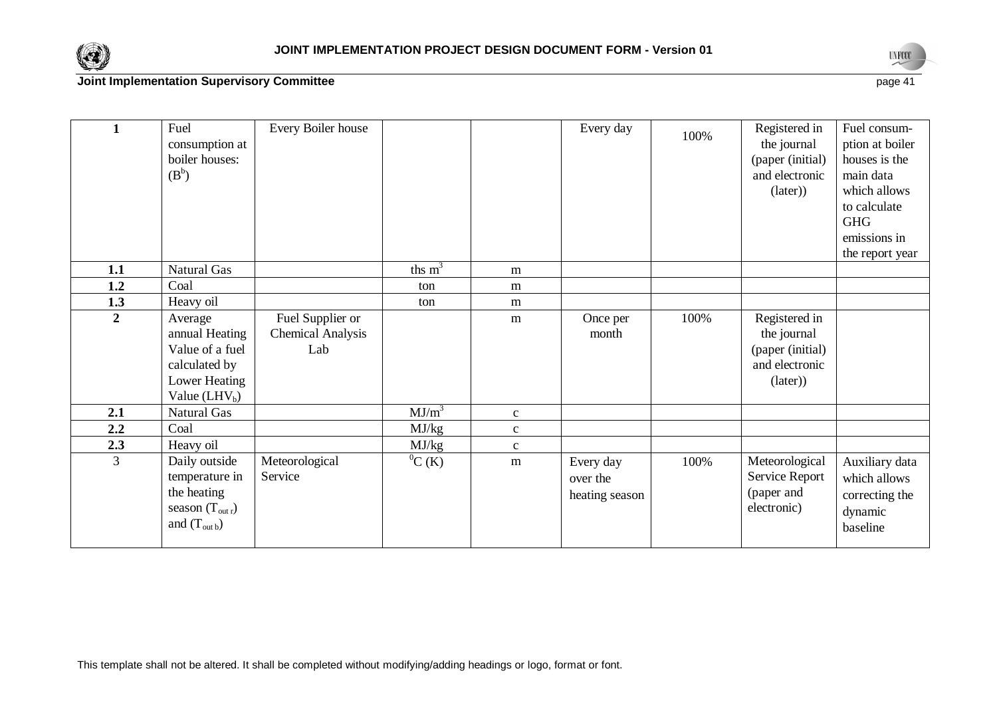



| 1              | Fuel<br>consumption at<br>boiler houses:<br>$(B^b)$                                                | Every Boiler house                                  |              |              | Every day                               | 100% | Registered in<br>the journal<br>(paper (initial)<br>and electronic<br>(later)  | Fuel consum-<br>ption at boiler<br>houses is the<br>main data<br>which allows<br>to calculate<br><b>GHG</b> |
|----------------|----------------------------------------------------------------------------------------------------|-----------------------------------------------------|--------------|--------------|-----------------------------------------|------|--------------------------------------------------------------------------------|-------------------------------------------------------------------------------------------------------------|
|                |                                                                                                    |                                                     |              |              |                                         |      |                                                                                | emissions in                                                                                                |
| 1.1            | Natural Gas                                                                                        |                                                     | ths $m^3$    | m            |                                         |      |                                                                                | the report year                                                                                             |
| 1.2            | Coal                                                                                               |                                                     | ton          | m            |                                         |      |                                                                                |                                                                                                             |
| 1.3            | Heavy oil                                                                                          |                                                     | ton          | m            |                                         |      |                                                                                |                                                                                                             |
| $\overline{2}$ | Average<br>annual Heating<br>Value of a fuel<br>calculated by<br>Lower Heating<br>Value $(LHV_b)$  | Fuel Supplier or<br><b>Chemical Analysis</b><br>Lab |              | m            | Once per<br>month                       | 100% | Registered in<br>the journal<br>(paper (initial)<br>and electronic<br>(later)) |                                                                                                             |
| 2.1            | Natural Gas                                                                                        |                                                     | $MJ/m^3$     | $\mathbf{C}$ |                                         |      |                                                                                |                                                                                                             |
| 2.2            | Coal                                                                                               |                                                     | MJ/kg        | $\mathbf c$  |                                         |      |                                                                                |                                                                                                             |
| 2.3            | Heavy oil                                                                                          |                                                     | MJ/kg        | $\mathbf{C}$ |                                         |      |                                                                                |                                                                                                             |
| $\overline{3}$ | Daily outside<br>temperature in<br>the heating<br>season $(T_{out r})$<br>and $(T_{\text{out }b})$ | Meteorological<br>Service                           | ${}^{0}C(K)$ | m            | Every day<br>over the<br>heating season | 100% | Meteorological<br>Service Report<br>(paper and<br>electronic)                  | Auxiliary data<br>which allows<br>correcting the<br>dynamic<br>baseline                                     |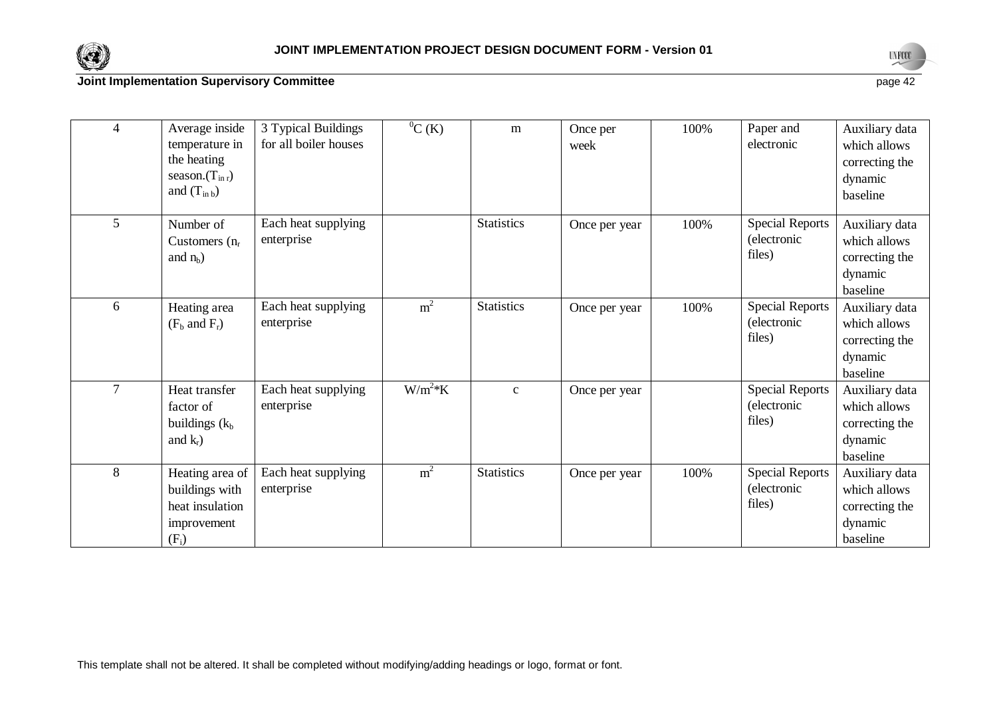



| $\overline{4}$ | Average inside<br>temperature in<br>the heating<br>season. $(T_{\rm inr})$<br>and $(T_{in b})$ | 3 Typical Buildings<br>for all boiler houses | ${}^{0}C(K)$   | m                 | Once per<br>week | 100% | Paper and<br>electronic                         | Auxiliary data<br>which allows<br>correcting the<br>dynamic<br>baseline |
|----------------|------------------------------------------------------------------------------------------------|----------------------------------------------|----------------|-------------------|------------------|------|-------------------------------------------------|-------------------------------------------------------------------------|
| 5 <sup>5</sup> | Number of<br>Customers $(n_r)$<br>and $n_h$ )                                                  | Each heat supplying<br>enterprise            |                | <b>Statistics</b> | Once per year    | 100% | <b>Special Reports</b><br>(electronic<br>files) | Auxiliary data<br>which allows<br>correcting the<br>dynamic<br>baseline |
| 6              | Heating area<br>$(F_b$ and $F_r$ )                                                             | Each heat supplying<br>enterprise            | m <sup>2</sup> | <b>Statistics</b> | Once per year    | 100% | <b>Special Reports</b><br>(electronic<br>files) | Auxiliary data<br>which allows<br>correcting the<br>dynamic<br>baseline |
| $\tau$         | Heat transfer<br>factor of<br>buildings $(k_b)$<br>and $k_r$ )                                 | Each heat supplying<br>enterprise            | $W/m^2*K$      | $\mathbf{C}$      | Once per year    |      | <b>Special Reports</b><br>(electronic<br>files) | Auxiliary data<br>which allows<br>correcting the<br>dynamic<br>baseline |
| 8              | Heating area of<br>buildings with<br>heat insulation<br>improvement<br>$(F_i)$                 | Each heat supplying<br>enterprise            | m <sup>2</sup> | <b>Statistics</b> | Once per year    | 100% | <b>Special Reports</b><br>(electronic<br>files) | Auxiliary data<br>which allows<br>correcting the<br>dynamic<br>baseline |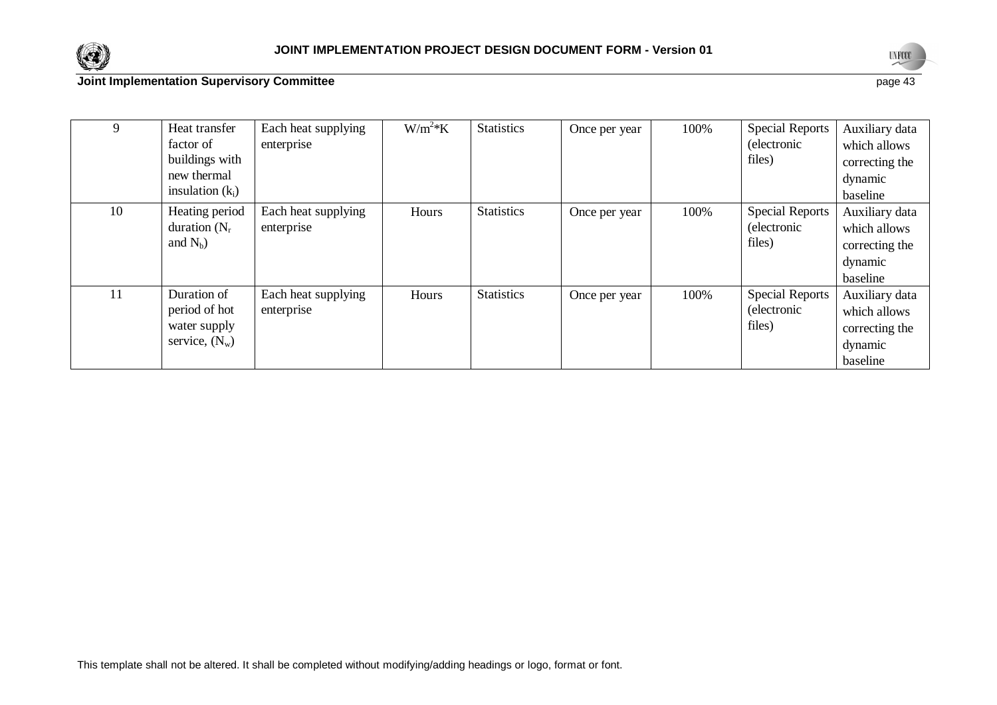



baseline

| 9  | Heat transfer<br>factor of<br>buildings with<br>new thermal<br>insulation $(k_i)$ | Each heat supplying<br>enterprise | $W/m^2*K$ | <b>Statistics</b> | Once per year | 100% | Special Reports<br>(electronic<br>files)                | Auxiliary data<br>which allows<br>correcting the<br>dynamic<br>baseline |
|----|-----------------------------------------------------------------------------------|-----------------------------------|-----------|-------------------|---------------|------|---------------------------------------------------------|-------------------------------------------------------------------------|
| 10 | Heating period<br>duration $(N_r)$<br>and $N_h$ )                                 | Each heat supplying<br>enterprise | Hours     | <b>Statistics</b> | Once per year | 100% | <b>Special Reports</b><br><i>(electronic)</i><br>files) | Auxiliary data<br>which allows<br>correcting the<br>dynamic<br>baseline |
| 11 | Duration of<br>period of hot<br>water supply<br>service, $(N_w)$                  | Each heat supplying<br>enterprise | Hours     | <b>Statistics</b> | Once per year | 100% | <b>Special Reports</b><br>(electronic<br>files)         | Auxiliary data<br>which allows<br>correcting the<br>dynamic             |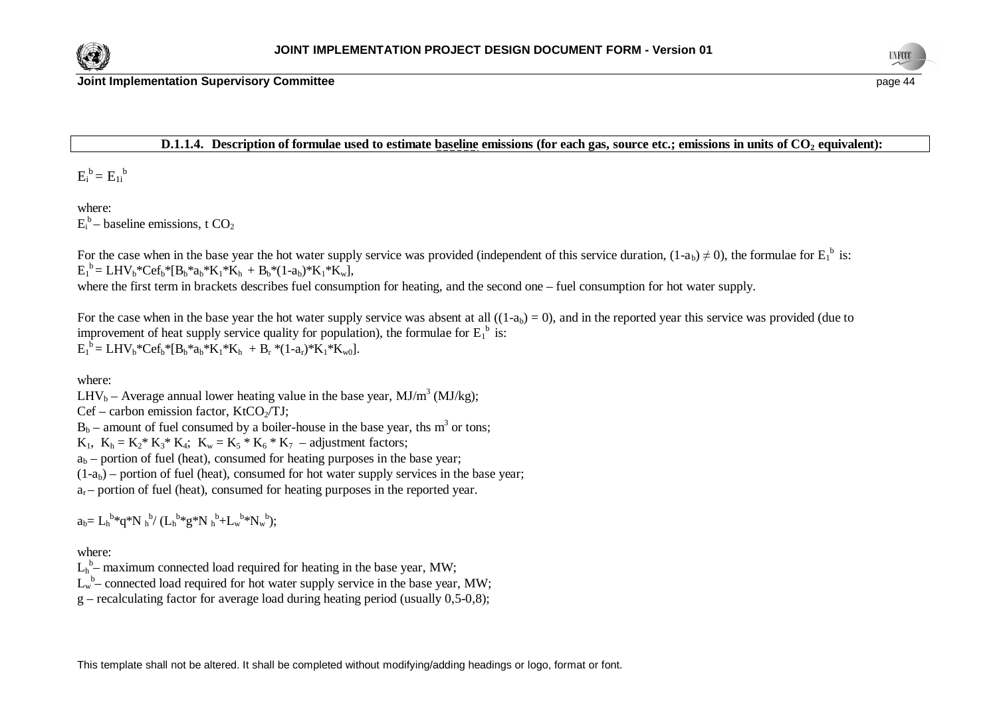



**Joint Implementation Supervisory Committee page 44 page 44 page 44 page 44 page 44 page 44 page 44** 

### **D.1.1.4. Description of formulae used to estimate baseline emissions (for each gas, source etc.; emissions in units of CO2 equivalent):**

 $E_i^b = E_{1i}^b$ 

where:  $E_i^b$  – baseline emissions, t CO<sub>2</sub>

For the case when in the base year the hot water supply service was provided (independent of this service duration,  $(1-a_b) \neq 0$ ), the formulae for  $E_1^b$  is:  $E_1^b = LHV_b*Cef_b* [B_b*a_b*K_1*K_h + B_b*(1-a_b)*K_1*K_w],$ 

where the first term in brackets describes fuel consumption for heating, and the second one – fuel consumption for hot water supply.

For the case when in the base year the hot water supply service was absent at all  $((1-a<sub>b</sub>) = 0)$ , and in the reported year this service was provided (due to improvement of heat supply service quality for population), the formulae for  $E_1^b$  is:  $E_1^b = LHV_b*Cef_b* [B_b*a_b*K_1*K_h + B_r*(1-a_r)*K_1*K_{w0}].$ 

where:

LHV<sub>b</sub> – Average annual lower heating value in the base year, MJ/m<sup>3</sup> (MJ/kg);

 $Cef - \text{carbon emission factor}$ , KtCO $\sqrt{T}$ J;

 $B_b$  – amount of fuel consumed by a boiler-house in the base year, ths m<sup>3</sup> or tons;

 $K_1$ ,  $K_h = K_2^* K_3^* K_4$ ;  $K_w = K_5^* K_6^* K_7$  – adjustment factors;

 $a<sub>b</sub>$  – portion of fuel (heat), consumed for heating purposes in the base year;

 $(1-a<sub>b</sub>)$  – portion of fuel (heat), consumed for hot water supply services in the base year;

 $a<sub>r</sub>$  – portion of fuel (heat), consumed for heating purposes in the reported year.

 $a_b = L_h^{b*} q^* N_h^{b} / (L_h^{b*} g^* N_h^{b} + L_w^{b*} N_w^{b});$ 

where:

 $L_h^b$  maximum connected load required for heating in the base year, MW;

 $L_w^b$  – connected load required for hot water supply service in the base year, MW;

 $g$  – recalculating factor for average load during heating period (usually 0,5-0,8);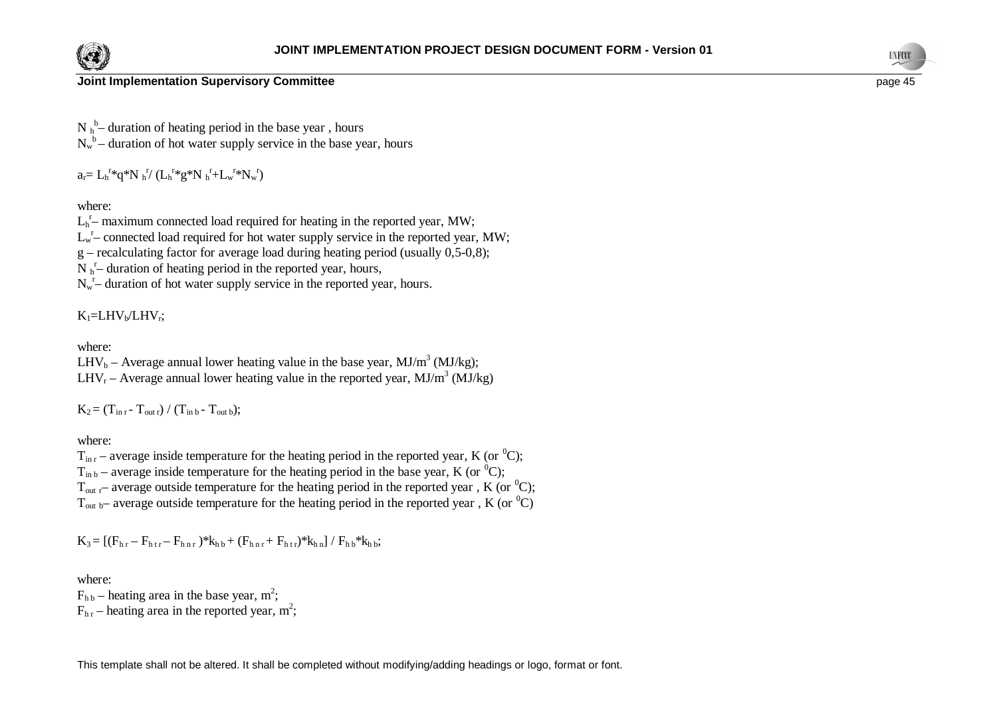



## **Joint Implementation Supervisory Committee page 45 page 45 page 45 page 45 page 45 page 45**

 $N h$ <sup>b</sup> duration of heating period in the base year, hours  $N_w^b$  – duration of hot water supply service in the base year, hours

 $a_r = L_h^{r*} q^* N_h^{r'} (L_h^{r*} g^* N_h^{r} + L_w^{r*} N_w^{r})$ 

where:

 $L<sub>h</sub><sup>r</sup>$  maximum connected load required for heating in the reported year, MW;

 $L_w^r$  connected load required for hot water supply service in the reported year, MW;

 $g$  – recalculating factor for average load during heating period (usually 0,5-0,8);

 $N_{h}$ <sup>r</sup> duration of heating period in the reported year, hours,

 $N_w$ <sup>r</sup> duration of hot water supply service in the reported year, hours.

 $K_1=LHV_b/LHV_r;$ 

where:

LHV<sub>b</sub> – Average annual lower heating value in the base year, MJ/m<sup>3</sup> (MJ/kg); LHV<sub>r</sub> – Average annual lower heating value in the reported year, MJ/m<sup>3</sup> (MJ/kg)

 $K_2 = (T_{\text{in }r} - T_{\text{out }r}) / (T_{\text{in }b} - T_{\text{out }b});$ 

where:

 $T_{\text{in }r}$  – average inside temperature for the heating period in the reported year, K (or <sup>0</sup>C);  $T_{\text{in b}}$  – average inside temperature for the heating period in the base year, K (or <sup>0</sup>C);  $T_{\text{out }r}$  average outside temperature for the heating period in the reported year, K (or <sup>0</sup>C);  $T_{\text{out b}}$ – average outside temperature for the heating period in the reported year, K (or <sup>0</sup>C)

$$
K_3\!=\! \, [(F_{h\,r}-F_{h\,t\,r}-F_{h\,n\,r}\,)^* \! k_{h\,b}\!+ (F_{h\,n\,r} \!+F_{h\,t\,r})^* \! k_{h\,n}] \,/\, F_{h\,b}^* \! k_{h\,b};
$$

where:

 $F_{hb}$  – heating area in the base year, m<sup>2</sup>;  $F_{hr}$  – heating area in the reported year, m<sup>2</sup>;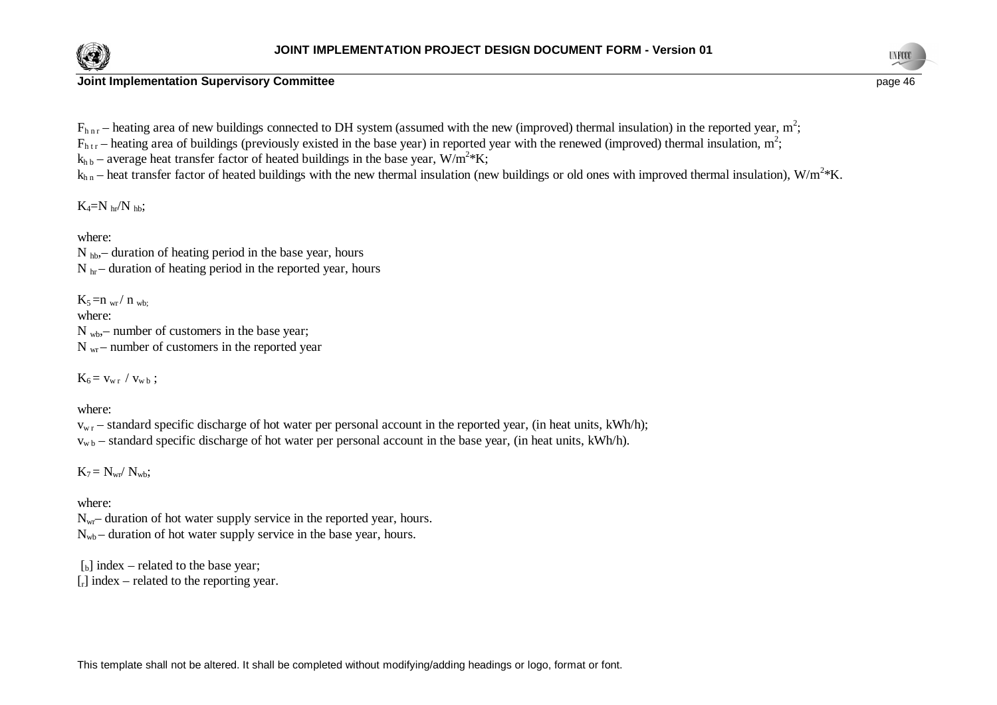

**Joint Implementation Supervisory Committee page 46 page 46 page 46 page 46 page 46 page 46 page 46 page 46** 



 $F_{h n r}$  – heating area of new buildings connected to DH system (assumed with the new (improved) thermal insulation) in the reported year, m<sup>2</sup>;

 $F_{htr}$  – heating area of buildings (previously existed in the base year) in reported year with the renewed (improved) thermal insulation, m<sup>2</sup>;

 $k_{h\,b}$  – average heat transfer factor of heated buildings in the base year, W/m<sup>2</sup>\*K;

 $k_{h n}$  – heat transfer factor of heated buildings with the new thermal insulation (new buildings or old ones with improved thermal insulation), W/m<sup>2</sup>\*K.

 $K_4=N_h/r$ <sub>hb</sub>;

where:

N hb,– duration of heating period in the base year, hours  $N_{hr}$  – duration of heating period in the reported year, hours

 $K_5 = n_{wr}/n_{wr}$ where:  $N_{wb}$  – number of customers in the base year;  $N_{\text{wr}}$  – number of customers in the reported year

 $K_6 = v_{w r} / v_{w b}$ ;

where:

 $v_{w,r}$  – standard specific discharge of hot water per personal account in the reported year, (in heat units, kWh/h);  $v_{wb}$  – standard specific discharge of hot water per personal account in the base year, (in heat units, kWh/h).

 $K_7 = N_{wr} / N_{wh};$ 

where:

 $N_{\rm wr}$ – duration of hot water supply service in the reported year, hours.  $N_{\rm wb}$  – duration of hot water supply service in the base year, hours.

 $\lceil b \rceil$  index – related to the base year;  $\lceil r \rceil$  index – related to the reporting year.

This template shall not be altered. It shall be completed without modifying/adding headings or logo, format or font.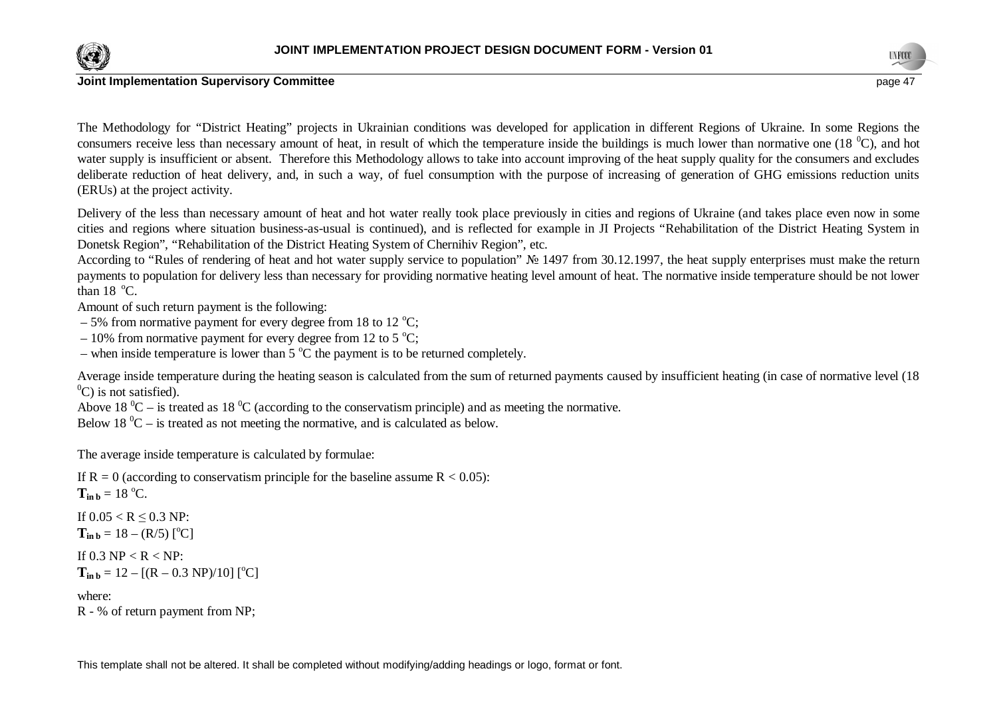



### **Joint Implementation Supervisory Committee page 47 page 47 page 47 page 47 page 47 page 47 page 47 page 47**

The Methodology for "District Heating" projects in Ukrainian conditions was developed for application in different Regions of Ukraine. In some Regions the consumers receive less than necessary amount of heat, in result of which the temperature inside the buildings is much lower than normative one (18 $^{\circ}$ C), and hot water supply is insufficient or absent. Therefore this Methodology allows to take into account improving of the heat supply quality for the consumers and excludes deliberate reduction of heat delivery, and, in such a way, of fuel consumption with the purpose of increasing of generation of GHG emissions reduction units (ERUs) at the project activity.

Delivery of the less than necessary amount of heat and hot water really took place previously in cities and regions of Ukraine (and takes place even now in some cities and regions where situation business-as-usual is continued), and is reflected for example in JI Projects "Rehabilitation of the District Heating System in Donetsk Region", "Rehabilitation of the District Heating System of Chernihiv Region", etc.

According to "Rules of rendering of heat and hot water supply service to population"  $\mathcal{N}_2$  1497 from 30.12.1997, the heat supply enterprises must make the return payments to population for delivery less than necessary for providing normative heating level amount of heat. The normative inside temperature should be not lower than  $18^\circ$ C.

Amount of such return payment is the following:

- 5% from normative payment for every degree from 18 to 12  $^{\circ}$ C;
- 10% from normative payment for every degree from 12 to 5  $^{\circ}$ C;
- when inside temperature is lower than  $5^{\circ}$ C the payment is to be returned completely.

Average inside temperature during the heating season is calculated from the sum of returned payments caused by insufficient heating (in case of normative level (18  $^{0}$ C) is not satisfied).

Above 18  $^0C$  – is treated as 18  $^0C$  (according to the conservatism principle) and as meeting the normative.

Below 18  $^0C$  – is treated as not meeting the normative, and is calculated as below.

The average inside temperature is calculated by formulae:

If  $R = 0$  (according to conservatism principle for the baseline assume  $R < 0.05$ ):

 $T_{\text{in }b} = 18 \text{ °C}.$ 

If  $0.05 < R \le 0.3$  NP:  $T_{\text{in }b} = 18 - (R/5)$  [<sup>o</sup>C]

If  $0.3$  NP  $<$  R  $<$  NP:

 $T_{\text{in }b} = 12 - [(R - 0.3 \text{ NP})/10]$  [<sup>o</sup>C]

where:

R - % of return payment from NP;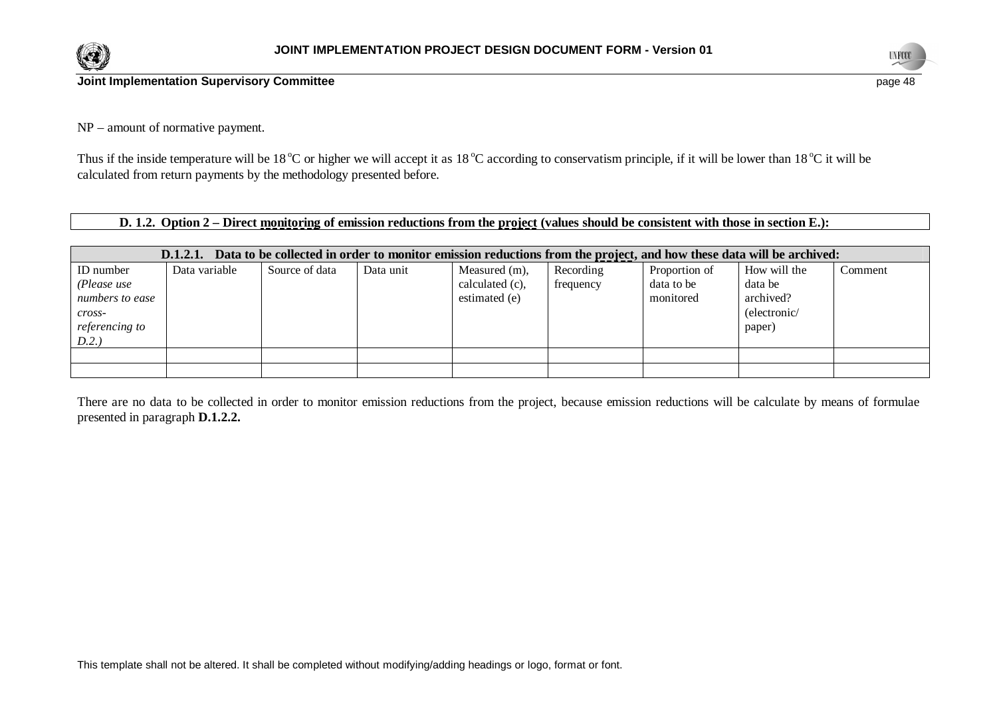



NP – amount of normative payment.

Thus if the inside temperature will be 18<sup>o</sup>C or higher we will accept it as 18<sup>o</sup>C according to conservatism principle, if it will be lower than 18<sup>o</sup>C it will be calculated from return payments by the methodology presented before.

**D. 1.2. Option 2 – Direct monitoring of emission reductions from the project (values should be consistent with those in section E.):**

|                    | Data to be collected in order to monitor emission reductions from the project, and how these data will be archived:<br>D.1.2.1. |                |           |                 |           |               |              |         |  |
|--------------------|---------------------------------------------------------------------------------------------------------------------------------|----------------|-----------|-----------------|-----------|---------------|--------------|---------|--|
| ID number          | Data variable                                                                                                                   | Source of data | Data unit | Measured (m),   | Recording | Proportion of | How will the | Comment |  |
| (Please use        |                                                                                                                                 |                |           | calculated (c), | frequency | data to be    | data be      |         |  |
| numbers to ease    |                                                                                                                                 |                |           | estimated (e)   |           | monitored     | archived?    |         |  |
| $\mathit{cross}$ - |                                                                                                                                 |                |           |                 |           |               | (electronic/ |         |  |
| referencing to     |                                                                                                                                 |                |           |                 |           |               | paper)       |         |  |
| D.2.               |                                                                                                                                 |                |           |                 |           |               |              |         |  |
|                    |                                                                                                                                 |                |           |                 |           |               |              |         |  |
|                    |                                                                                                                                 |                |           |                 |           |               |              |         |  |

There are no data to be collected in order to monitor emission reductions from the project, because emission reductions will be calculate by means of formulae presented in paragraph **D.1.2.2.**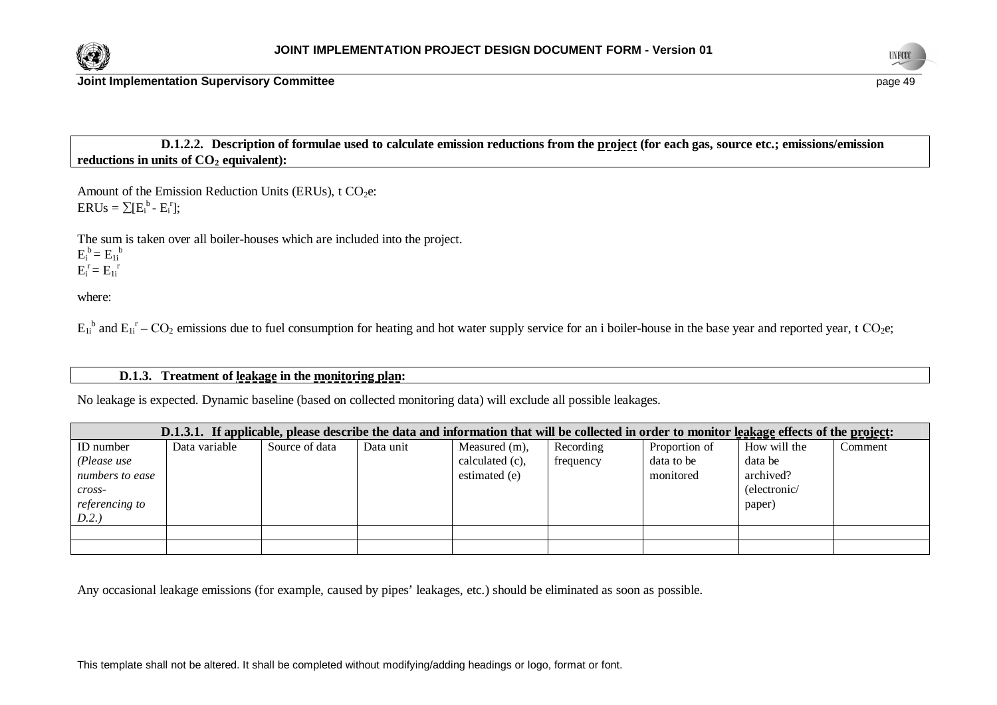



**D.1.2.2. Description of formulae used to calculate emission reductions from the project (for each gas, source etc.; emissions/emission reductions in units of CO2 equivalent):**

Amount of the Emission Reduction Units (ERUs),  $t CO<sub>2</sub>e$ :  $ERUs = \sum [E_i^b - E_i^r];$ 

The sum is taken over all boiler-houses which are included into the project.  $E_i^b = E_{1i}^b$  $E_i^r = E_{1i}^r$ 

where:

 $E_{1i}$ <sup>b</sup> and  $E_{1i}$ <sup>r</sup> – CO<sub>2</sub> emissions due to fuel consumption for heating and hot water supply service for an i boiler-house in the base year and reported year, t CO<sub>2</sub>e;

## **D.1.3. Treatment of leakage in the monitoring plan:**

No leakage is expected. Dynamic baseline (based on collected monitoring data) will exclude all possible leakages.

|                    | D.1.3.1. If applicable, please describe the data and information that will be collected in order to monitor leakage effects of the project: |                |           |                 |           |               |              |         |
|--------------------|---------------------------------------------------------------------------------------------------------------------------------------------|----------------|-----------|-----------------|-----------|---------------|--------------|---------|
| ID number          | Data variable                                                                                                                               | Source of data | Data unit | Measured (m),   | Recording | Proportion of | How will the | Comment |
| (Please use        |                                                                                                                                             |                |           | calculated (c), | frequency | data to be    | data be      |         |
| numbers to ease    |                                                                                                                                             |                |           | estimated (e)   |           | monitored     | archived?    |         |
| $\mathit{cross}$ - |                                                                                                                                             |                |           |                 |           |               | (electronic/ |         |
| referencing to     |                                                                                                                                             |                |           |                 |           |               | paper)       |         |
| D.2.)              |                                                                                                                                             |                |           |                 |           |               |              |         |
|                    |                                                                                                                                             |                |           |                 |           |               |              |         |
|                    |                                                                                                                                             |                |           |                 |           |               |              |         |

Any occasional leakage emissions (for example, caused by pipes' leakages, etc.) should be eliminated as soon as possible.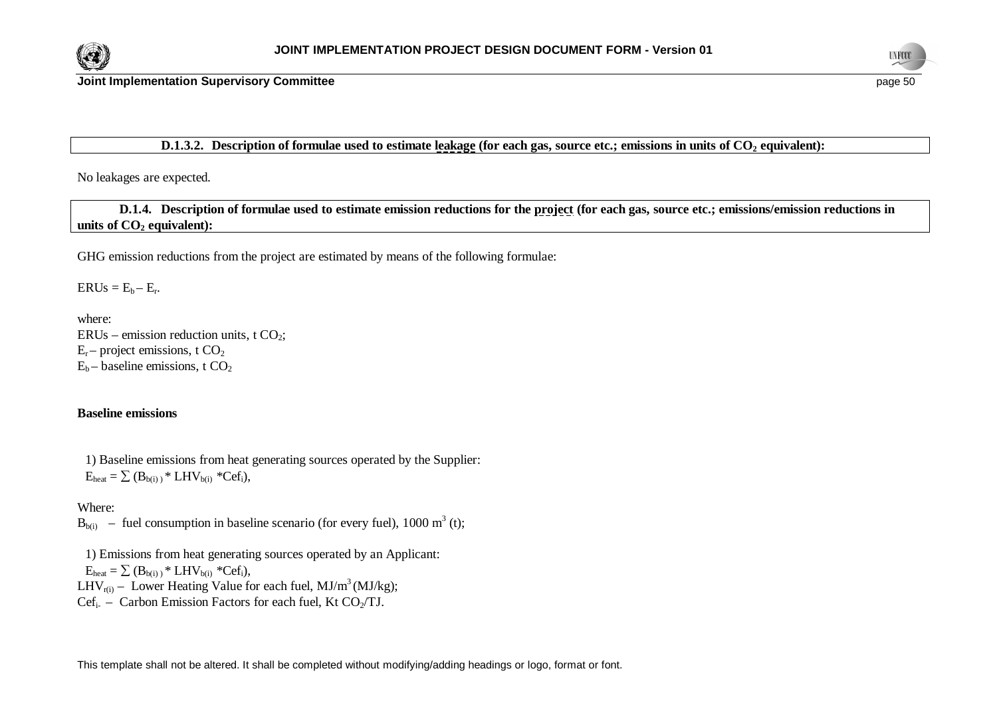



## **D.1.3.2.** Description of formulae used to estimate leakage (for each gas, source etc.; emissions in units of CO<sub>2</sub> equivalent):

No leakages are expected.

**D.1.4. Description of formulae used to estimate emission reductions for the project (for each gas, source etc.; emissions/emission reductions in units of CO2 equivalent):**

GHG emission reductions from the project are estimated by means of the following formulae:

 $ERUs = E_b - E_r.$ 

where: ERUs – emission reduction units, t  $CO<sub>2</sub>$ ;  $E_r$  – project emissions, t  $CO_2$  $E_b$  – baseline emissions, t  $CO<sub>2</sub>$ 

## **Baseline emissions**

1) Baseline emissions from heat generating sources operated by the Supplier:  $E_{\text{heat}} = \sum (B_{\text{b(i)}})^* LHV_{\text{b(i)}}$  \*Cef<sub>i</sub>),

Where:

 $B_{b(i)}$  – fuel consumption in baseline scenario (for every fuel), 1000 m<sup>3</sup> (t);

1) Emissions from heat generating sources operated by an Applicant:

 $E_{heat} = \sum (B_{b(i)})^* LHV_{b(i)} *Cef_i$ ,

LHV<sub>r(i)</sub> – Lower Heating Value for each fuel, MJ/m<sup>3</sup> (MJ/kg);

 $Cef_i$  – Carbon Emission Factors for each fuel, Kt  $CO_2/TJ$ .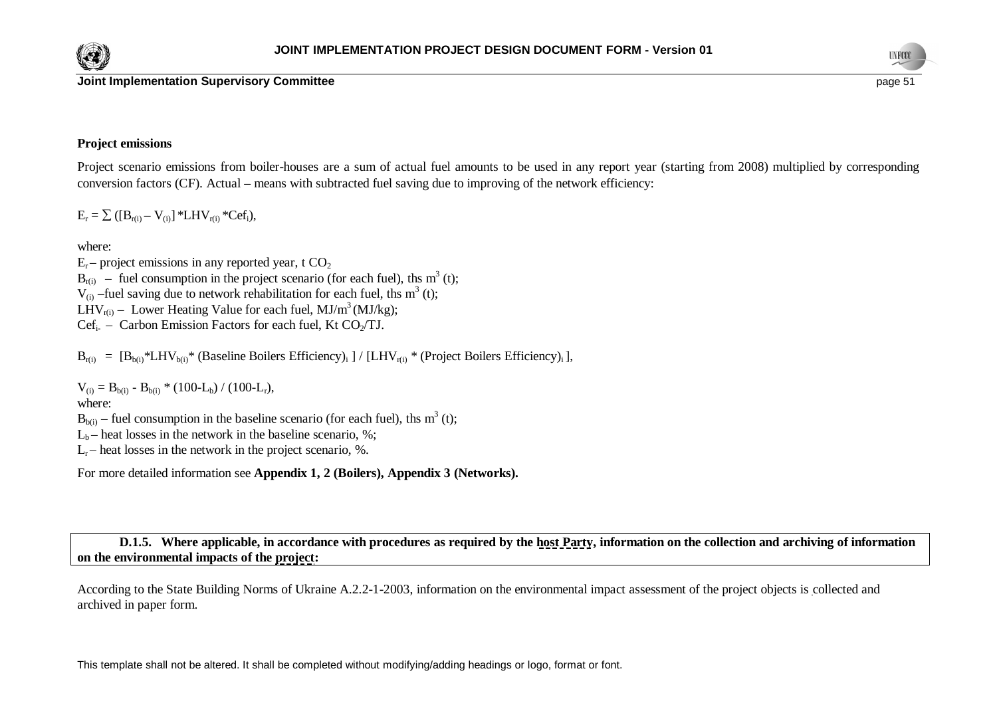





### **Project emissions**

Project scenario emissions from boiler-houses are a sum of actual fuel amounts to be used in any report year (starting from 2008) multiplied by corresponding conversion factors (CF). Actual – means with subtracted fuel saving due to improving of the network efficiency:

 $E_r = \sum ( [B_{r(i)} - V_{(i)}] * LHV_{r(i)} *Cef_i),$ 

where:

 $E_r$  – project emissions in any reported year, t  $CO_2$  $B_{r(i)}$  – fuel consumption in the project scenario (for each fuel), ths m<sup>3</sup> (t);  $V_{(i)}$  –fuel saving due to network rehabilitation for each fuel, ths m<sup>3</sup> (t); LHV<sub>r(i)</sub> – Lower Heating Value for each fuel, MJ/m<sup>3</sup> (MJ/kg);  $Cef_i$  – Carbon Emission Factors for each fuel, Kt CO<sub>2</sub>/TJ.

 $B_{r(i)} = [B_{b(i)} * LHV_{b(i)} * (Baseline Boilers Efficiency)_i ] / [LHV_{r(i)} * (Project Boilers Efficiency)_i ],$ 

 $V_{(i)} = B_{b(i)} - B_{b(i)} * (100-L_b) / (100-L_r),$ 

### where:

 $B_{b(i)}$  – fuel consumption in the baseline scenario (for each fuel), ths m<sup>3</sup> (t);

 $L_b$  – heat losses in the network in the baseline scenario, %;

 $L_r$  – heat losses in the network in the project scenario, %.

For more detailed information see **Appendix 1, 2 (Boilers), Appendix 3 (Networks).**

**D.1.5. Where applicable, in accordance with procedures as required by the host Party, information on the collection and archiving of information on the environmental impacts of the project:**

According to the State Building Norms of Ukraine A.2.2-1-2003, information on the environmental impact assessment of the project objects is collected and archived in paper form.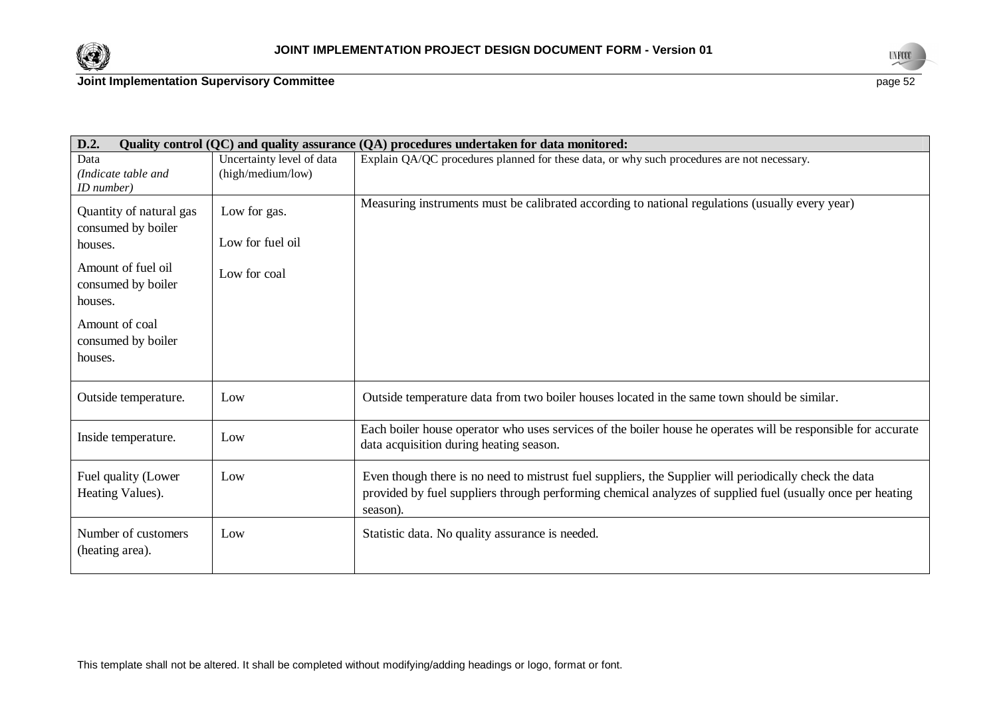



| D.2.                                                     |                                  | Quality control (QC) and quality assurance (QA) procedures undertaken for data monitored:                                                                                                                                        |
|----------------------------------------------------------|----------------------------------|----------------------------------------------------------------------------------------------------------------------------------------------------------------------------------------------------------------------------------|
| Data                                                     | Uncertainty level of data        | Explain QA/QC procedures planned for these data, or why such procedures are not necessary.                                                                                                                                       |
| (Indicate table and<br>ID number)                        | (high/medium/low)                |                                                                                                                                                                                                                                  |
| Quantity of natural gas<br>consumed by boiler<br>houses. | Low for gas.<br>Low for fuel oil | Measuring instruments must be calibrated according to national regulations (usually every year)                                                                                                                                  |
| Amount of fuel oil<br>consumed by boiler<br>houses.      | Low for coal                     |                                                                                                                                                                                                                                  |
| Amount of coal<br>consumed by boiler<br>houses.          |                                  |                                                                                                                                                                                                                                  |
| Outside temperature.                                     | Low                              | Outside temperature data from two boiler houses located in the same town should be similar.                                                                                                                                      |
| Inside temperature.                                      | Low                              | Each boiler house operator who uses services of the boiler house he operates will be responsible for accurate<br>data acquisition during heating season.                                                                         |
| Fuel quality (Lower<br>Heating Values).                  | Low                              | Even though there is no need to mistrust fuel suppliers, the Supplier will periodically check the data<br>provided by fuel suppliers through performing chemical analyzes of supplied fuel (usually once per heating<br>season). |
| Number of customers<br>(heating area).                   | Low                              | Statistic data. No quality assurance is needed.                                                                                                                                                                                  |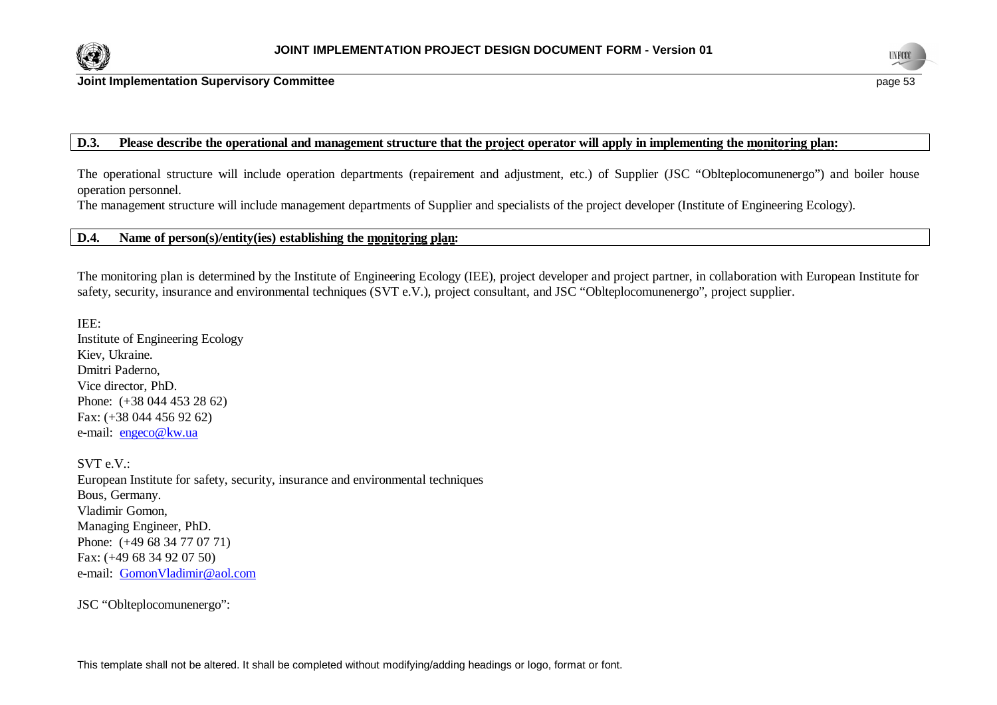



**Joint Implementation Supervisory Committee page 13 page 13 page 13 page 13 page 53** 

## **D.3. Please describe the operational and management structure that the project operator will apply in implementing the monitoring plan:**

The operational structure will include operation departments (repairement and adjustment, etc.) of Supplier (JSC "Oblteplocomunenergo") and boiler house operation personnel.

The management structure will include management departments of Supplier and specialists of the project developer (Institute of Engineering Ecology).

## **D.4. Name of person(s)/entity(ies) establishing the monitoring plan:**

The monitoring plan is determined by the Institute of Engineering Ecology (IEE), project developer and project partner, in collaboration with European Institute for safety, security, insurance and environmental techniques (SVT e.V.), project consultant, and JSC "Oblteplocomunenergo", project supplier.

IEE: Institute of Engineering Ecology Kiev, Ukraine. Dmitri Paderno, Vice director, PhD. Phone: (+38 044 453 28 62) Fax: (+38 044 456 92 62) e-mail: [engeco@kw.ua](mailto:engeco@kw.ua)

SVT e.V.: European Institute for safety, security, insurance and environmental techniques Bous, Germany. Vladimir Gomon, Managing Engineer, PhD. Phone: (+49 68 34 77 07 71) Fax: (+49 68 34 92 07 50) e-mail: [GomonVladimir@aol.com](mailto:GomonVladimir@aol.com)

JSC "Oblteplocomunenergo":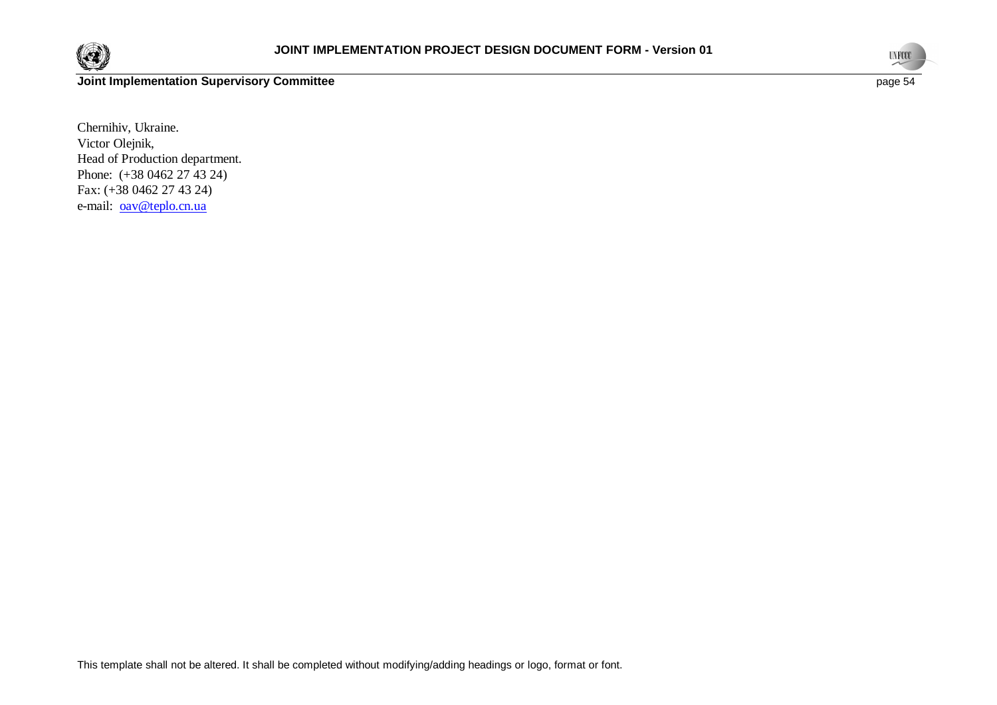



Chernihiv, Ukraine. Victor Olejnik, Head of Production department. Phone: (+38 0462 27 43 24) Fax: (+38 0462 27 43 24) e-mail: [oav@teplo.cn.ua](mailto:oav@teplo.cn.ua)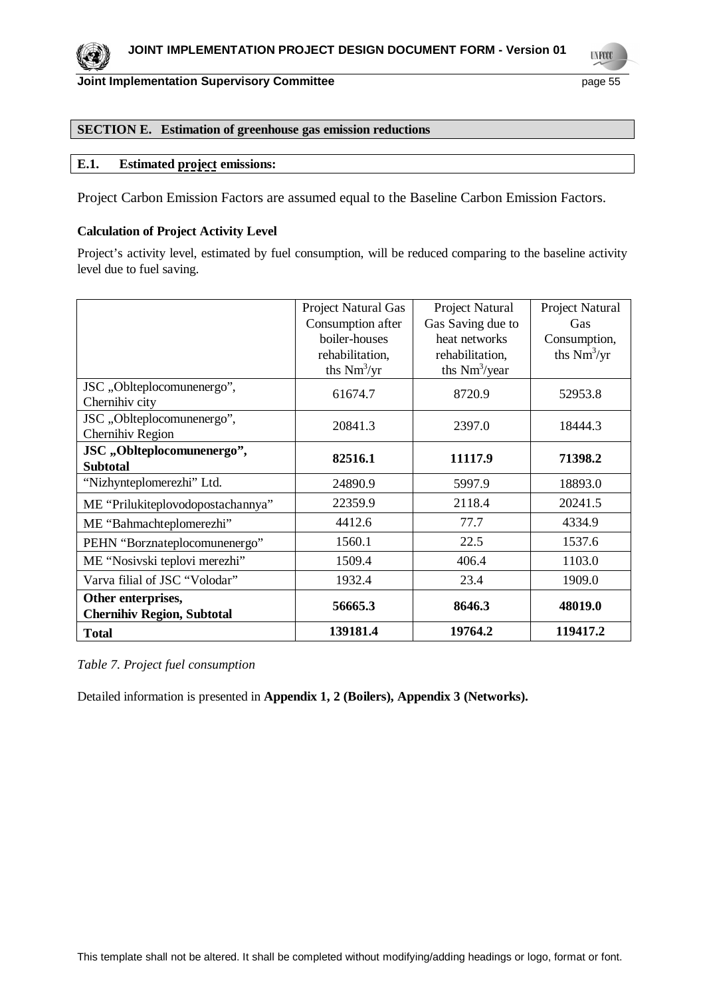

### **SECTION E. Estimation of greenhouse gas emission reductions**

## **E.1. Estimated project emissions:**

Project Carbon Emission Factors are assumed equal to the Baseline Carbon Emission Factors.

### **Calculation of Project Activity Level**

Project's activity level, estimated by fuel consumption, will be reduced comparing to the baseline activity level due to fuel saving.

|                                                         | Project Natural Gas | Project Natural           | Project Natural |
|---------------------------------------------------------|---------------------|---------------------------|-----------------|
|                                                         | Consumption after   | Gas Saving due to         | Gas             |
|                                                         | boiler-houses       | heat networks             | Consumption,    |
|                                                         | rehabilitation,     | rehabilitation,           | ths $Nm^3/yr$   |
|                                                         | ths $Nm^3/yr$       | ths Nm <sup>3</sup> /year |                 |
| JSC "Oblteplocomunenergo",<br>Chernihiv city            | 61674.7             | 8720.9                    | 52953.8         |
| JSC, Oblteplocomunenergo",<br>Chernihiv Region          | 20841.3             | 2397.0                    | 18444.3         |
| JSC,,Oblteplocomunenergo",<br><b>Subtotal</b>           | 82516.1             | 11117.9                   | 71398.2         |
| "Nizhynteplomerezhi" Ltd.                               | 24890.9             | 5997.9                    | 18893.0         |
| ME "Prilukiteplovodopostachannya"                       | 22359.9             | 2118.4                    | 20241.5         |
| ME "Bahmachteplomerezhi"                                | 4412.6              | 77.7                      | 4334.9          |
| PEHN "Borznateplocomunenergo"                           | 1560.1              | 22.5                      | 1537.6          |
| ME "Nosivski teplovi merezhi"                           | 1509.4              | 406.4                     | 1103.0          |
| Varva filial of JSC "Volodar"                           | 1932.4              | 23.4                      | 1909.0          |
| Other enterprises,<br><b>Chernihiv Region, Subtotal</b> | 56665.3             | 8646.3                    | 48019.0         |
| <b>Total</b>                                            | 139181.4            | 19764.2                   | 119417.2        |

### *Table 7. Project fuel consumption*

Detailed information is presented in **Appendix 1, 2 (Boilers), Appendix 3 (Networks).**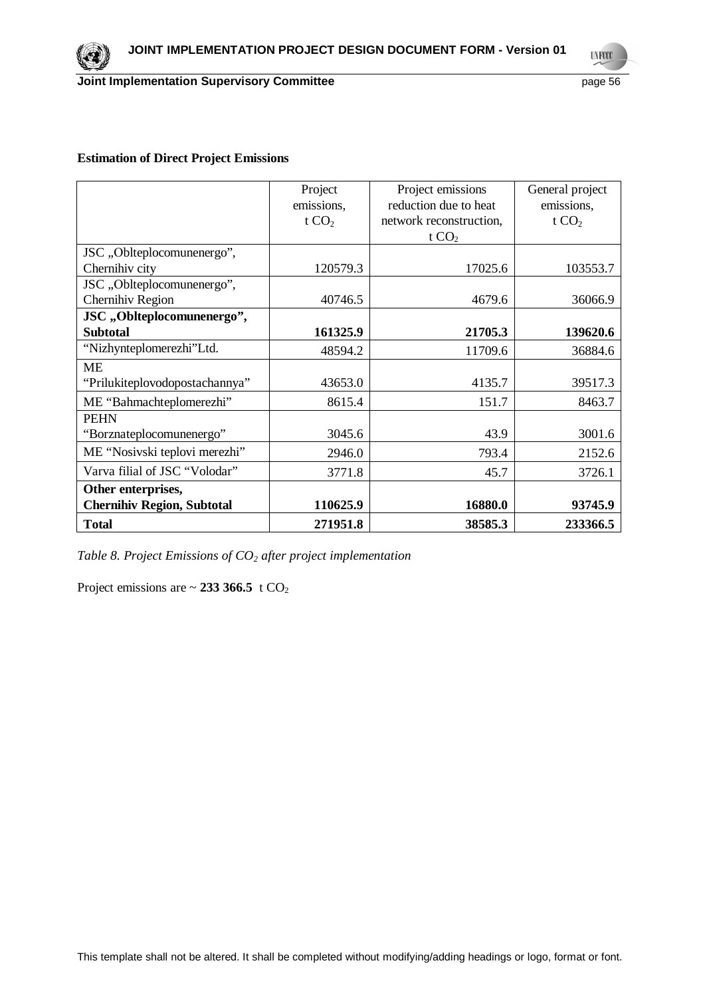

## **Estimation of Direct Project Emissions**

|                                   | Project<br>emissions,<br>t $CO2$ | Project emissions<br>reduction due to heat<br>network reconstruction,<br>t $CO2$ | General project<br>emissions,<br>t $CO2$ |
|-----------------------------------|----------------------------------|----------------------------------------------------------------------------------|------------------------------------------|
| JSC, Oblteplocomunenergo",        |                                  |                                                                                  |                                          |
| Chernihiv city                    | 120579.3                         | 17025.6                                                                          | 103553.7                                 |
| JSC, , Oblteplocomunenergo",      |                                  |                                                                                  |                                          |
| Chernihiv Region                  | 40746.5                          | 4679.6                                                                           | 36066.9                                  |
| JSC,,Oblteplocomunenergo",        |                                  |                                                                                  |                                          |
| <b>Subtotal</b>                   | 161325.9                         | 21705.3                                                                          | 139620.6                                 |
| "Nizhynteplomerezhi"Ltd.          | 48594.2                          | 11709.6                                                                          | 36884.6                                  |
| <b>ME</b>                         |                                  |                                                                                  |                                          |
| "Prilukiteplovodopostachannya"    | 43653.0                          | 4135.7                                                                           | 39517.3                                  |
| ME "Bahmachteplomerezhi"          | 8615.4                           | 151.7                                                                            | 8463.7                                   |
| <b>PEHN</b>                       |                                  |                                                                                  |                                          |
| "Borznateplocomunenergo"          | 3045.6                           | 43.9                                                                             | 3001.6                                   |
| ME "Nosivski teplovi merezhi"     | 2946.0                           | 793.4                                                                            | 2152.6                                   |
| Varva filial of JSC "Volodar"     | 3771.8                           | 45.7                                                                             | 3726.1                                   |
| Other enterprises,                |                                  |                                                                                  |                                          |
| <b>Chernihiv Region, Subtotal</b> | 110625.9                         | 16880.0                                                                          | 93745.9                                  |
| <b>Total</b>                      | 271951.8                         | 38585.3                                                                          | 233366.5                                 |

*Table 8. Project Emissions of CO2 after project implementation*

Project emissions are  $\sim$  233 366.5 t CO<sub>2</sub>

**UNFCCC**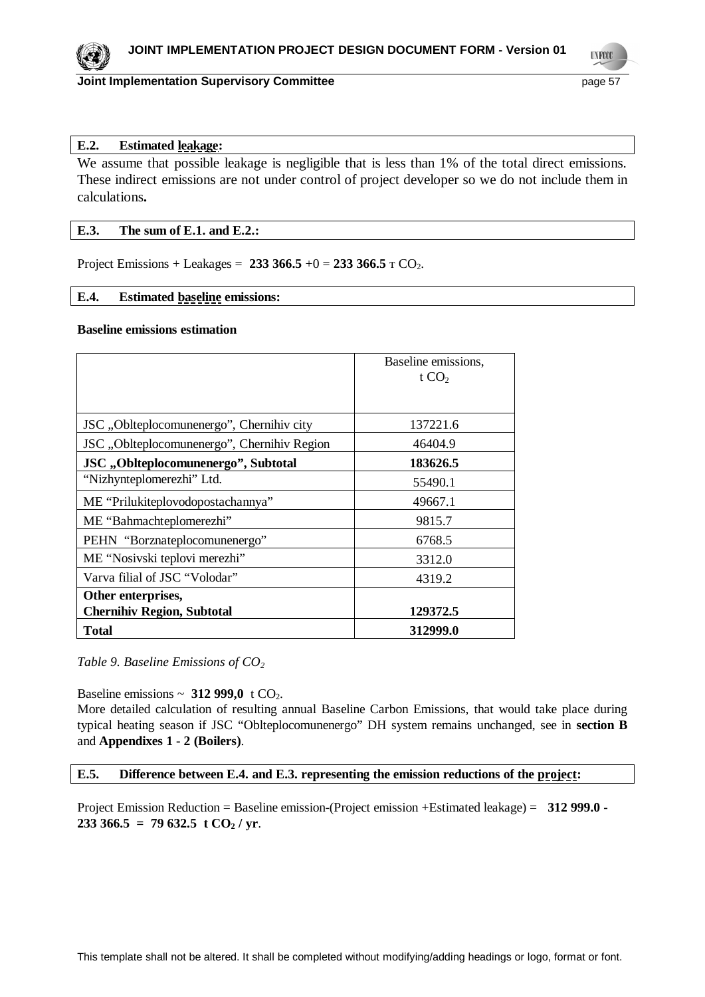

**UNFOCO** 

## **E.2. Estimated leakage:**

We assume that possible leakage is negligible that is less than 1% of the total direct emissions. These indirect emissions are not under control of project developer so we do not include them in calculations**.**

### **E.3. The sum of E.1. and E.2.:**

Project Emissions + Leakages =  $233\,366.5 + 0 = 233\,366.5 \text{ T CO}_2$ .

## **E.4. Estimated baseline emissions:**

## **Baseline emissions estimation**

|                                             | Baseline emissions,<br>t $CO2$ |
|---------------------------------------------|--------------------------------|
|                                             |                                |
| JSC, Oblteplocomunenergo", Chernihiv city   | 137221.6                       |
| JSC "Oblteplocomunenergo", Chernihiv Region | 46404.9                        |
| JSC "Oblteplocomunenergo", Subtotal         | 183626.5                       |
| "Nizhynteplomerezhi" Ltd.                   | 55490.1                        |
| ME "Prilukiteplovodopostachannya"           | 49667.1                        |
| ME "Bahmachteplomerezhi"                    | 9815.7                         |
| PEHN "Borznateplocomunenergo"               | 6768.5                         |
| ME "Nosivski teplovi merezhi"               | 3312.0                         |
| Varva filial of JSC "Volodar"               | 4319.2                         |
| Other enterprises,                          |                                |
| <b>Chernihiv Region, Subtotal</b>           | 129372.5                       |
| <b>Total</b>                                | 312999.0                       |

## *Table 9. Baseline Emissions of CO<sup>2</sup>*

Baseline emissions  $\sim 312999.0 \text{ t } CO_2$ .

More detailed calculation of resulting annual Baseline Carbon Emissions, that would take place during typical heating season if JSC "Oblteplocomunenergo" DH system remains unchanged, see in **section B** and **Appendixes 1 - 2 (Boilers)**.

### **E.5. Difference between E.4. and E.3. representing the emission reductions of the project:**

Project Emission Reduction = Baseline emission-(Project emission +Estimated leakage) = **312 999.0 - 233 366.5 = 79 632.5 t**  $CO<sub>2</sub>$  **/ yr.**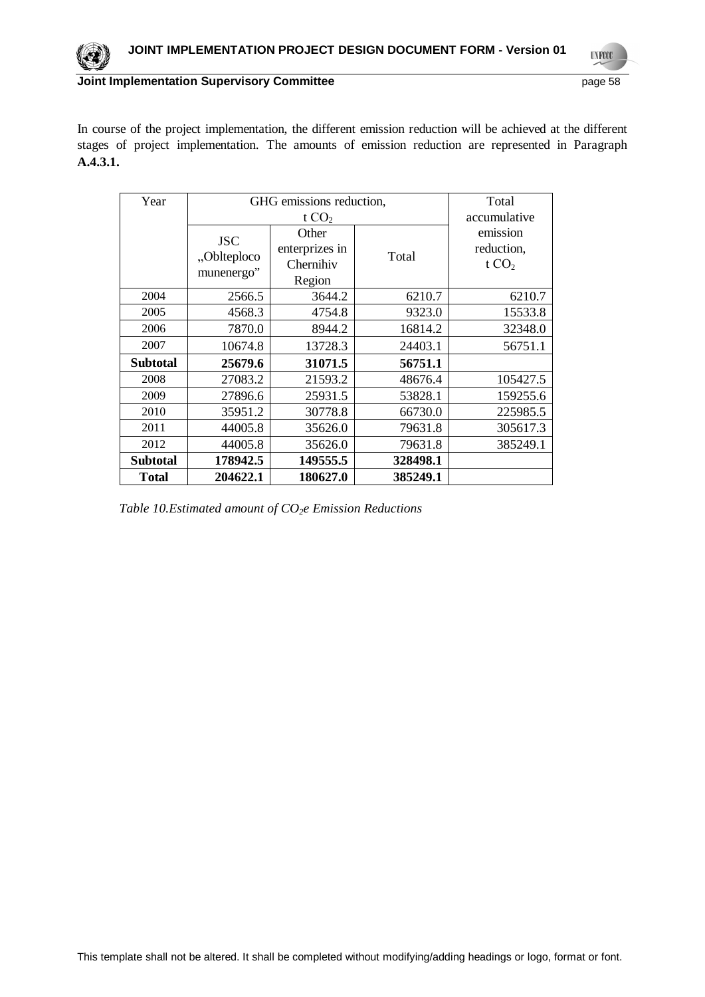In course of the project implementation, the different emission reduction will be achieved at the different stages of project implementation. The amounts of emission reduction are represented in Paragraph **A.4.3.1.**

| Year            | GHG emissions reduction,                |                | Total    |              |
|-----------------|-----------------------------------------|----------------|----------|--------------|
|                 |                                         | t $CO2$        |          | accumulative |
|                 | <b>JSC</b><br>"Oblteploco<br>munenergo" | Other          | Total    | emission     |
|                 |                                         | enterprizes in |          | reduction,   |
|                 |                                         | Chernihiv      |          | t $CO2$      |
|                 |                                         | Region         |          |              |
| 2004            | 2566.5                                  | 3644.2         | 6210.7   | 6210.7       |
| 2005            | 4568.3                                  | 4754.8         | 9323.0   | 15533.8      |
| 2006            | 7870.0                                  | 8944.2         | 16814.2  | 32348.0      |
| 2007            | 10674.8                                 | 13728.3        | 24403.1  | 56751.1      |
| <b>Subtotal</b> | 25679.6                                 | 31071.5        | 56751.1  |              |
| 2008            | 27083.2                                 | 21593.2        | 48676.4  | 105427.5     |
| 2009            | 27896.6                                 | 25931.5        | 53828.1  | 159255.6     |
| 2010            | 35951.2                                 | 30778.8        | 66730.0  | 225985.5     |
| 2011            | 44005.8                                 | 35626.0        | 79631.8  | 305617.3     |
| 2012            | 44005.8                                 | 35626.0        | 79631.8  | 385249.1     |
| Subtotal        | 178942.5                                | 149555.5       | 328498.1 |              |
| <b>Total</b>    | 204622.1                                | 180627.0       | 385249.1 |              |

*Table 10.Estimated amount of CO2e Emission Reductions*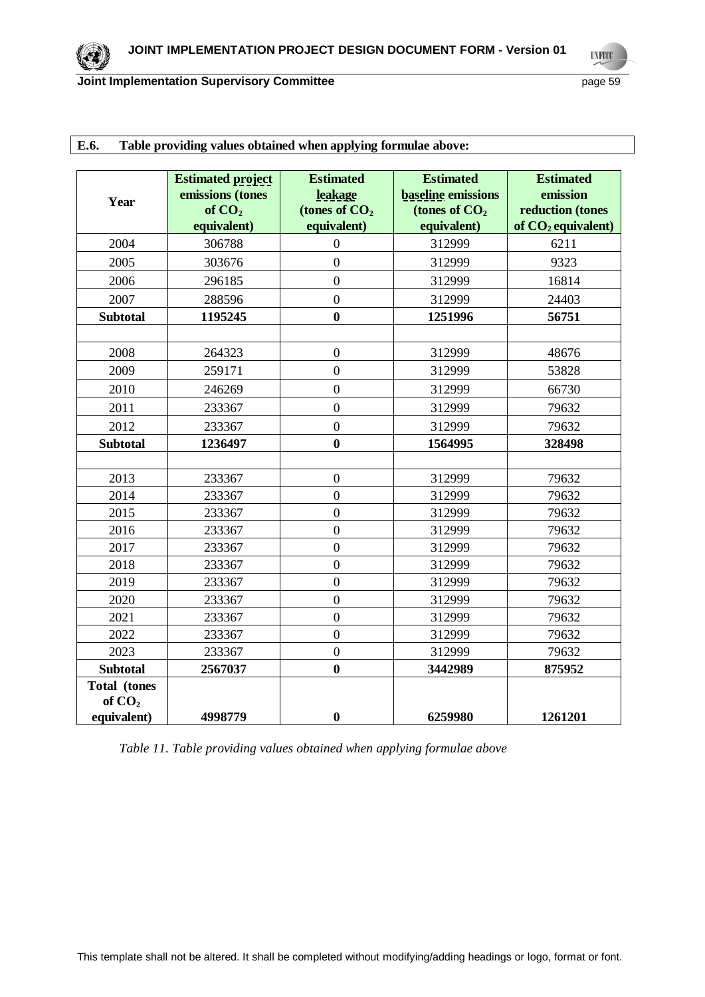|                     | <b>Estimated project</b> | <b>Estimated</b> | <b>Estimated</b>          | <b>Estimated</b>     |
|---------------------|--------------------------|------------------|---------------------------|----------------------|
| Year                | emissions (tones         | leakage          | <b>baseline</b> emissions | emission             |
|                     | of $CO2$                 | (tones of $CO2$  | (tones of $CO2$           | reduction (tones     |
|                     | equivalent)              | equivalent)      | equivalent)               | of $CO2$ equivalent) |
| 2004                | 306788                   | $\boldsymbol{0}$ | 312999                    | 6211                 |
| 2005                | 303676                   | $\overline{0}$   | 312999                    | 9323                 |
| 2006                | 296185                   | $\overline{0}$   | 312999                    | 16814                |
| 2007                | 288596                   | $\overline{0}$   | 312999                    | 24403                |
| <b>Subtotal</b>     | 1195245                  | $\bf{0}$         | 1251996                   | 56751                |
|                     |                          |                  |                           |                      |
| 2008                | 264323                   | $\overline{0}$   | 312999                    | 48676                |
| 2009                | 259171                   | $\overline{0}$   | 312999                    | 53828                |
| 2010                | 246269                   | $\overline{0}$   | 312999                    | 66730                |
| 2011                | 233367                   | $\overline{0}$   | 312999                    | 79632                |
| 2012                | 233367                   | $\overline{0}$   | 312999                    | 79632                |
| <b>Subtotal</b>     | 1236497                  | $\bf{0}$         | 1564995                   | 328498               |
|                     |                          |                  |                           |                      |
| 2013                | 233367                   | $\boldsymbol{0}$ | 312999                    | 79632                |
| 2014                | 233367                   | $\overline{0}$   | 312999                    | 79632                |
| 2015                | 233367                   | $\overline{0}$   | 312999                    | 79632                |
| 2016                | 233367                   | $\overline{0}$   | 312999                    | 79632                |
| 2017                | 233367                   | $\overline{0}$   | 312999                    | 79632                |
| 2018                | 233367                   | $\overline{0}$   | 312999                    | 79632                |
| 2019                | 233367                   | $\overline{0}$   | 312999                    | 79632                |
| 2020                | 233367                   | $\overline{0}$   | 312999                    | 79632                |
| 2021                | 233367                   | $\boldsymbol{0}$ | 312999                    | 79632                |
| 2022                | 233367                   | $\overline{0}$   | 312999                    | 79632                |
| 2023                | 233367                   | $\overline{0}$   | 312999                    | 79632                |
| <b>Subtotal</b>     | 2567037                  | $\bf{0}$         | 3442989                   | 875952               |
| <b>Total</b> (tones |                          |                  |                           |                      |
| of $CO2$            |                          |                  |                           |                      |
| equivalent)         | 4998779                  | $\bf{0}$         | 6259980                   | 1261201              |

# **E.6. Table providing values obtained when applying formulae above:**

*Table 11. Table providing values obtained when applying formulae above*

**UNFCCC**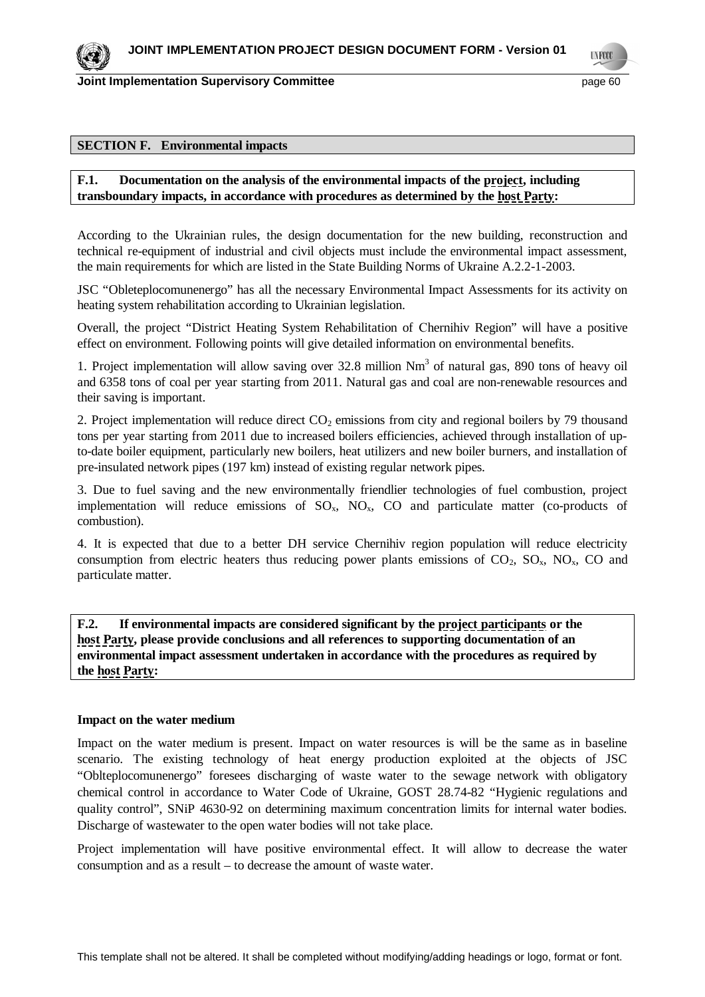**UNFOCO** 

### **SECTION F. Environmental impacts**

## **F.1. Documentation on the analysis of the environmental impacts of the project, including transboundary impacts, in accordance with procedures as determined by the host Party:**

According to the Ukrainian rules, the design documentation for the new building, reconstruction and technical re-equipment of industrial and civil objects must include the environmental impact assessment, the main requirements for which are listed in the State Building Norms of Ukraine A.2.2-1-2003.

JSC "Obleteplocomunenergo" has all the necessary Environmental Impact Assessments for its activity on heating system rehabilitation according to Ukrainian legislation.

Overall, the project "District Heating System Rehabilitation of ɋhernihiv Region" will have a positive effect on environment. Following points will give detailed information on environmental benefits.

1. Project implementation will allow saving over  $32.8$  million  $Nm<sup>3</sup>$  of natural gas, 890 tons of heavy oil and 6358 tons of coal per year starting from 2011. Natural gas and coal are non-renewable resources and their saving is important.

2. Project implementation will reduce direct  $CO<sub>2</sub>$  emissions from city and regional boilers by 79 thousand tons per year starting from 2011 due to increased boilers efficiencies, achieved through installation of upto-date boiler equipment, particularly new boilers, heat utilizers and new boiler burners, and installation of pre-insulated network pipes (197 km) instead of existing regular network pipes.

3. Due to fuel saving and the new environmentally friendlier technologies of fuel combustion, project implementation will reduce emissions of  $SO_x$ ,  $NO_x$ ,  $CO$  and particulate matter (co-products of combustion).

4. It is expected that due to a better DH service Chernihiv region population will reduce electricity consumption from electric heaters thus reducing power plants emissions of  $CO_2$ ,  $SO_3$ ,  $NO_3$ ,  $CO$  and particulate matter.

**F.2. If environmental impacts are considered significant by the project participants or the host Party, please provide conclusions and all references to supporting documentation of an environmental impact assessment undertaken in accordance with the procedures as required by the host Party:**

### **Impact on the water medium**

Impact on the water medium is present. Impact on water resources is will be the same as in baseline scenario. The existing technology of heat energy production exploited at the objects of JSC "Oblteplocomunenergo" foresees discharging of waste water to the sewage network with obligatory chemical control in accordance to Water Code of Ukraine, GOST 28.74-82 "Hygienic regulations and quality control", SNiP 4630-92 on determining maximum concentration limits for internal water bodies. Discharge of wastewater to the open water bodies will not take place.

Project implementation will have positive environmental effect. It will allow to decrease the water consumption and as a result – to decrease the amount of waste water.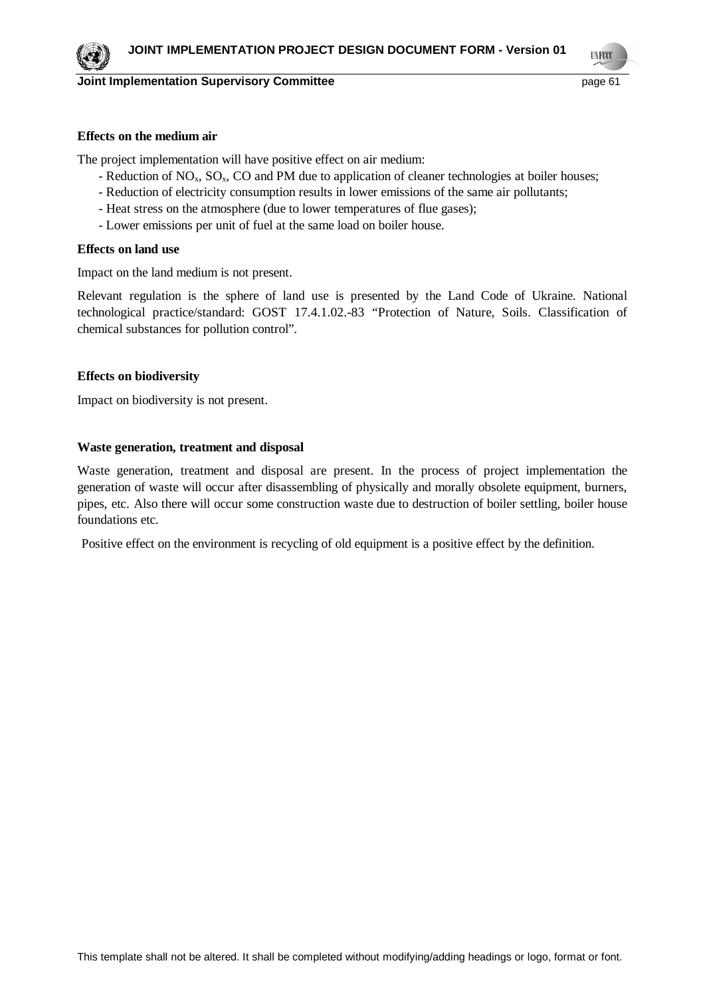**TNFOO** 

### **Effects on the medium air**

The project implementation will have positive effect on air medium:

- Reduction of NO<sub>x</sub>, SO<sub>x</sub>, CO and PM due to application of cleaner technologies at boiler houses;
- Reduction of electricity consumption results in lower emissions of the same air pollutants;
- Heat stress on the atmosphere (due to lower temperatures of flue gases);
- Lower emissions per unit of fuel at the same load on boiler house.

### **Effects on land use**

Impact on the land medium is not present.

Relevant regulation is the sphere of land use is presented by the Land Code of Ukraine. National technological practice/standard: GOST 17.4.1.02.-83 "Protection of Nature, Soils. Classification of chemical substances for pollution control".

### **Effects on biodiversity**

Impact on biodiversity is not present.

### **Waste generation, treatment and disposal**

Waste generation, treatment and disposal are present. In the process of project implementation the generation of waste will occur after disassembling of physically and morally obsolete equipment, burners, pipes, etc. Also there will occur some construction waste due to destruction of boiler settling, boiler house foundations etc.

Positive effect on the environment is recycling of old equipment is a positive effect by the definition.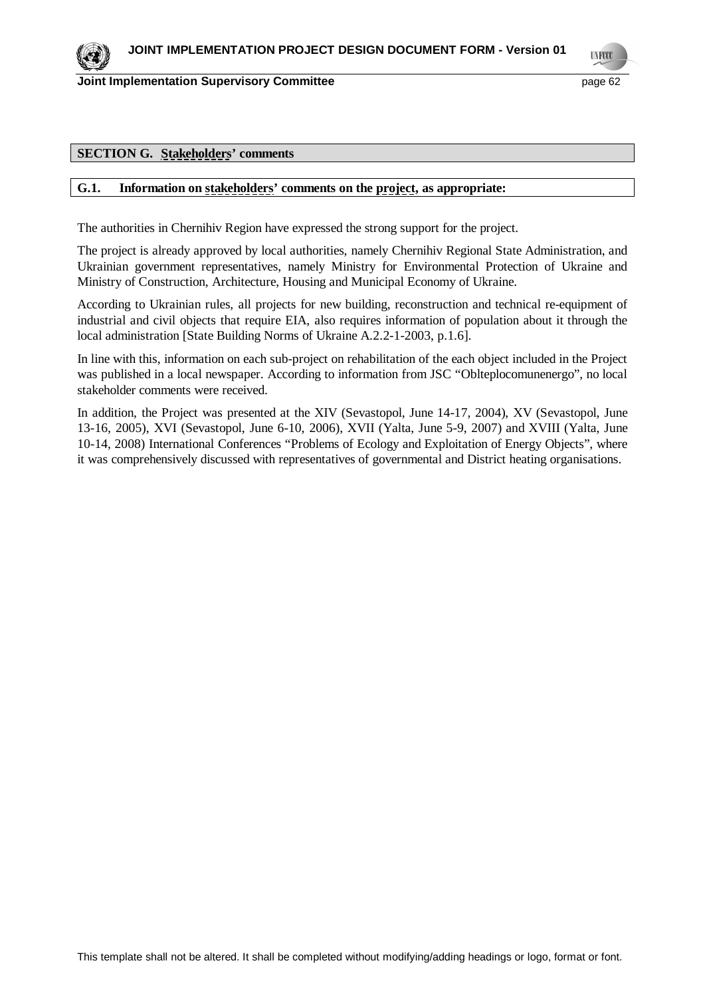

### **SECTION G. Stakeholders' comments**

### **G.1. Information on stakeholders' comments on the project, as appropriate:**

The authorities in Chernihiv Region have expressed the strong support for the project.

The project is already approved by local authorities, namely Chernihiv Regional State Administration, and Ukrainian government representatives, namely Ministry for Environmental Protection of Ukraine and Ministry of Construction, Architecture, Housing and Municipal Economy of Ukraine.

According to Ukrainian rules, all projects for new building, reconstruction and technical re-equipment of industrial and civil objects that require EIA, also requires information of population about it through the local administration [State Building Norms of Ukraine A.2.2-1-2003, p.1.6].

In line with this, information on each sub-project on rehabilitation of the each object included in the Project was published in a local newspaper. According to information from JSC "Oblteplocomunenergo", no local stakeholder comments were received.

In addition, the Project was presented at the XIV (Sevastopol, June 14-17, 2004), XV (Sevastopol, June 13-16, 2005), XVI (Sevastopol, June 6-10, 2006), XVII (Yalta, June 5-9, 2007) and XVIII (Yalta, June 10-14, 2008) International Conferences "Problems of Ecology and Exploitation of Energy Objects", where it was comprehensively discussed with representatives of governmental and District heating organisations.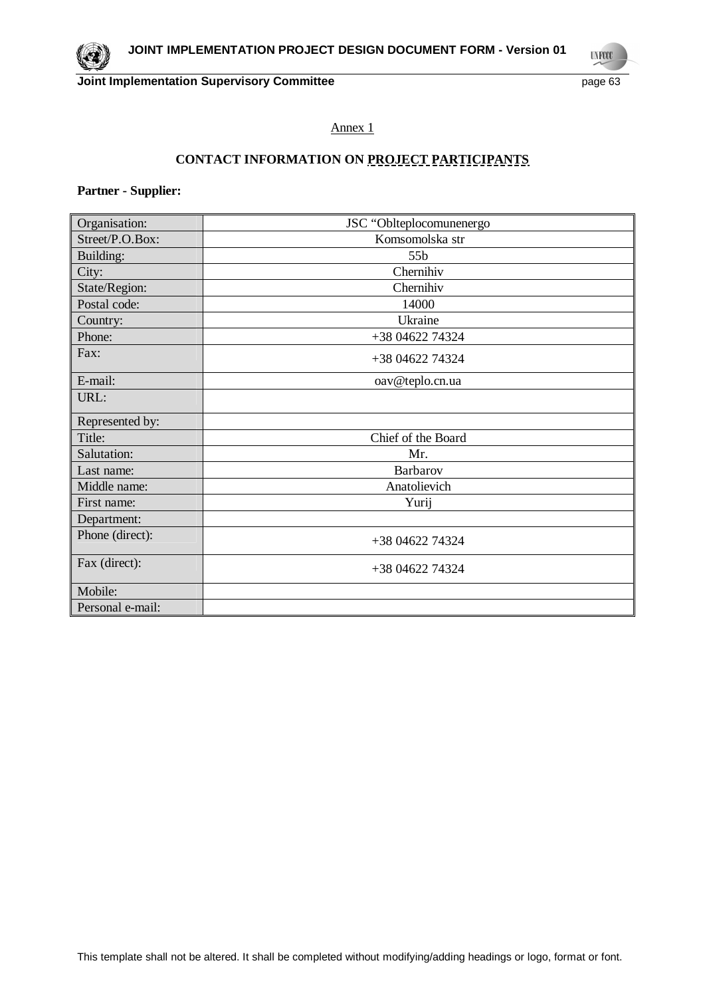**UNFCCC** 

## Annex 1

# **CONTACT INFORMATION ON PROJECT PARTICIPANTS**

## **Partner - Supplier:**

| Organisation:    | JSC "Oblteplocomunenergo |
|------------------|--------------------------|
| Street/P.O.Box:  | Komsomolska str          |
| Building:        | 55b                      |
| City:            | Chernihiv                |
| State/Region:    | Chernihiv                |
| Postal code:     | 14000                    |
| Country:         | Ukraine                  |
| Phone:           | +38 04622 74324          |
| Fax:             | +38 04622 74324          |
| E-mail:          | oav@teplo.cn.ua          |
| URL:             |                          |
| Represented by:  |                          |
| Title:           | Chief of the Board       |
| Salutation:      | Mr.                      |
| Last name:       | Barbarov                 |
| Middle name:     | Anatolievich             |
| First name:      | Yurij                    |
| Department:      |                          |
| Phone (direct):  | +38 04622 74324          |
| Fax (direct):    | +38 04622 74324          |
| Mobile:          |                          |
| Personal e-mail: |                          |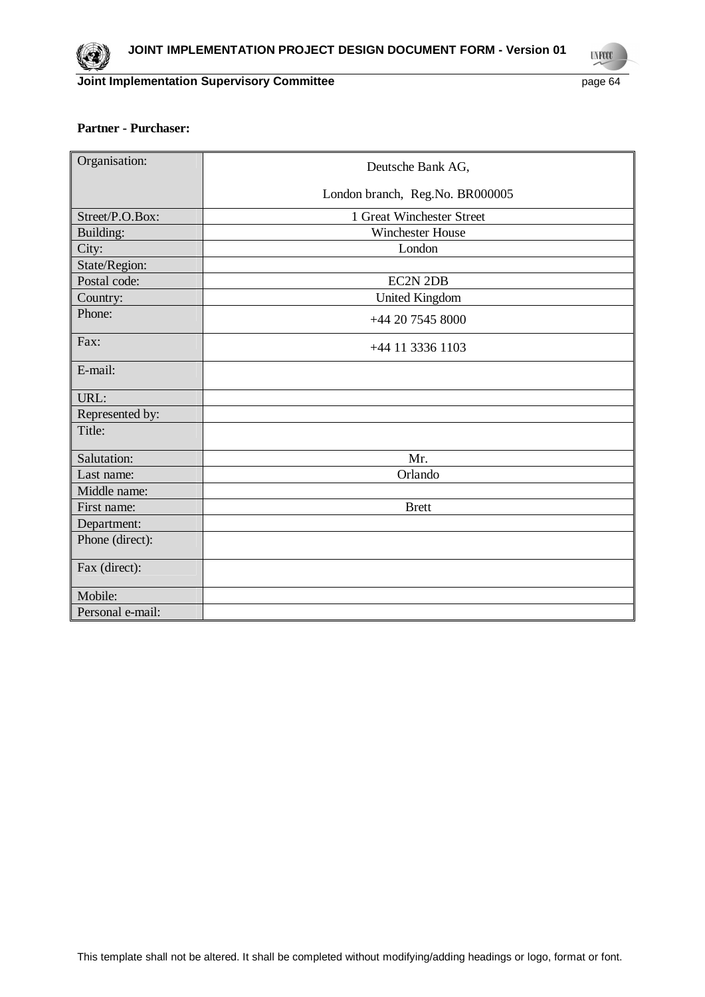

**UNFCCC** 

## **Partner - Purchaser:**

| Organisation:    | Deutsche Bank AG,               |
|------------------|---------------------------------|
|                  |                                 |
|                  | London branch, Reg.No. BR000005 |
| Street/P.O.Box:  | 1 Great Winchester Street       |
| Building:        | <b>Winchester House</b>         |
| City:            | London                          |
| State/Region:    |                                 |
| Postal code:     | <b>EC2N 2DB</b>                 |
| Country:         | <b>United Kingdom</b>           |
| Phone:           | +44 20 7545 8000                |
| Fax:             | +44 11 3336 1103                |
| E-mail:          |                                 |
| URL:             |                                 |
| Represented by:  |                                 |
| Title:           |                                 |
| Salutation:      | Mr.                             |
| Last name:       | Orlando                         |
| Middle name:     |                                 |
| First name:      | <b>Brett</b>                    |
| Department:      |                                 |
| Phone (direct):  |                                 |
| Fax (direct):    |                                 |
| Mobile:          |                                 |
| Personal e-mail: |                                 |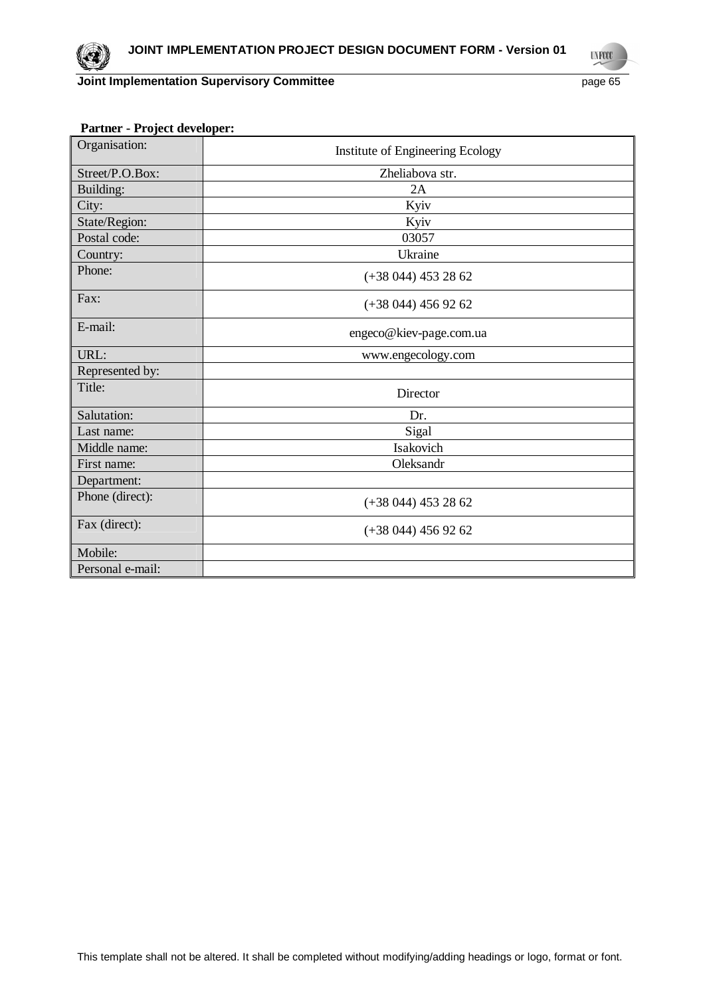**UNFCCC** 

|  |  | <b>Partner - Project developer:</b> |
|--|--|-------------------------------------|
|--|--|-------------------------------------|

| Organisation:    | Institute of Engineering Ecology |
|------------------|----------------------------------|
| Street/P.O.Box:  | Zheliabova str.                  |
| Building:        | 2A                               |
| City:            | Kyiv                             |
| State/Region:    | Kyiv                             |
| Postal code:     | 03057                            |
| Country:         | Ukraine                          |
| Phone:           | $(+38044)$ 453 28 62             |
| Fax:             | $(+38044)$ 456 92 62             |
| E-mail:          | engeco@kiev-page.com.ua          |
| URL:             | www.engecology.com               |
| Represented by:  |                                  |
| Title:           | Director                         |
| Salutation:      | Dr.                              |
| Last name:       | Sigal                            |
| Middle name:     | Isakovich                        |
| First name:      | Oleksandr                        |
| Department:      |                                  |
| Phone (direct):  | $(+38044)$ 453 28 62             |
| Fax (direct):    | $(+38044)$ 456 92 62             |
| Mobile:          |                                  |
| Personal e-mail: |                                  |

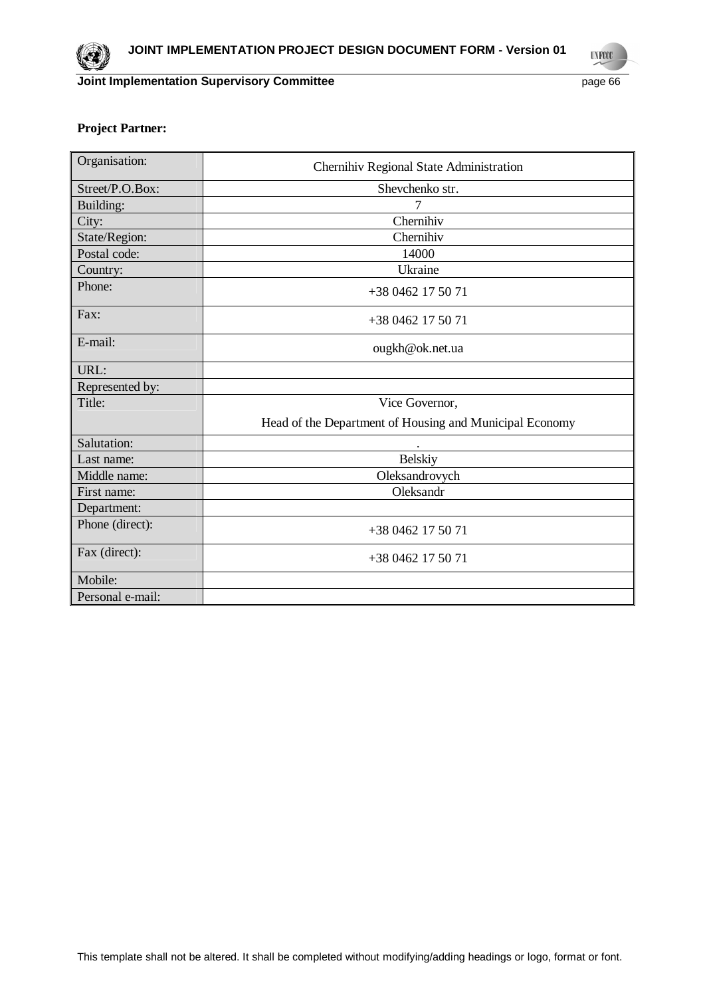

**UNFCCC** 

## **Project Partner:**

| Organisation:    | Chernihiv Regional State Administration                 |
|------------------|---------------------------------------------------------|
| Street/P.O.Box:  | Shevchenko str.                                         |
| Building:        | 7                                                       |
| City:            | Chernihiv                                               |
| State/Region:    | Chernihiv                                               |
| Postal code:     | 14000                                                   |
| Country:         | Ukraine                                                 |
| Phone:           | +38 0462 17 50 71                                       |
| Fax:             | $+380462175071$                                         |
| E-mail:          | ougkh@ok.net.ua                                         |
| URL:             |                                                         |
| Represented by:  |                                                         |
| Title:           | Vice Governor,                                          |
|                  | Head of the Department of Housing and Municipal Economy |
| Salutation:      |                                                         |
| Last name:       | <b>Belskiy</b>                                          |
| Middle name:     | Oleksandrovych                                          |
| First name:      | Oleksandr                                               |
| Department:      |                                                         |
| Phone (direct):  | +38 0462 17 50 71                                       |
| Fax (direct):    | +38 0462 17 50 71                                       |
| Mobile:          |                                                         |
| Personal e-mail: |                                                         |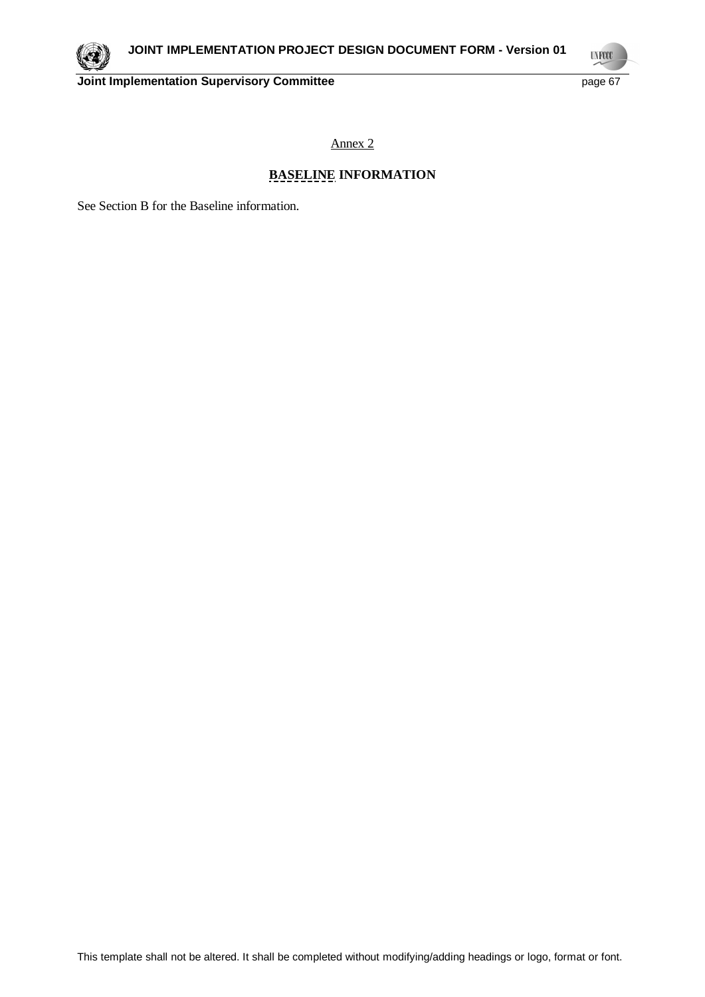

**UNFCCC** 

**Joint Implementation Supervisory Committee** page 67

Annex 2

# **BASELINE INFORMATION**

See Section B for the Baseline information.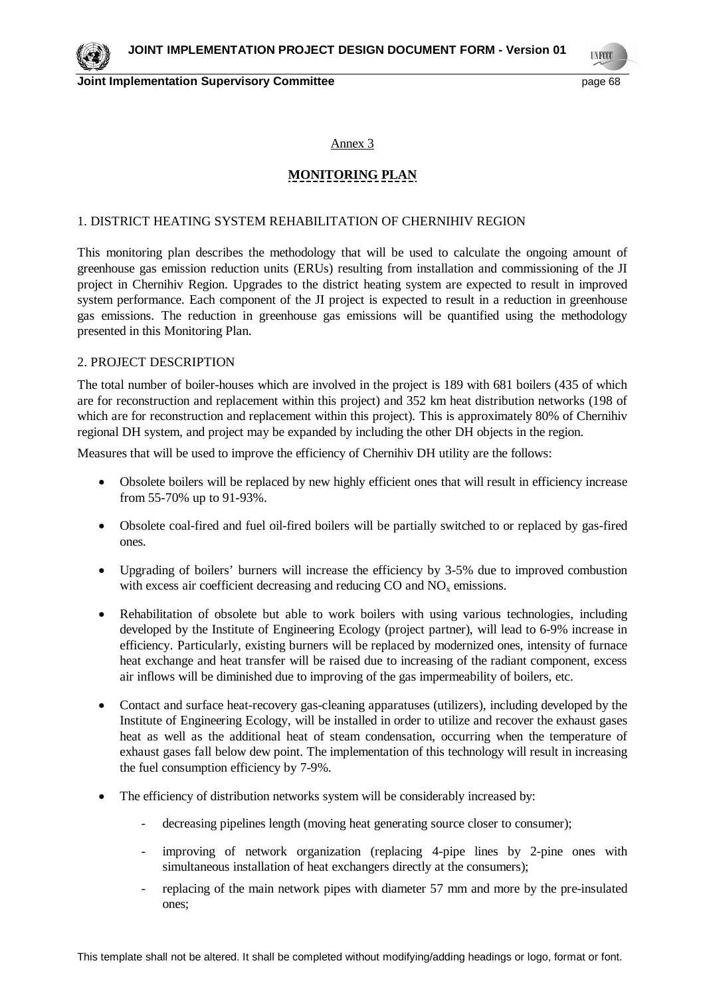Annex 3

## **MONITORING PLAN**

## 1. DISTRICT HEATING SYSTEM REHABILITATION OF CHERNIHIV REGION

This monitoring plan describes the methodology that will be used to calculate the ongoing amount of greenhouse gas emission reduction units (ERUs) resulting from installation and commissioning of the JI project in Chernihiv Region. Upgrades to the district heating system are expected to result in improved system performance. Each component of the JI project is expected to result in a reduction in greenhouse gas emissions. The reduction in greenhouse gas emissions will be quantified using the methodology presented in this Monitoring Plan.

## 2. PROJECT DESCRIPTION

The total number of boiler-houses which are involved in the project is 189 with 681 boilers (435 of which are for reconstruction and replacement within this project) and 352 km heat distribution networks (198 of which are for reconstruction and replacement within this project). This is approximately 80% of Chernihiv regional DH system, and project may be expanded by including the other DH objects in the region.

Measures that will be used to improve the efficiency of Chernihiv DH utility are the follows:

- Obsolete boilers will be replaced by new highly efficient ones that will result in efficiency increase from 55-70% up to 91-93%.
- Obsolete coal-fired and fuel oil-fired boilers will be partially switched to or replaced by gas-fired ones.
- Upgrading of boilers' burners will increase the efficiency by 3-5% due to improved combustion with excess air coefficient decreasing and reducing  $CO$  and  $NO<sub>x</sub>$  emissions.
- Rehabilitation of obsolete but able to work boilers with using various technologies, including developed by the Institute of Engineering Ecology (project partner), will lead to 6-9% increase in efficiency. Particularly, existing burners will be replaced by modernized ones, intensity of furnace heat exchange and heat transfer will be raised due to increasing of the radiant component, excess air inflows will be diminished due to improving of the gas impermeability of boilers, etc.
- Contact and surface heat-recovery gas-cleaning apparatuses (utilizers), including developed by the Institute of Engineering Ecology, will be installed in order to utilize and recover the exhaust gases heat as well as the additional heat of steam condensation, occurring when the temperature of exhaust gases fall below dew point. The implementation of this technology will result in increasing the fuel consumption efficiency by 7-9%.
- The efficiency of distribution networks system will be considerably increased by:
	- decreasing pipelines length (moving heat generating source closer to consumer);
	- improving of network organization (replacing 4-pipe lines by 2-pine ones with simultaneous installation of heat exchangers directly at the consumers);
	- replacing of the main network pipes with diameter 57 mm and more by the pre-insulated ones;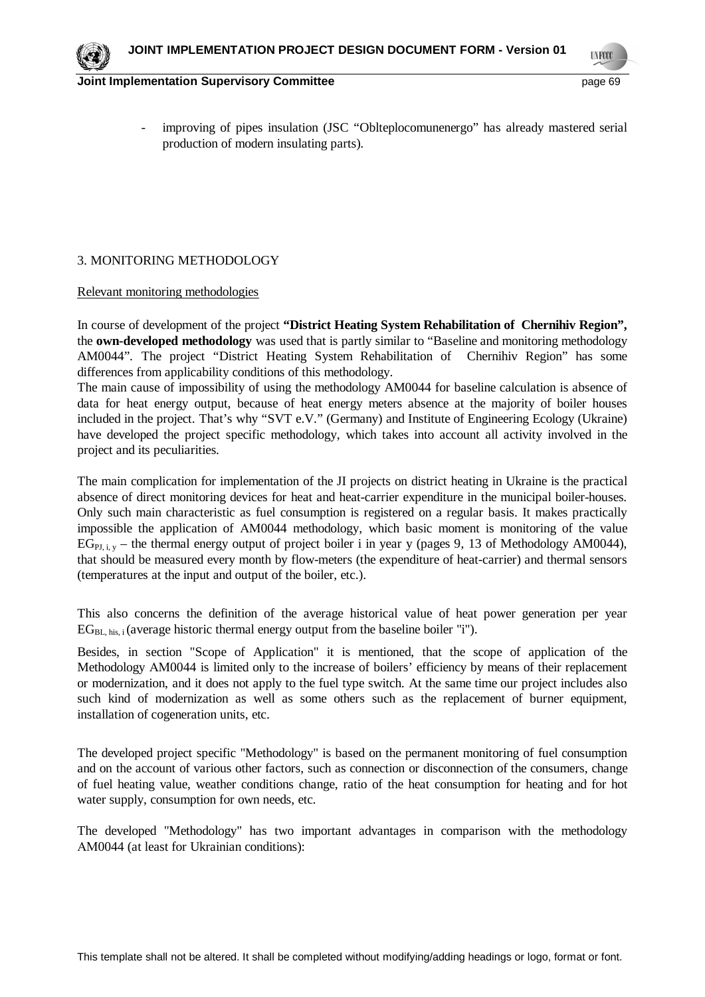**TNFOO** 

improving of pipes insulation (JSC "Oblteplocomunenergo" has already mastered serial production of modern insulating parts).

## 3. MONITORING METHODOLOGY

### Relevant monitoring methodologies

In course of development of the project **"District Heating System Rehabilitation of Chernihiv Region",** the **own-developed methodology** was used that is partly similar to "Baseline and monitoring methodology AM0044". The project "District Heating System Rehabilitation of Chernihiv Region" has some differences from applicability conditions of this methodology.

The main cause of impossibility of using the methodology AM0044 for baseline calculation is absence of data for heat energy output, because of heat energy meters absence at the majority of boiler houses included in the project. That's why "SVT e.V." (Germany) and Institute of Engineering Ecology (Ukraine) have developed the project specific methodology, which takes into account all activity involved in the project and its peculiarities.

The main complication for implementation of the JI projects on district heating in Ukraine is the practical absence of direct monitoring devices for heat and heat-carrier expenditure in the municipal boiler-houses. Only such main characteristic as fuel consumption is registered on a regular basis. It makes practically impossible the application of AM0044 methodology, which basic moment is monitoring of the value  $EG_{PI}$ ,  $_{V}$  – the thermal energy output of project boiler i in year y (pages 9, 13 of Methodology AM0044), that should be measured every month by flow-meters (the expenditure of heat-carrier) and thermal sensors (temperatures at the input and output of the boiler, etc.).

This also concerns the definition of the average historical value of heat power generation per year  $EG<sub>BL-bis</sub>$ ; (average historic thermal energy output from the baseline boiler "i").

Besides, in section "Scope of Application" it is mentioned, that the scope of application of the Methodology AM0044 is limited only to the increase of boilers' efficiency by means of their replacement or modernization, and it does not apply to the fuel type switch. At the same time our project includes also such kind of modernization as well as some others such as the replacement of burner equipment, installation of cogeneration units, etc.

The developed project specific "Methodology" is based on the permanent monitoring of fuel consumption and on the account of various other factors, such as connection or disconnection of the consumers, change of fuel heating value, weather conditions change, ratio of the heat consumption for heating and for hot water supply, consumption for own needs, etc.

The developed "Methodology" has two important advantages in comparison with the methodology AM0044 (at least for Ukrainian conditions):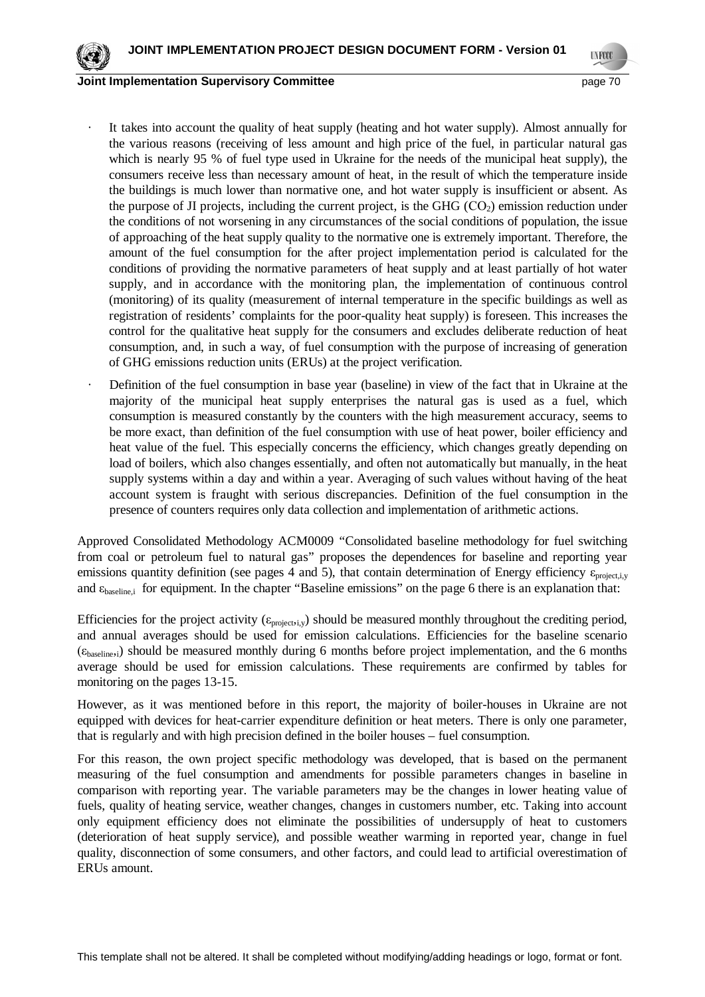

**UNFOCO** 

- It takes into account the quality of heat supply (heating and hot water supply). Almost annually for the various reasons (receiving of less amount and high price of the fuel, in particular natural gas which is nearly 95 % of fuel type used in Ukraine for the needs of the municipal heat supply), the consumers receive less than necessary amount of heat, in the result of which the temperature inside the buildings is much lower than normative one, and hot water supply is insufficient or absent. As the purpose of JI projects, including the current project, is the GHG  $(CO<sub>2</sub>)$  emission reduction under the conditions of not worsening in any circumstances of the social conditions of population, the issue of approaching of the heat supply quality to the normative one is extremely important. Therefore, the amount of the fuel consumption for the after project implementation period is calculated for the conditions of providing the normative parameters of heat supply and at least partially of hot water supply, and in accordance with the monitoring plan, the implementation of continuous control (monitoring) of its quality (measurement of internal temperature in the specific buildings as well as registration of residents' complaints for the poor-quality heat supply) is foreseen. This increases the control for the qualitative heat supply for the consumers and excludes deliberate reduction of heat consumption, and, in such a way, of fuel consumption with the purpose of increasing of generation of GHG emissions reduction units (ERUs) at the project verification.
- Definition of the fuel consumption in base year (baseline) in view of the fact that in Ukraine at the majority of the municipal heat supply enterprises the natural gas is used as a fuel, which consumption is measured constantly by the counters with the high measurement accuracy, seems to be more exact, than definition of the fuel consumption with use of heat power, boiler efficiency and heat value of the fuel. This especially concerns the efficiency, which changes greatly depending on load of boilers, which also changes essentially, and often not automatically but manually, in the heat supply systems within a day and within a year. Averaging of such values without having of the heat account system is fraught with serious discrepancies. Definition of the fuel consumption in the presence of counters requires only data collection and implementation of arithmetic actions.

Approved Consolidated Methodology ACM0009 "Consolidated baseline methodology for fuel switching from coal or petroleum fuel to natural gas" proposes the dependences for baseline and reporting year emissions quantity definition (see pages 4 and 5), that contain determination of Energy efficiency  $\varepsilon_{project,iv}$ and  $\varepsilon_{\text{baseline},i}$  for equipment. In the chapter "Baseline emissions" on the page 6 there is an explanation that:

Efficiencies for the project activity ( $\varepsilon_{\text{project},i,y}$ ) should be measured monthly throughout the crediting period, and annual averages should be used for emission calculations. Efficiencies for the baseline scenario  $(\epsilon_{\text{baseline},i})$  should be measured monthly during 6 months before project implementation, and the 6 months average should be used for emission calculations. These requirements are confirmed by tables for monitoring on the pages 13-15.

However, as it was mentioned before in this report, the majority of boiler-houses in Ukraine are not equipped with devices for heat-carrier expenditure definition or heat meters. There is only one parameter, that is regularly and with high precision defined in the boiler houses – fuel consumption.

For this reason, the own project specific methodology was developed, that is based on the permanent measuring of the fuel consumption and amendments for possible parameters changes in baseline in comparison with reporting year. The variable parameters may be the changes in lower heating value of fuels, quality of heating service, weather changes, changes in customers number, etc. Taking into account only equipment efficiency does not eliminate the possibilities of undersupply of heat to customers (deterioration of heat supply service), and possible weather warming in reported year, change in fuel quality, disconnection of some consumers, and other factors, and could lead to artificial overestimation of ERUs amount.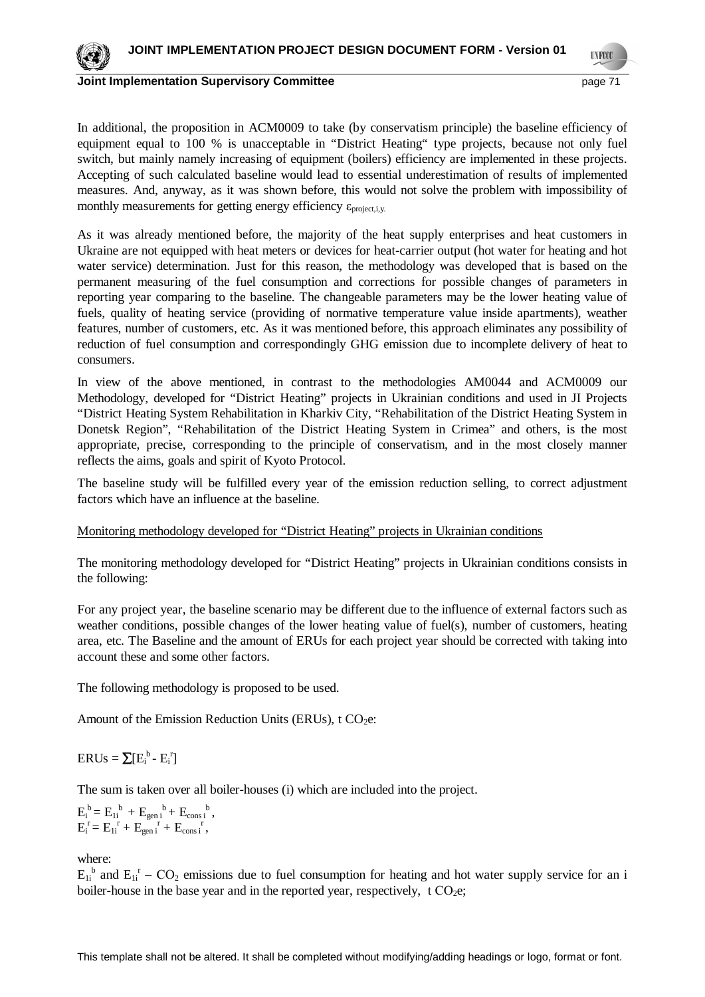

**UNFOCO** 

In additional, the proposition in ACM0009 to take (by conservatism principle) the baseline efficiency of equipment equal to 100 % is unacceptable in "District Heating" type projects, because not only fuel switch, but mainly namely increasing of equipment (boilers) efficiency are implemented in these projects. Accepting of such calculated baseline would lead to essential underestimation of results of implemented measures. And, anyway, as it was shown before, this would not solve the problem with impossibility of monthly measurements for getting energy efficiency  $\varepsilon_{\text{project,i,y.}}$ 

As it was already mentioned before, the majority of the heat supply enterprises and heat customers in Ukraine are not equipped with heat meters or devices for heat-carrier output (hot water for heating and hot water service) determination. Just for this reason, the methodology was developed that is based on the permanent measuring of the fuel consumption and corrections for possible changes of parameters in reporting year comparing to the baseline. The changeable parameters may be the lower heating value of fuels, quality of heating service (providing of normative temperature value inside apartments), weather features, number of customers, etc. As it was mentioned before, this approach eliminates any possibility of reduction of fuel consumption and correspondingly GHG emission due to incomplete delivery of heat to consumers.

In view of the above mentioned, in contrast to the methodologies AM0044 and ACM0009 our Methodology, developed for "District Heating" projects in Ukrainian conditions and used in JI Projects "District Heating System Rehabilitation in Kharkiv City, "Rehabilitation of the District Heating System in Donetsk Region", "Rehabilitation of the District Heating System in Crimea" and others, is the most appropriate, precise, corresponding to the principle of conservatism, and in the most closely manner reflects the aims, goals and spirit of Kyoto Protocol.

The baseline study will be fulfilled every year of the emission reduction selling, to correct adjustment factors which have an influence at the baseline.

## Monitoring methodology developed for "District Heating" projects in Ukrainian conditions

The monitoring methodology developed for "District Heating" projects in Ukrainian conditions consists in the following:

For any project year, the baseline scenario may be different due to the influence of external factors such as weather conditions, possible changes of the lower heating value of fuel(s), number of customers, heating area, etc. The Baseline and the amount of ERUs for each project year should be corrected with taking into account these and some other factors.

The following methodology is proposed to be used.

Amount of the Emission Reduction Units (ERUs),  $t CO<sub>2</sub>e$ :

 $ERUs = \sum [E_i^b - E_i^r]$ 

The sum is taken over all boiler-houses (i) which are included into the project.

 $E_i^b = E_{1i}^b + E_{gen i}^b + E_{cons i}^b,$  $E_i^r = E_{1i}^r + E_{gen i}^r + E_{cons i}^r,$ 

where:

 $E_{1i}^{b}$  and  $E_{1i}^{r}$  –  $CO_2$  emissions due to fuel consumption for heating and hot water supply service for an i boiler-house in the base year and in the reported year, respectively, t  $CO<sub>2</sub>e$ ;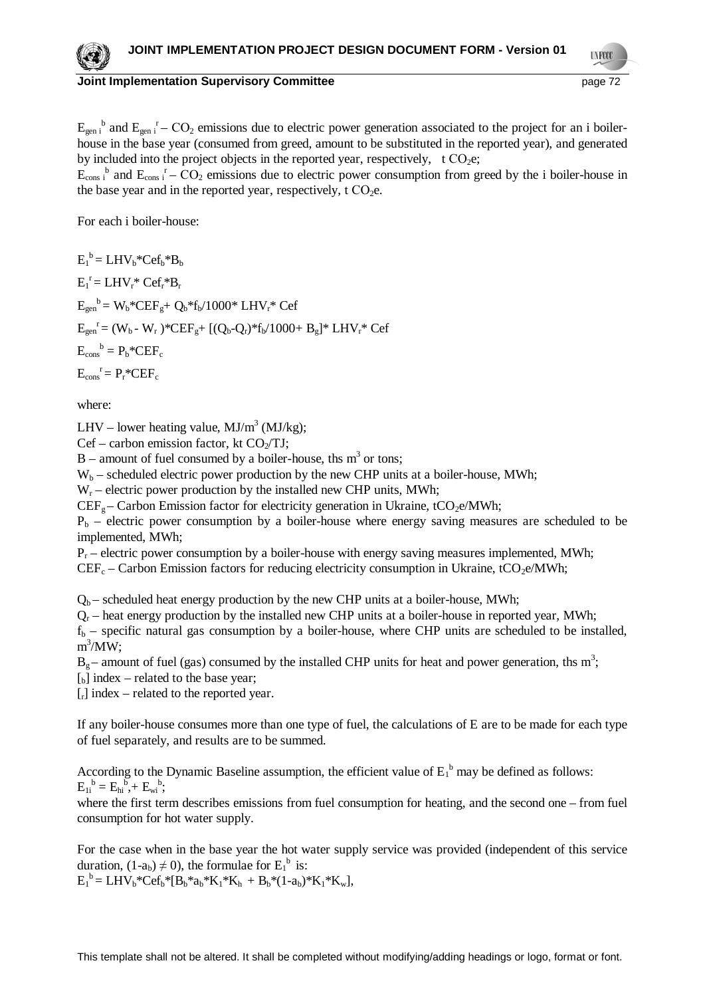**UNFOCO** 

# **Joint Implementation Supervisory Committee** page 72

 $E_{gen i}^b$  and  $E_{gen i}^r - CO_2$  emissions due to electric power generation associated to the project for an i boilerhouse in the base year (consumed from greed, amount to be substituted in the reported year), and generated by included into the project objects in the reported year, respectively, t  $CO<sub>2</sub>e$ ;

 $E_{\text{cons i}}^{\quad b}$  and  $E_{\text{cons i}}^{\quad r}$  –  $CO_2$  emissions due to electric power consumption from greed by the i boiler-house in the base year and in the reported year, respectively,  $t CO<sub>2</sub>e$ .

For each i boiler-house:

 $E_1^b = LHV_b*Cef_b*B_b$  $E_1^r = LHV_r^* Cef_r^*B_r$  $E_{gen}^{\text{b}} = W_{b}^* C E F_{g} + Q_{b}^* f_{b} / 1000^* L H V_{r}^* C e f$  $E_{gen}^{\{r\}} = (W_b - W_r)^* C E F_g + [(Q_b - Q_r)^* f_b / 1000 + B_g]^* L H V_r^* C e f$  $E_{\text{cons}}^{\quad b} = P_b * CEF_c$  $E_{\text{cons}}^{\rceil} = P_r^* C E F_c$ 

where:

LHV – lower heating value,  $MJ/m<sup>3</sup> (MJ/kg)$ ;

 $Cef$  – carbon emission factor, kt  $CO<sub>2</sub>/TJ$ ;

 $B$  – amount of fuel consumed by a boiler-house, ths m<sup>3</sup> or tons;

 $W_b$  – scheduled electric power production by the new CHP units at a boiler-house, MWh;

 $W_r$  – electric power production by the installed new CHP units, MWh;

 $CEF<sub>g</sub> - Carbon Emission factor for electricity generation in Ukraine, tCO<sub>2</sub>e/MWh;$ 

 $P_b$  – electric power consumption by a boiler-house where energy saving measures are scheduled to be implemented, MWh;

 $P_r$  – electric power consumption by a boiler-house with energy saving measures implemented, MWh;

 $CEF_c$  – Carbon Emission factors for reducing electricity consumption in Ukraine, tCO<sub>2</sub>e/MWh;

 $Q_b$  – scheduled heat energy production by the new CHP units at a boiler-house, MWh;

 $Q_r$  – heat energy production by the installed new CHP units at a boiler-house in reported year, MWh;

 $f_b$  – specific natural gas consumption by a boiler-house, where CHP units are scheduled to be installed,  $m^3/MW;$ 

 $B_g$  – amount of fuel (gas) consumed by the installed CHP units for heat and power generation, ths m<sup>3</sup>;

 $\lceil_{b}\rceil$  index – related to the base year;

 $\lceil \cdot \rceil$  index – related to the reported year.

If any boiler-house consumes more than one type of fuel, the calculations of E are to be made for each type of fuel separately, and results are to be summed.

According to the Dynamic Baseline assumption, the efficient value of  $E_1^b$  may be defined as follows:  $E_{1i}^{b} = E_{hi}^{b} + E_{wi}^{b};$ 

where the first term describes emissions from fuel consumption for heating, and the second one – from fuel consumption for hot water supply.

For the case when in the base year the hot water supply service was provided (independent of this service duration,  $(1-a_b) \neq 0$ ), the formulae for  $E_1^b$  is:

 $E_1^b = LHV_b*Cef_b*[B_b*a_b*K_1*K_h + B_b*(1-a_b)*K_1*K_w],$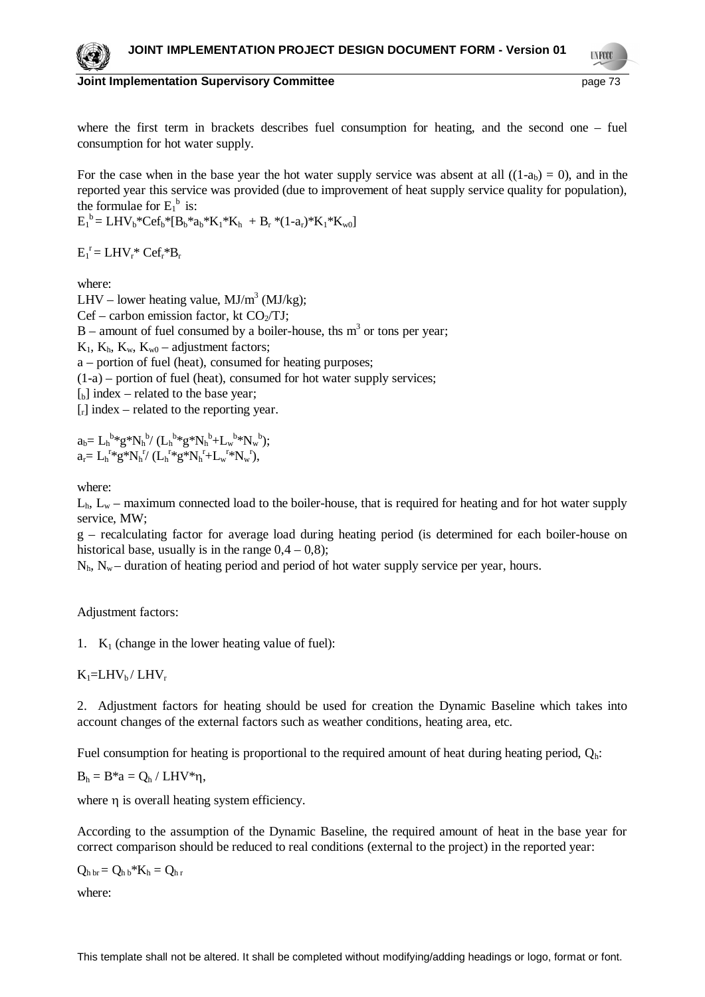**UNFOCO** 



**Joint Implementation Supervisory Committee** page 73

where the first term in brackets describes fuel consumption for heating, and the second one – fuel consumption for hot water supply.

For the case when in the base year the hot water supply service was absent at all  $((1-a<sub>b</sub>) = 0)$ , and in the reported year this service was provided (due to improvement of heat supply service quality for population), the formulae for  $E_1^b$  is:

 $E_1^b = LHV_b*Cef_b* [B_b*a_b*K_1*K_h + B_r * (1-a_r)*K_1*K_w]$ 

 $E_1^r = LHV_r^* Cef_r^*B_r$ 

where:

LHV – lower heating value,  $MJ/m<sup>3</sup> (MJ/kg)$ ;  $Cef$  – carbon emission factor, kt  $CO<sub>2</sub>/TJ$ ;  $B$  – amount of fuel consumed by a boiler-house, ths  $m<sup>3</sup>$  or tons per year;  $K_1$ ,  $K_b$ ,  $K_w$ ,  $K_w$ <sub>0</sub> – adjustment factors; a – portion of fuel (heat), consumed for heating purposes;  $(1-a)$  – portion of fuel (heat), consumed for hot water supply services;  $\begin{bmatrix} b \end{bmatrix}$  index – related to the base year;  $\lceil \cdot \rceil$  index – related to the reporting year.

 $a_b = L_h^{b*} g^* N_h^{b} / (L_h^{b*} g^* N_h^{b} + L_w^{b*} N_w^{b});$  $a_r = L_h^{r*} g^* N_h^{r'} (L_h^{r*} g^* N_h^{r} + L_w^{r*} N_w^{r}),$ 

where:

 $L_h$ ,  $L_w$  – maximum connected load to the boiler-house, that is required for heating and for hot water supply service, MW;

g – recalculating factor for average load during heating period (is determined for each boiler-house on historical base, usually is in the range  $0,4 - 0,8$ );

 $N_h$ ,  $N_w$  – duration of heating period and period of hot water supply service per year, hours.

Adjustment factors:

1.  $K_1$  (change in the lower heating value of fuel):

 $K_1=LHV<sub>b</sub>/LHV<sub>r</sub>$ 

2. Adjustment factors for heating should be used for creation the Dynamic Baseline which takes into account changes of the external factors such as weather conditions, heating area, etc.

Fuel consumption for heating is proportional to the required amount of heat during heating period,  $Q_h$ :

$$
B_h=B^*a=Q_h / LHV^*\eta,
$$

where  $\eta$  is overall heating system efficiency.

According to the assumption of the Dynamic Baseline, the required amount of heat in the base year for correct comparison should be reduced to real conditions (external to the project) in the reported year:

 $Q_{h\,br} = Q_{h\,b} * K_h = Q_{h\,r}$ 

where: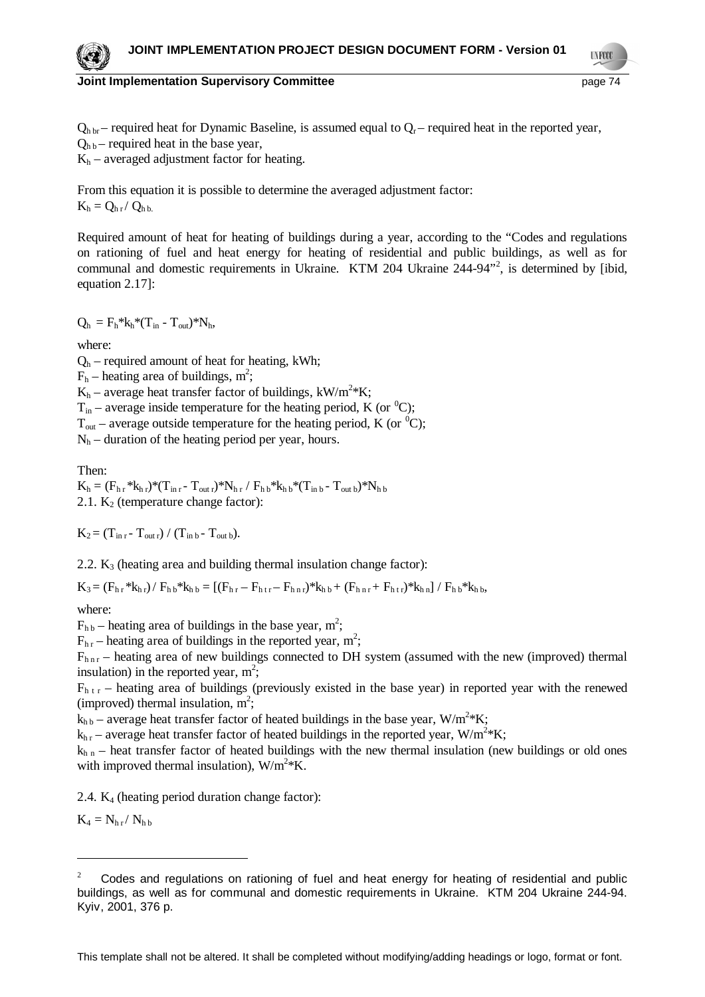#### **Joint Implementation Supervisory Committee** *page 74* **and page 74**

**TNFOO** 

 $Q_{\text{h br}}$  – required heat for Dynamic Baseline, is assumed equal to  $Q_{\text{r}}$  – required heat in the reported year,  $Q_{h\,h}$  – required heat in the base year,

 $K_h$  – averaged adjustment factor for heating.

From this equation it is possible to determine the averaged adjustment factor:  $K_h = Q_{h r} / Q_{h h}$ 

Required amount of heat for heating of buildings during a year, according to the "Codes and regulations on rationing of fuel and heat energy for heating of residential and public buildings, as well as for communal and domestic requirements in Ukraine. KTM 204 Ukraine 244-94<sup>32</sup>, is determined by [ibid, equation 2.17]:

 $Q_h = F_h * k_h * (T_{in} - T_{out}) * N_h,$ 

where:

 $Q_h$  – required amount of heat for heating, kWh;

 $F_h$  – heating area of buildings, m<sup>2</sup>;

 $K_h$  – average heat transfer factor of buildings,  $kW/m^2*K$ ;

 $T_{in}$  – average inside temperature for the heating period, K (or <sup>0</sup>C);

 $T_{\text{out}}$  – average outside temperature for the heating period, K (or  ${}^{0}C$ );

 $N<sub>h</sub>$  – duration of the heating period per year, hours.

Then:

 $K_h = (F_{h,r} * k_{h,r}) * (T_{in,r} - T_{outr}) * N_{h,r} / F_{h,b} * k_{h,b} * (T_{inb} - T_{outb}) * N_{h,b}$ 2.1.  $K_2$  (temperature change factor):

 $K_2 = (T_{\text{in }r} - T_{\text{out }r}) / (T_{\text{in }b} - T_{\text{out }b}).$ 

2.2.  $K_3$  (heating area and building thermal insulation change factor):

 $K_3 = (F_{h,r} * k_{h,r}) / F_{h,b} * k_{h,b} = [(F_{h,r} - F_{h,r,r}) * k_{h,b} + (F_{h,r,r} + F_{h,r}) * k_{h,n}] / F_{h,b} * k_{h,b}$ 

where:

 $F_{hb}$  – heating area of buildings in the base year, m<sup>2</sup>;

 $F_{hr}$  – heating area of buildings in the reported year, m<sup>2</sup>;

 $F_{\text{hnr}}$  – heating area of new buildings connected to DH system (assumed with the new (improved) thermal insulation) in the reported year,  $m^2$ ;

 $F_{h,r}$  – heating area of buildings (previously existed in the base year) in reported year with the renewed (improved) thermal insulation,  $m^2$ ;

 $k_{h\,b}$  – average heat transfer factor of heated buildings in the base year,  $W/m^{2*}K$ ;

 $k_{h r}$  – average heat transfer factor of heated buildings in the reported year, W/m<sup>2</sup>\*K;

 $k<sub>h n</sub>$  – heat transfer factor of heated buildings with the new thermal insulation (new buildings or old ones with improved thermal insulation),  $W/m^2*K$ .

2.4.  $K_4$  (heating period duration change factor):

 $K_4 = N_{hr} / N_{hb}$ 

This template shall not be altered. It shall be completed without modifying/adding headings or logo, format or font.



<sup>2</sup> Codes and regulations on rationing of fuel and heat energy for heating of residential and public buildings, as well as for communal and domestic requirements in Ukraine. KTM 204 Ukraine 244-94. Kyiv, 2001, 376 p.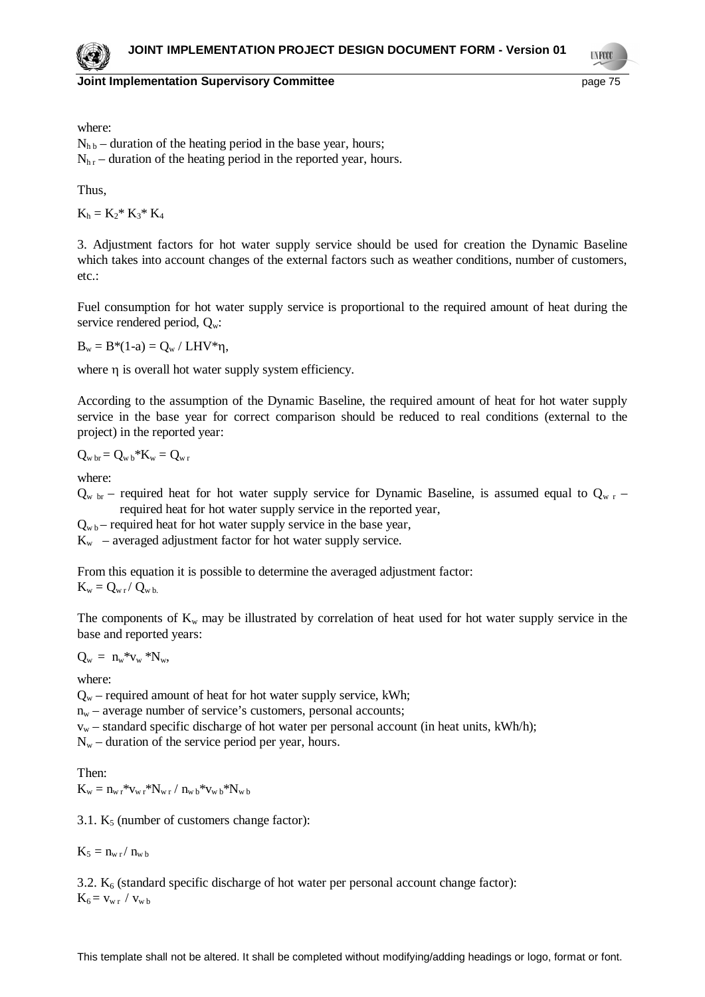**UNFOCO** 

where:

 $N_{h,b}$  – duration of the heating period in the base year, hours;  $N_{hr}$  – duration of the heating period in the reported year, hours.

Thus,

 $K_h = K_2^* K_3^* K_4$ 

3. Adjustment factors for hot water supply service should be used for creation the Dynamic Baseline which takes into account changes of the external factors such as weather conditions, number of customers, etc.:

Fuel consumption for hot water supply service is proportional to the required amount of heat during the service rendered period,  $Q_w$ :

 $B_w = B*(1-a) = Q_w / LHV*\eta,$ 

where  $\eta$  is overall hot water supply system efficiency.

According to the assumption of the Dynamic Baseline, the required amount of heat for hot water supply service in the base year for correct comparison should be reduced to real conditions (external to the project) in the reported year:

$$
Q_{\rm w\, br} \!= Q_{\rm w\, b} {}^*\!K_w \!= Q_{\rm w\, r}
$$

where:

 $Q_{w \text{ br}}$  – required heat for hot water supply service for Dynamic Baseline, is assumed equal to  $Q_{w \text{ r}}$  – required heat for hot water supply service in the reported year,

 $Q_{\rm w\,b}$  – required heat for hot water supply service in the base year,

 $K_w$  – averaged adjustment factor for hot water supply service.

From this equation it is possible to determine the averaged adjustment factor:

 $K_w = Q_{w r} / Q_{w b}$ 

The components of  $K_w$  may be illustrated by correlation of heat used for hot water supply service in the base and reported years:

 $Q_w = n_w * v_w * N_w$ 

where:

 $Q_w$  – required amount of heat for hot water supply service, kWh;

 $n_w$  – average number of service's customers, personal accounts;

 $v_w$  – standard specific discharge of hot water per personal account (in heat units, kWh/h);

 $N_w$  – duration of the service period per year, hours.

Then:  $K_w = n_{w r} * v_{w r} * N_{w r} / n_{w b} * v_{w b} * N_{w b}$ 

3.1.  $K_5$  (number of customers change factor):

 $K_5 = n_{w r} / n_{w b}$ 

3.2.  $K_6$  (standard specific discharge of hot water per personal account change factor):

 $K_6 = v_{w r} / v_{w b}$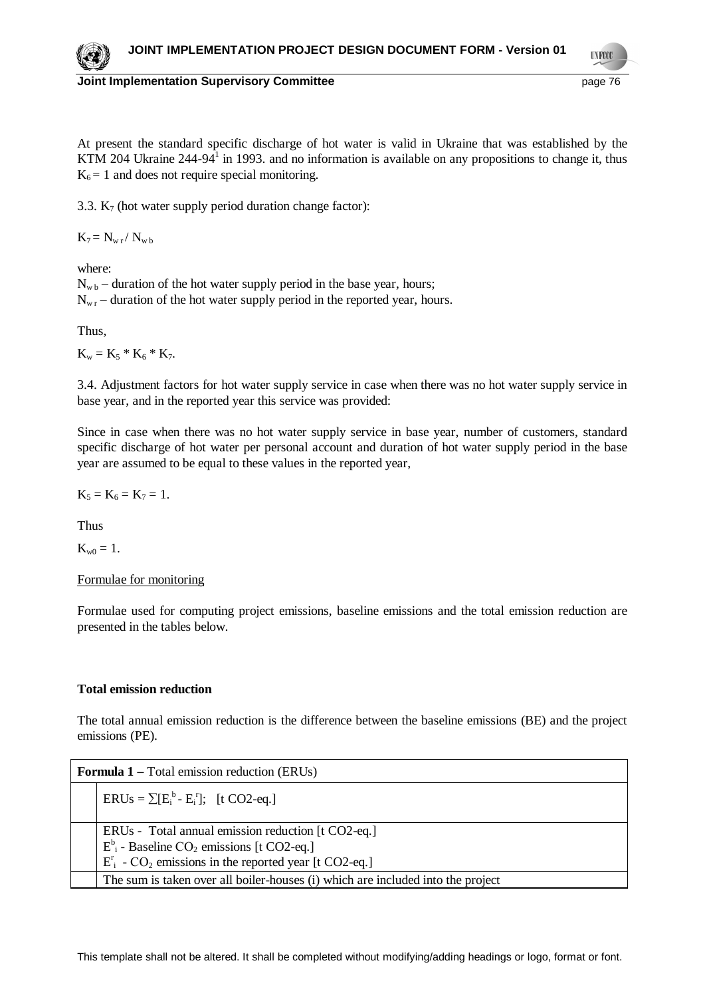**TNFOO** 

### **Joint Implementation Supervisory Committee** page 76

At present the standard specific discharge of hot water is valid in Ukraine that was established by the KTM 204 Ukraine  $244-94<sup>1</sup>$  in 1993. and no information is available on any propositions to change it, thus  $K_6 = 1$  and does not require special monitoring.

3.3.  $K_7$  (hot water supply period duration change factor):

 $K_7 = N_{w r} / N_{w b}$ 

where:

 $N_{\rm wb}$  – duration of the hot water supply period in the base year, hours;  $N_{\rm wr}$  – duration of the hot water supply period in the reported year, hours.

Thus,

 $K_w = K_5 * K_6 * K_7.$ 

3.4. Adjustment factors for hot water supply service in case when there was no hot water supply service in base year, and in the reported year this service was provided:

Since in case when there was no hot water supply service in base year, number of customers, standard specific discharge of hot water per personal account and duration of hot water supply period in the base year are assumed to be equal to these values in the reported year,

 $K_5 = K_6 = K_7 = 1.$ 

Thus

 $K_{w0} = 1.$ 

Formulae for monitoring

Formulae used for computing project emissions, baseline emissions and the total emission reduction are presented in the tables below.

### **Total emission reduction**

The total annual emission reduction is the difference between the baseline emissions (BE) and the project emissions (PE).

| <b>Formula 1 – Total emission reduction (ERUs)</b> |                                                                                                                                                                                          |
|----------------------------------------------------|------------------------------------------------------------------------------------------------------------------------------------------------------------------------------------------|
|                                                    | $ERUs = \sum [E_i^b - E_i^r];$ [t CO2-eq.]                                                                                                                                               |
|                                                    | ERUs - Total annual emission reduction [t CO2-eq.]<br>$E^b$ <sub>i</sub> - Baseline CO <sub>2</sub> emissions [t CO2-eq.]<br>$E_i^r$ - $CO_2$ emissions in the reported year [t CO2-eq.] |
|                                                    | The sum is taken over all boiler-houses (i) which are included into the project                                                                                                          |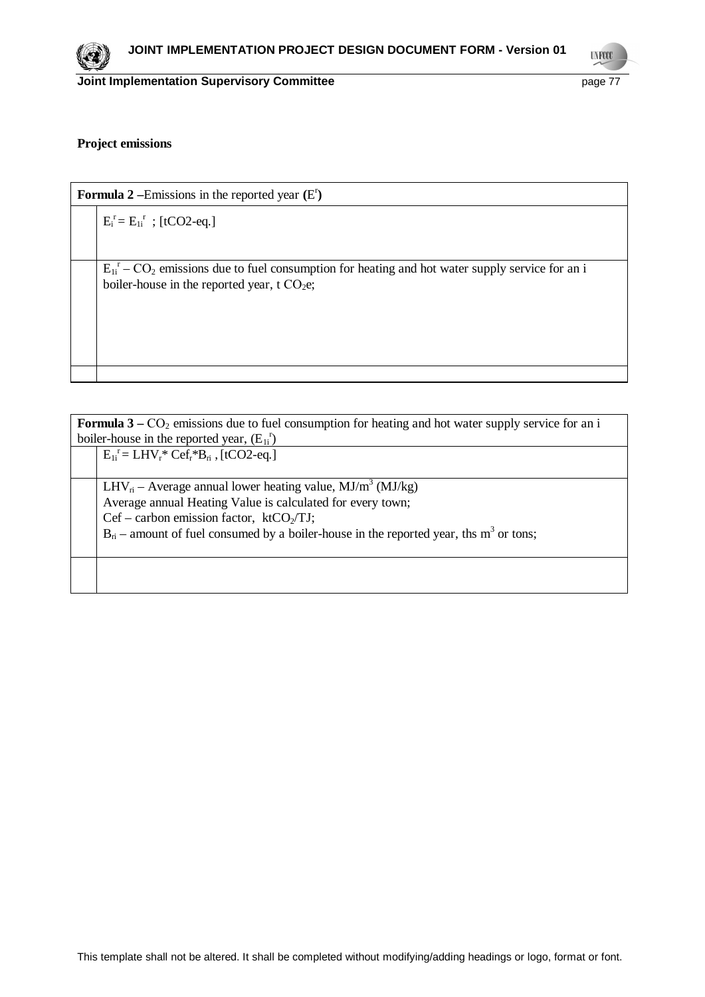

**UNFCCC** 

#### **Project emissions**

| <b>Formula 2</b> – Emissions in the reported year $(E^r)$ |                                                                                                                                                                   |
|-----------------------------------------------------------|-------------------------------------------------------------------------------------------------------------------------------------------------------------------|
|                                                           | $E_i^r = E_{1i}^r$ ; [tCO2-eq.]                                                                                                                                   |
|                                                           |                                                                                                                                                                   |
|                                                           | $E_{1i}^T$ – CO <sub>2</sub> emissions due to fuel consumption for heating and hot water supply service for an i<br>boiler-house in the reported year, t $CO2e$ ; |
|                                                           |                                                                                                                                                                   |

**Formula 3** –  $CO_2$  emissions due to fuel consumption for heating and hot water supply service for an i boiler-house in the reported year,  $(E_{1i}^r)$ 

 $E_{1i}^{\ r} = LHV_r^*Cef_r^*B_{ri}$ , [tCO2-eq.]

 $\vert$  LHV<sub>ri</sub> – Average annual lower heating value, MJ/m<sup>3</sup> (MJ/kg) Average annual Heating Value is calculated for every town;  $Cef - carbon$  emission factor,  $ktCO<sub>2</sub>/TJ$ ;  $B_{ri}$  – amount of fuel consumed by a boiler-house in the reported year, ths m<sup>3</sup> or tons;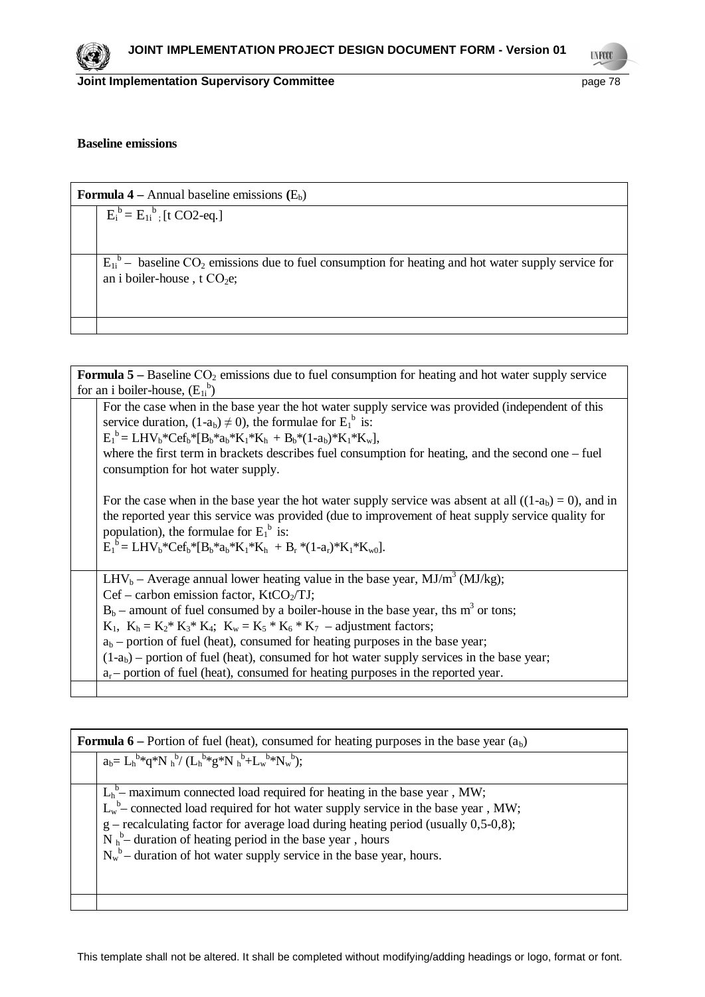**UNFCCC** 

#### **Baseline emissions**

| <b>Formula 4</b> – Annual baseline emissions $(E_b)$                                                                                                          |  |
|---------------------------------------------------------------------------------------------------------------------------------------------------------------|--|
| $E_i^b = E_{1i}^b$ . [t CO2-eq.]                                                                                                                              |  |
| $E_{1i}^{\dagger}$ – baseline CO <sub>2</sub> emissions due to fuel consumption for heating and hot water supply service for<br>an i boiler-house, t $CO2e$ ; |  |
|                                                                                                                                                               |  |

| <b>Formula 5</b> – Baseline $CO_2$ emissions due to fuel consumption for heating and hot water supply service                                                                                                                                                                                                                        |  |
|--------------------------------------------------------------------------------------------------------------------------------------------------------------------------------------------------------------------------------------------------------------------------------------------------------------------------------------|--|
| for an i boiler-house, $(E_{1i}^b)$                                                                                                                                                                                                                                                                                                  |  |
| For the case when in the base year the hot water supply service was provided (independent of this<br>service duration, $(1-a_b) \neq 0$ ), the formulae for $E_1^b$ is:<br>$E_1^b = LHV_b*Cef_b* [B_b*a_b*K_1*K_h + B_b*(1-a_b)*K_1*K_w],$                                                                                           |  |
| where the first term in brackets describes fuel consumption for heating, and the second one $-$ fuel<br>consumption for hot water supply.                                                                                                                                                                                            |  |
| For the case when in the base year the hot water supply service was absent at all $((1-ab) = 0)$ , and in<br>the reported year this service was provided (due to improvement of heat supply service quality for<br>population), the formulae for $E_1^b$ is:<br>$E_1^b = LHV_b*Cef_b* [B_b* a_b*K_1*K_b + B_r* (1-a_r)*K_1*K_{w0}].$ |  |
| $LHV_b$ – Average annual lower heating value in the base year, MJ/m <sup>3</sup> (MJ/kg);                                                                                                                                                                                                                                            |  |
| $Cef$ – carbon emission factor, $KtCO2/TJ$ ;                                                                                                                                                                                                                                                                                         |  |
| $B_b$ – amount of fuel consumed by a boiler-house in the base year, ths m <sup>3</sup> or tons;                                                                                                                                                                                                                                      |  |
| $K_1$ , $K_h = K_2^* K_3^* K_4$ ; $K_w = K_5^* K_6^* K_7$ – adjustment factors;                                                                                                                                                                                                                                                      |  |
| $a_b$ – portion of fuel (heat), consumed for heating purposes in the base year;                                                                                                                                                                                                                                                      |  |
| $(1-ab)$ – portion of fuel (heat), consumed for hot water supply services in the base year;                                                                                                                                                                                                                                          |  |
| $a_r$ portion of fuel (heat), consumed for heating purposes in the reported year.                                                                                                                                                                                                                                                    |  |
|                                                                                                                                                                                                                                                                                                                                      |  |

| <b>Formula 6</b> – Portion of fuel (heat), consumed for heating purposes in the base year $(ab)$ |                                                                                                                                                                                                                                                                                                                                                                                                    |
|--------------------------------------------------------------------------------------------------|----------------------------------------------------------------------------------------------------------------------------------------------------------------------------------------------------------------------------------------------------------------------------------------------------------------------------------------------------------------------------------------------------|
|                                                                                                  | $a_b = L_h^{b*} q^* N_h^{b} / (L_h^{b*} g^* N_h^{b} + L_w^{b*} N_w^{b}).$                                                                                                                                                                                                                                                                                                                          |
|                                                                                                  | $L_h^b$ maximum connected load required for heating in the base year, MW;<br>$L_w^b$ connected load required for hot water supply service in the base year, MW;<br>$g$ – recalculating factor for average load during heating period (usually 0,5-0,8);<br>$N_h^b$ – duration of heating period in the base year, hours<br>$N_w^b$ – duration of hot water supply service in the base year, hours. |
|                                                                                                  |                                                                                                                                                                                                                                                                                                                                                                                                    |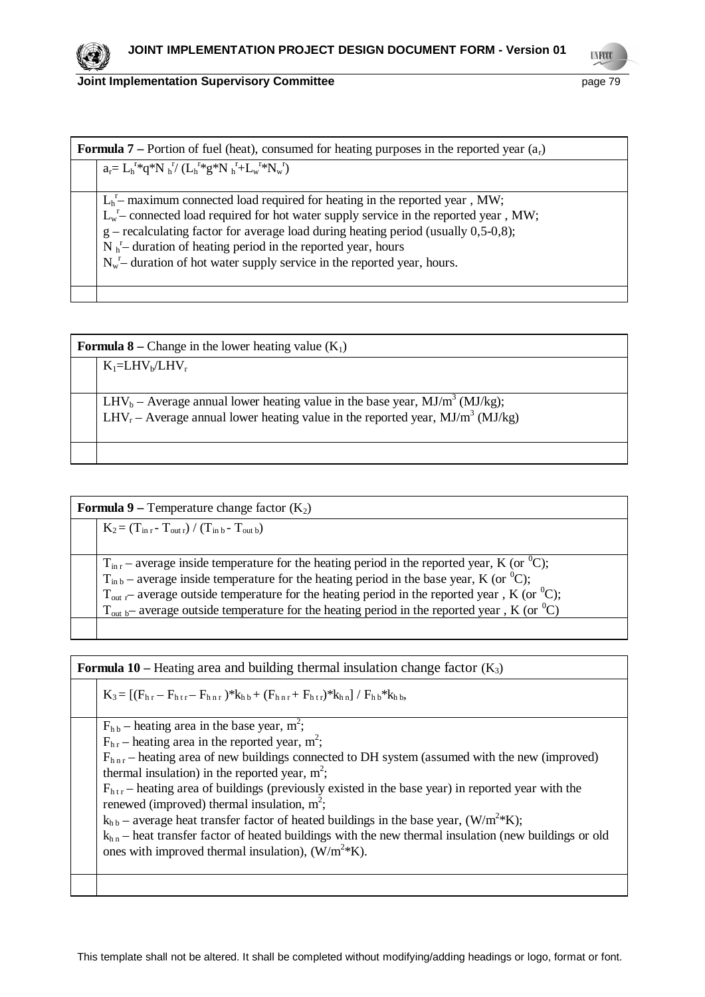

| <b>Formula 7</b> – Portion of fuel (heat), consumed for heating purposes in the reported year $(a_r)$ |                                                                                                                                                                                                                                                                                                                                                                                                              |
|-------------------------------------------------------------------------------------------------------|--------------------------------------------------------------------------------------------------------------------------------------------------------------------------------------------------------------------------------------------------------------------------------------------------------------------------------------------------------------------------------------------------------------|
|                                                                                                       | $a_r = L_h^{r*} q^* N_h^{r} / (L_h^{r*} g^* N_h^{r} + L_w^{r*} N_w^{r})$                                                                                                                                                                                                                                                                                                                                     |
|                                                                                                       | $Lbr$ maximum connected load required for heating in the reported year, MW;<br>$L_w^r$ connected load required for hot water supply service in the reported year, MW;<br>$g$ – recalculating factor for average load during heating period (usually 0,5-0,8);<br>$N_h^r$ duration of heating period in the reported year, hours<br>$N_w^r$ duration of hot water supply service in the reported year, hours. |
|                                                                                                       |                                                                                                                                                                                                                                                                                                                                                                                                              |

| <b>Formula 8</b> – Change in the lower heating value $(K_1)$                              |  |
|-------------------------------------------------------------------------------------------|--|
| $K_1=LHV_b/LHV_r$                                                                         |  |
|                                                                                           |  |
| $LHV_b$ – Average annual lower heating value in the base year, MJ/m <sup>3</sup> (MJ/kg); |  |
| $LHV_r - Average$ annual lower heating value in the reported year, $MJ/m^3$ ( $MJ/kg$ )   |  |
|                                                                                           |  |
|                                                                                           |  |

| <b>Formula 9</b> – Temperature change factor $(K_2)$ |                                                                                                                     |
|------------------------------------------------------|---------------------------------------------------------------------------------------------------------------------|
|                                                      | $K_2 = (T_{\text{in }r} - T_{\text{out }r}) / (T_{\text{in }b} - T_{\text{out }b})$                                 |
|                                                      |                                                                                                                     |
|                                                      | $T_{\text{in r}}$ – average inside temperature for the heating period in the reported year, K (or <sup>0</sup> C);  |
|                                                      | $T_{\text{in }b}$ – average inside temperature for the heating period in the base year, K (or <sup>0</sup> C);      |
|                                                      | $T_{\text{out }r}$ average outside temperature for the heating period in the reported year, K (or <sup>0</sup> C);  |
|                                                      | $T_{\text{out b}}$ – average outside temperature for the heating period in the reported year, K (or <sup>0</sup> C) |
|                                                      |                                                                                                                     |

| <b>Formula 10</b> – Heating area and building thermal insulation change factor $(K_3)$                                                                                                                                                                                                                                                                                                                                                                                                                                                                                                                                                                                                                                                   |  |
|------------------------------------------------------------------------------------------------------------------------------------------------------------------------------------------------------------------------------------------------------------------------------------------------------------------------------------------------------------------------------------------------------------------------------------------------------------------------------------------------------------------------------------------------------------------------------------------------------------------------------------------------------------------------------------------------------------------------------------------|--|
| $K_3 = [(F_{hr} - F_{hrr} - F_{hrr})^*k_{hh} + (F_{hrr} + F_{hrr})^*k_{hn}] / F_{hh}^*k_{hh}$                                                                                                                                                                                                                                                                                                                                                                                                                                                                                                                                                                                                                                            |  |
| $F_{h,b}$ – heating area in the base year, m <sup>2</sup> ;<br>$F_{hr}$ – heating area in the reported year, m <sup>2</sup> ;<br>$F_{\text{hnr}}$ – heating area of new buildings connected to DH system (assumed with the new (improved)<br>thermal insulation) in the reported year, $m^2$ ;<br>$F_{htr}$ – heating area of buildings (previously existed in the base year) in reported year with the<br>renewed (improved) thermal insulation, $m^2$ ;<br>$k_{h b}$ – average heat transfer factor of heated buildings in the base year, (W/m <sup>2</sup> *K);<br>$k_{h,n}$ – heat transfer factor of heated buildings with the new thermal insulation (new buildings or old<br>ones with improved thermal insulation), $(W/m2*K)$ . |  |
|                                                                                                                                                                                                                                                                                                                                                                                                                                                                                                                                                                                                                                                                                                                                          |  |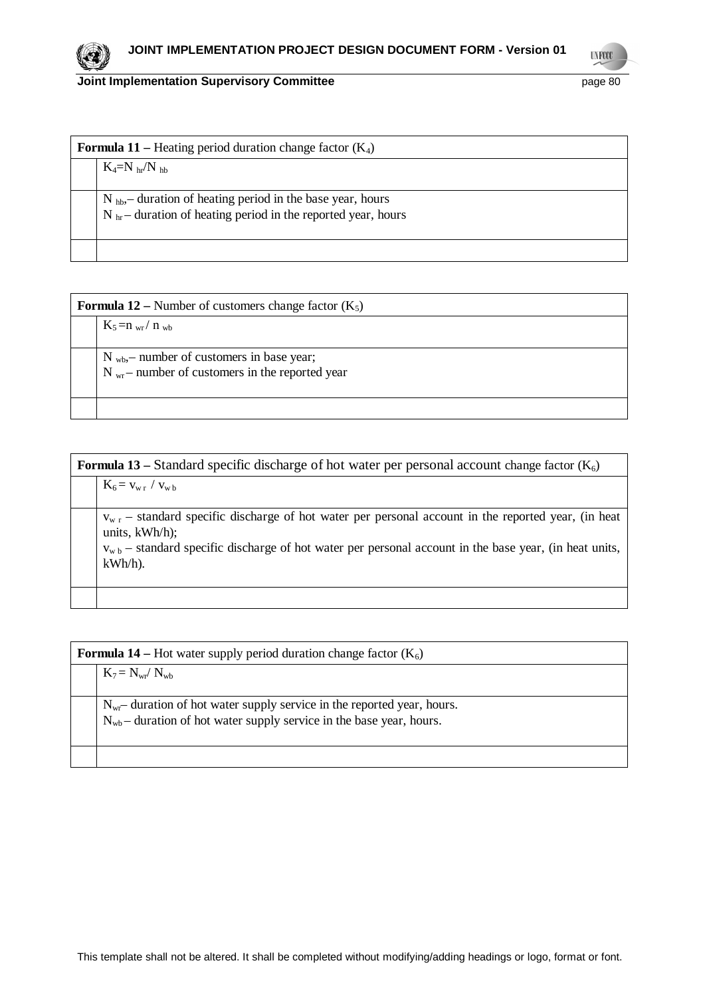

| <b>Formula 11</b> – Heating period duration change factor $(K_4)$ |  |
|-------------------------------------------------------------------|--|
| $K_4=N$ hr/N hb                                                   |  |
|                                                                   |  |
| $N_{hb}$ duration of heating period in the base year, hours       |  |
| $N_{hr}$ – duration of heating period in the reported year, hours |  |
|                                                                   |  |
|                                                                   |  |
|                                                                   |  |

| <b>Formula 12</b> – Number of customers change factor $(K_5)$ |                                                                                                         |
|---------------------------------------------------------------|---------------------------------------------------------------------------------------------------------|
|                                                               | $K_5=n_{wr}/n_{wb}$                                                                                     |
|                                                               | $N_{wb}$ , number of customers in base year;<br>$N_{\rm wr}$ – number of customers in the reported year |
|                                                               |                                                                                                         |

| <b>Formula 13</b> – Standard specific discharge of hot water per personal account change factor $(K_6)$ |                                                                                                                                                                                                                                                            |
|---------------------------------------------------------------------------------------------------------|------------------------------------------------------------------------------------------------------------------------------------------------------------------------------------------------------------------------------------------------------------|
|                                                                                                         | $K_6 = v_{w r} / v_{w b}$                                                                                                                                                                                                                                  |
|                                                                                                         | $v_{w,r}$ – standard specific discharge of hot water per personal account in the reported year, (in heat<br>units, $kWh/h$ ;<br>$v_{w, b}$ – standard specific discharge of hot water per personal account in the base year, (in heat units,<br>$kWh/h$ ). |
|                                                                                                         |                                                                                                                                                                                                                                                            |

| <b>Formula 14</b> – Hot water supply period duration change factor $(K_6)$ |                                                                                                                                                            |  |
|----------------------------------------------------------------------------|------------------------------------------------------------------------------------------------------------------------------------------------------------|--|
|                                                                            | $K_7 = N_{wr} / N_{wb}$                                                                                                                                    |  |
|                                                                            | $N_{\rm wr}$ duration of hot water supply service in the reported year, hours.<br>$N_{wb}$ – duration of hot water supply service in the base year, hours. |  |
|                                                                            |                                                                                                                                                            |  |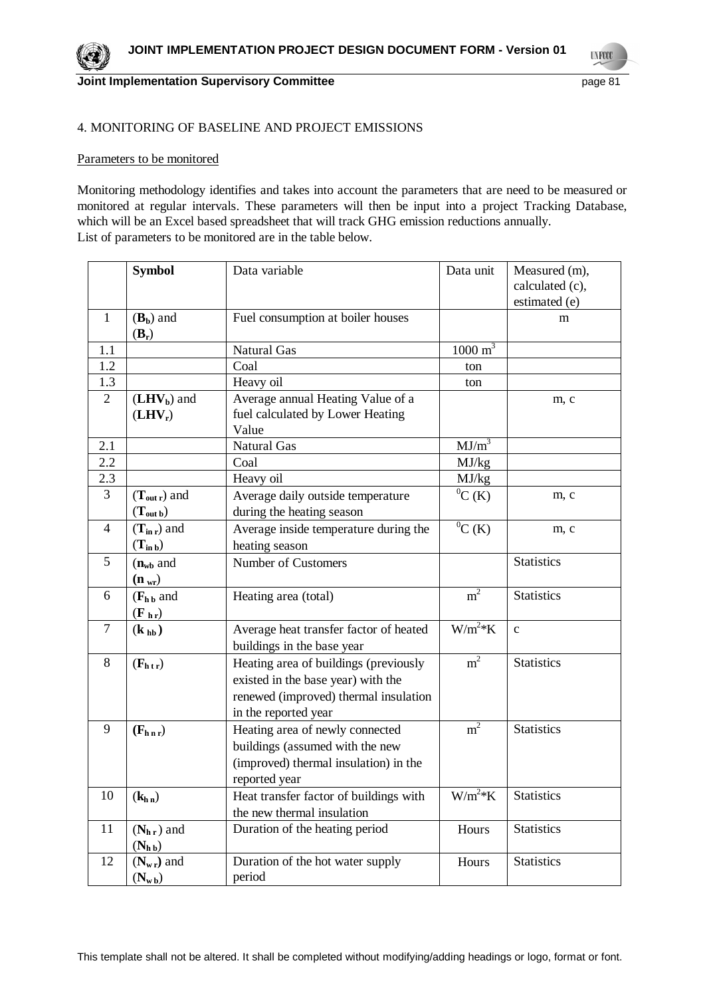**UNFCCC** 

# 4. MONITORING OF BASELINE AND PROJECT EMISSIONS

#### Parameters to be monitored

Monitoring methodology identifies and takes into account the parameters that are need to be measured or monitored at regular intervals. These parameters will then be input into a project Tracking Database, which will be an Excel based spreadsheet that will track GHG emission reductions annually. List of parameters to be monitored are in the table below.

|                | <b>Symbol</b>                         | Data variable                          | Data unit          | Measured (m),     |
|----------------|---------------------------------------|----------------------------------------|--------------------|-------------------|
|                |                                       |                                        |                    | calculated (c),   |
|                |                                       |                                        |                    | estimated (e)     |
| $\mathbf{1}$   | $(\mathbf{B}_b)$ and                  | Fuel consumption at boiler houses      |                    | m                 |
|                | $(B_r)$                               |                                        |                    |                   |
| 1.1            |                                       | <b>Natural Gas</b>                     | $1000 \text{ m}^3$ |                   |
| 1.2            |                                       | Coal                                   | ton                |                   |
| 1.3            |                                       | Heavy oil                              | ton                |                   |
| $\overline{2}$ | $(LHV_b)$ and                         | Average annual Heating Value of a      |                    | m, c              |
|                | $(LHV_r)$                             | fuel calculated by Lower Heating       |                    |                   |
|                |                                       | Value                                  |                    |                   |
| 2.1            |                                       | <b>Natural Gas</b>                     | $MJ/m^3$           |                   |
| 2.2            |                                       | Coal                                   | MJ/kg              |                   |
| 2.3            |                                       | Heavy oil                              | MJ/kg              |                   |
| 3              | $(T_{\text{out }r})$ and              | Average daily outside temperature      | ${}^{0}C(K)$       | m, c              |
|                | $(T_{\text{out }b})$                  | during the heating season              |                    |                   |
| $\overline{4}$ | $(T_{\rm in r})$ and                  | Average inside temperature during the  | ${}^{0}C$ (K)      | m, c              |
|                | $(T_{in b})$                          | heating season                         |                    |                   |
| 5              | $(n_{wb}$ and                         | Number of Customers                    |                    | <b>Statistics</b> |
|                | $(n_{wr})$                            |                                        |                    |                   |
| 6              | $(F_{h\,b}$ and                       | Heating area (total)                   | m <sup>2</sup>     | <b>Statistics</b> |
|                | $(\mathbf{F}_{\mathbf{h}\mathbf{r}})$ |                                        |                    |                   |
| $\overline{7}$ | $(\mathbf{k}_{\mathbf{h}\mathbf{b}})$ | Average heat transfer factor of heated | $W/m^2*K$          | $\mathbf{C}$      |
|                |                                       | buildings in the base year             |                    |                   |
| 8              | $(F_{h\,t\,r})$                       | Heating area of buildings (previously  | m <sup>2</sup>     | <b>Statistics</b> |
|                |                                       | existed in the base year) with the     |                    |                   |
|                |                                       | renewed (improved) thermal insulation  |                    |                   |
|                |                                       | in the reported year                   |                    |                   |
| 9              | $(F_{h n r})$                         | Heating area of newly connected        | m <sup>2</sup>     | <b>Statistics</b> |
|                |                                       | buildings (assumed with the new        |                    |                   |
|                |                                       | (improved) thermal insulation) in the  |                    |                   |
|                |                                       | reported year                          |                    |                   |
| 10             |                                       | Heat transfer factor of buildings with | $W/m^2*K$          | <b>Statistics</b> |
|                | (k <sub>h n</sub> )                   | the new thermal insulation             |                    |                   |
| 11             | $(Nhr)$ and                           | Duration of the heating period         | Hours              | <b>Statistics</b> |
|                | $(N_{h\,b})$                          |                                        |                    |                   |
| 12             | $(N_{\rm w r})$ and                   | Duration of the hot water supply       | Hours              | <b>Statistics</b> |
|                |                                       | period                                 |                    |                   |
|                | $(N_{\rm w\,b})$                      |                                        |                    |                   |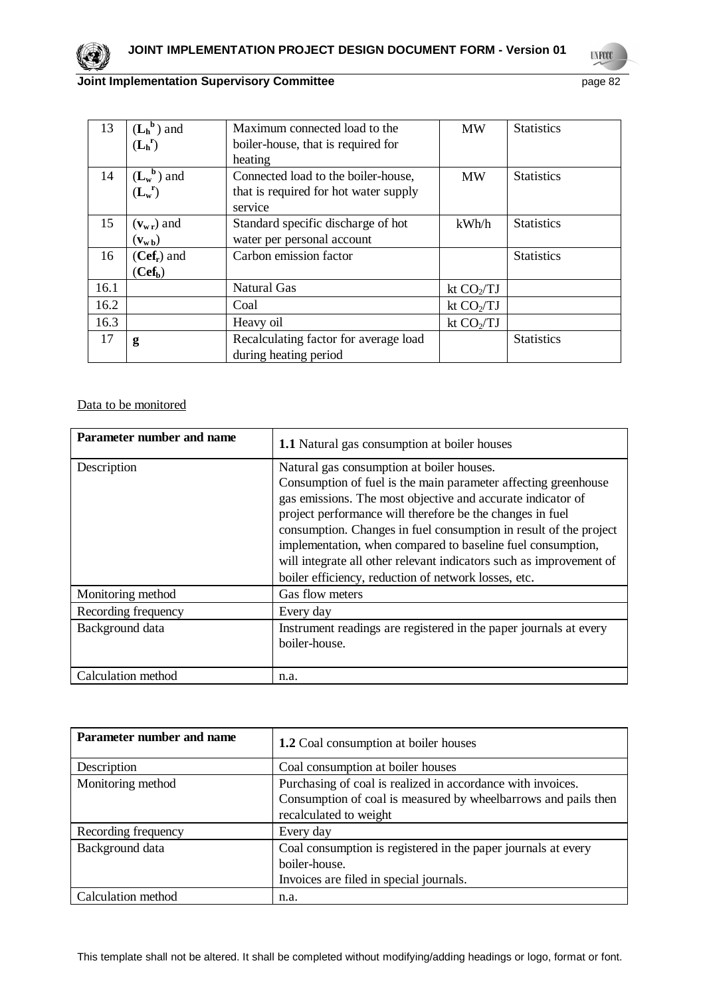

**UNFCCC** 

# **Joint Implementation Supervisory Committee** page 82

| 13   | $(L_h^b)$ and                           | Maximum connected load to the         | <b>MW</b>    | <b>Statistics</b> |
|------|-----------------------------------------|---------------------------------------|--------------|-------------------|
|      | $(L_h^r)$                               | boiler-house, that is required for    |              |                   |
|      |                                         | heating                               |              |                   |
| 14   | $(L_w^b)$ and                           | Connected load to the boiler-house,   | <b>MW</b>    | <b>Statistics</b> |
|      | $(L_w^r)$                               | that is required for hot water supply |              |                   |
|      |                                         | service                               |              |                   |
| 15   | $(v_{wr})$ and                          | Standard specific discharge of hot    | kWh/h        | <b>Statistics</b> |
|      | $(\mathbf{v}_{\mathbf{w}\,\mathbf{b}})$ | water per personal account            |              |                   |
| 16   | $(Cef_r)$ and                           | Carbon emission factor                |              | <b>Statistics</b> |
|      | (Cef <sub>b</sub> )                     |                                       |              |                   |
| 16.1 |                                         | <b>Natural Gas</b>                    | kt $CO_2/TJ$ |                   |
| 16.2 |                                         | Coal                                  | kt $CO_2/TJ$ |                   |
| 16.3 |                                         | Heavy oil                             | kt $CO2/TJ$  |                   |
| 17   | g                                       | Recalculating factor for average load |              | <b>Statistics</b> |
|      |                                         | during heating period                 |              |                   |

# Data to be monitored

| Parameter number and name | <b>1.1</b> Natural gas consumption at boiler houses                                                                                                                                                                                                                                                                                                                                                                                                                                                        |
|---------------------------|------------------------------------------------------------------------------------------------------------------------------------------------------------------------------------------------------------------------------------------------------------------------------------------------------------------------------------------------------------------------------------------------------------------------------------------------------------------------------------------------------------|
| Description               | Natural gas consumption at boiler houses.<br>Consumption of fuel is the main parameter affecting greenhouse<br>gas emissions. The most objective and accurate indicator of<br>project performance will therefore be the changes in fuel<br>consumption. Changes in fuel consumption in result of the project<br>implementation, when compared to baseline fuel consumption,<br>will integrate all other relevant indicators such as improvement of<br>boiler efficiency, reduction of network losses, etc. |
| Monitoring method         | Gas flow meters                                                                                                                                                                                                                                                                                                                                                                                                                                                                                            |
| Recording frequency       | Every day                                                                                                                                                                                                                                                                                                                                                                                                                                                                                                  |
| Background data           | Instrument readings are registered in the paper journals at every<br>boiler-house.                                                                                                                                                                                                                                                                                                                                                                                                                         |
| Calculation method        | n.a.                                                                                                                                                                                                                                                                                                                                                                                                                                                                                                       |

| Parameter number and name | <b>1.2</b> Coal consumption at boiler houses                                                                                                            |
|---------------------------|---------------------------------------------------------------------------------------------------------------------------------------------------------|
| Description               | Coal consumption at boiler houses                                                                                                                       |
| Monitoring method         | Purchasing of coal is realized in accordance with invoices.<br>Consumption of coal is measured by wheelbarrows and pails then<br>recalculated to weight |
| Recording frequency       | Every day                                                                                                                                               |
| Background data           | Coal consumption is registered in the paper journals at every<br>boiler-house.<br>Invoices are filed in special journals.                               |
| Calculation method        | n.a.                                                                                                                                                    |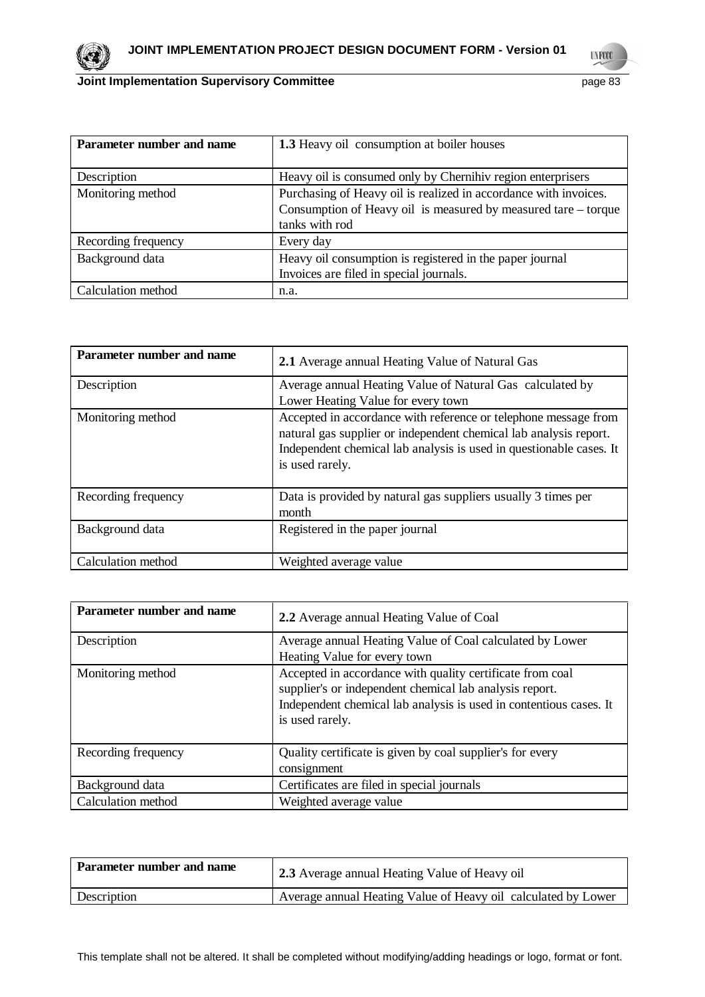

| Parameter number and name | <b>1.3</b> Heavy oil consumption at boiler houses                                                                                  |  |
|---------------------------|------------------------------------------------------------------------------------------------------------------------------------|--|
|                           |                                                                                                                                    |  |
| Description               | Heavy oil is consumed only by Chernihiv region enterprisers                                                                        |  |
| Monitoring method         | Purchasing of Heavy oil is realized in accordance with invoices.<br>Consumption of Heavy oil is measured by measured tare – torque |  |
|                           | tanks with rod                                                                                                                     |  |
| Recording frequency       | Every day                                                                                                                          |  |
| Background data           | Heavy oil consumption is registered in the paper journal                                                                           |  |
|                           | Invoices are filed in special journals.                                                                                            |  |
| Calculation method        | n.a.                                                                                                                               |  |

| Parameter number and name | 2.1 Average annual Heating Value of Natural Gas                                                                                                                                                                                |
|---------------------------|--------------------------------------------------------------------------------------------------------------------------------------------------------------------------------------------------------------------------------|
| Description               | Average annual Heating Value of Natural Gas calculated by<br>Lower Heating Value for every town                                                                                                                                |
| Monitoring method         | Accepted in accordance with reference or telephone message from<br>natural gas supplier or independent chemical lab analysis report.<br>Independent chemical lab analysis is used in questionable cases. It<br>is used rarely. |
| Recording frequency       | Data is provided by natural gas suppliers usually 3 times per<br>month                                                                                                                                                         |
| Background data           | Registered in the paper journal                                                                                                                                                                                                |
| Calculation method        | Weighted average value                                                                                                                                                                                                         |

| Parameter number and name | 2.2 Average annual Heating Value of Coal                                                                                                                                                                      |  |
|---------------------------|---------------------------------------------------------------------------------------------------------------------------------------------------------------------------------------------------------------|--|
| Description               | Average annual Heating Value of Coal calculated by Lower<br>Heating Value for every town                                                                                                                      |  |
| Monitoring method         | Accepted in accordance with quality certificate from coal<br>supplier's or independent chemical lab analysis report.<br>Independent chemical lab analysis is used in contentious cases. It<br>is used rarely. |  |
| Recording frequency       | Quality certificate is given by coal supplier's for every<br>consignment                                                                                                                                      |  |
| Background data           | Certificates are filed in special journals                                                                                                                                                                    |  |
| Calculation method        | Weighted average value                                                                                                                                                                                        |  |

| Parameter number and name | 2.3 Average annual Heating Value of Heavy oil                 |
|---------------------------|---------------------------------------------------------------|
| Description               | Average annual Heating Value of Heavy oil calculated by Lower |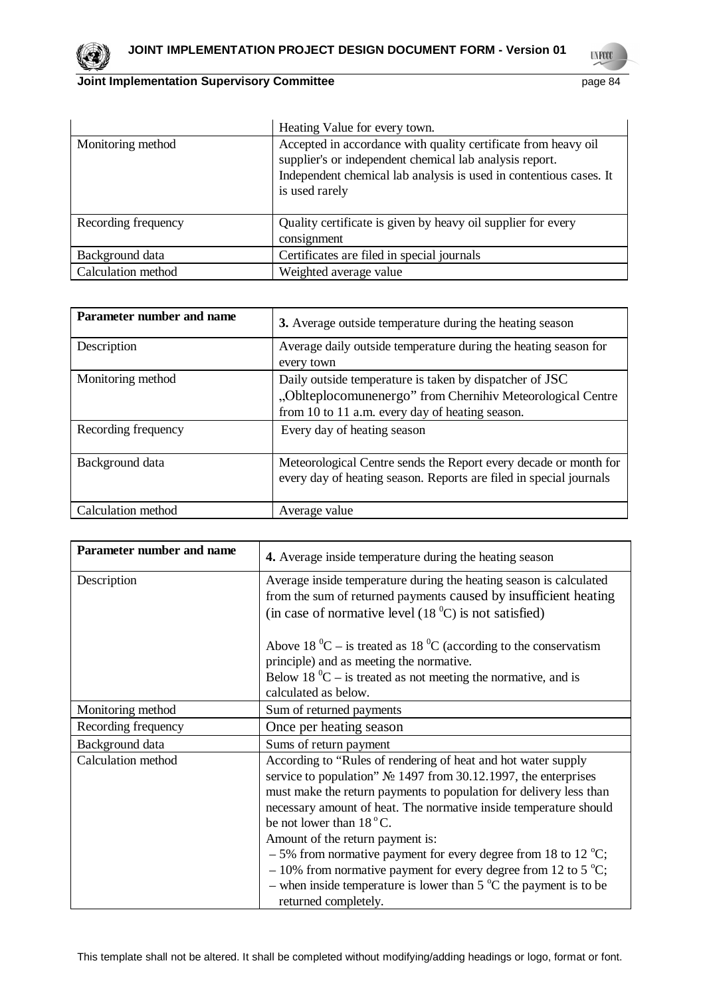

|                     | Heating Value for every town.                                                                                                                                                                                     |
|---------------------|-------------------------------------------------------------------------------------------------------------------------------------------------------------------------------------------------------------------|
| Monitoring method   | Accepted in accordance with quality certificate from heavy oil<br>supplier's or independent chemical lab analysis report.<br>Independent chemical lab analysis is used in contentious cases. It<br>is used rarely |
| Recording frequency | Quality certificate is given by heavy oil supplier for every<br>consignment                                                                                                                                       |
| Background data     | Certificates are filed in special journals                                                                                                                                                                        |
| Calculation method  | Weighted average value                                                                                                                                                                                            |

| Parameter number and name | 3. Average outside temperature during the heating season                                                                                                                 |
|---------------------------|--------------------------------------------------------------------------------------------------------------------------------------------------------------------------|
| Description               | Average daily outside temperature during the heating season for<br>every town                                                                                            |
| Monitoring method         | Daily outside temperature is taken by dispatcher of JSC<br>"Oblteplocomunenergo" from Chernihiv Meteorological Centre<br>from 10 to 11 a.m. every day of heating season. |
| Recording frequency       | Every day of heating season                                                                                                                                              |
| Background data           | Meteorological Centre sends the Report every decade or month for<br>every day of heating season. Reports are filed in special journals                                   |
| Calculation method        | Average value                                                                                                                                                            |

| Parameter number and name | 4. Average inside temperature during the heating season                                                                                                                                                                                                                                                                                                                                                                                                                                                                                                                                                              |
|---------------------------|----------------------------------------------------------------------------------------------------------------------------------------------------------------------------------------------------------------------------------------------------------------------------------------------------------------------------------------------------------------------------------------------------------------------------------------------------------------------------------------------------------------------------------------------------------------------------------------------------------------------|
| Description               | Average inside temperature during the heating season is calculated<br>from the sum of returned payments caused by insufficient heating<br>(in case of normative level $(180C)$ is not satisfied)                                                                                                                                                                                                                                                                                                                                                                                                                     |
|                           | Above 18 $^0C$ – is treated as 18 $^0C$ (according to the conservatism<br>principle) and as meeting the normative.<br>Below 18 $^0C$ – is treated as not meeting the normative, and is<br>calculated as below.                                                                                                                                                                                                                                                                                                                                                                                                       |
| Monitoring method         | Sum of returned payments                                                                                                                                                                                                                                                                                                                                                                                                                                                                                                                                                                                             |
| Recording frequency       | Once per heating season                                                                                                                                                                                                                                                                                                                                                                                                                                                                                                                                                                                              |
| Background data           | Sums of return payment                                                                                                                                                                                                                                                                                                                                                                                                                                                                                                                                                                                               |
| Calculation method        | According to "Rules of rendering of heat and hot water supply<br>service to population" $\mathbb{N}^{\circ}$ 1497 from 30.12.1997, the enterprises<br>must make the return payments to population for delivery less than<br>necessary amount of heat. The normative inside temperature should<br>be not lower than $18^{\circ}$ C.<br>Amount of the return payment is:<br>$-5\%$ from normative payment for every degree from 18 to 12 °C;<br>$-10\%$ from normative payment for every degree from 12 to 5 °C;<br>- when inside temperature is lower than $5^{\circ}$ C the payment is to be<br>returned completely. |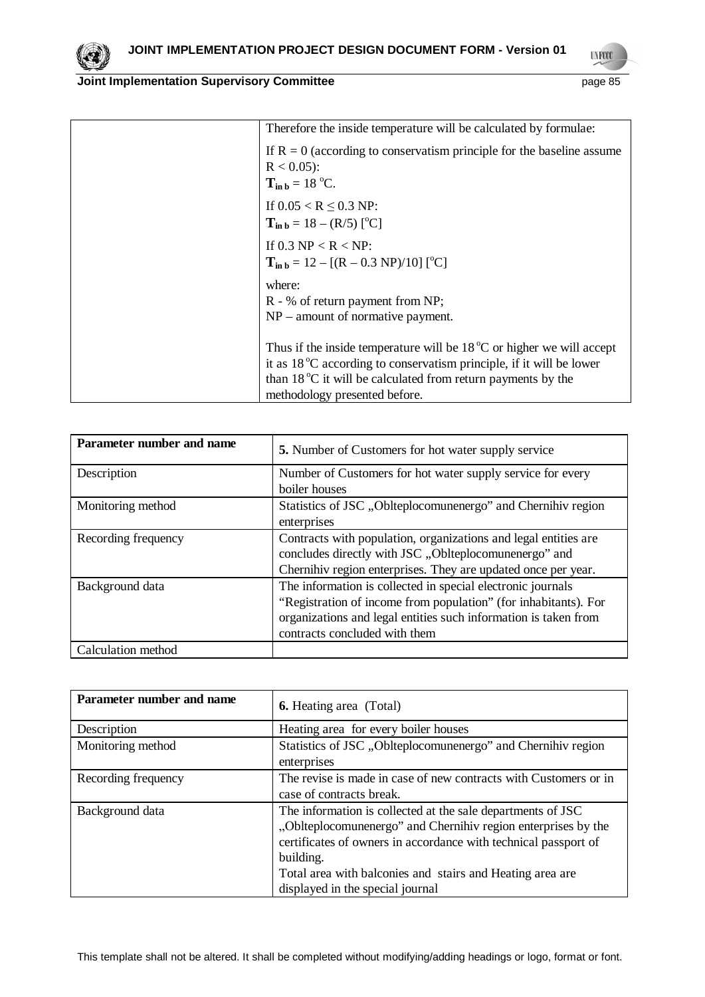| Therefore the inside temperature will be calculated by formulae:              |
|-------------------------------------------------------------------------------|
| If $R = 0$ (according to conservatism principle for the baseline assume       |
| $R < 0.05$ :                                                                  |
| $T_{\text{in }b} = 18 \text{ °C}.$                                            |
| If $0.05 < R \leq 0.3$ NP:                                                    |
| $T_{\text{in }b} = 18 - (R/5)$ [ <sup>o</sup> C]                              |
| If 0.3 NP < R < NP:                                                           |
| $T_{\text{in }b} = 12 - [(R - 0.3 \text{ NP})/10]$ [ <sup>o</sup> C]          |
| where:                                                                        |
| R - % of return payment from NP;                                              |
| $NP$ – amount of normative payment.                                           |
| Thus if the inside temperature will be $18\degree C$ or higher we will accept |
| it as $18\degree$ C according to conservatism principle, if it will be lower  |
| than 18 $^{\circ}$ C it will be calculated from return payments by the        |
| methodology presented before.                                                 |

| Parameter number and name | 5. Number of Customers for hot water supply service                                                                                                                                                                                |
|---------------------------|------------------------------------------------------------------------------------------------------------------------------------------------------------------------------------------------------------------------------------|
| Description               | Number of Customers for hot water supply service for every<br>boiler houses                                                                                                                                                        |
| Monitoring method         | Statistics of JSC, Oblteplocomunenergo" and Chernihiv region<br>enterprises                                                                                                                                                        |
| Recording frequency       | Contracts with population, organizations and legal entities are<br>concludes directly with JSC "Oblteplocomunenergo" and<br>Chernihiv region enterprises. They are updated once per year.                                          |
| Background data           | The information is collected in special electronic journals<br>"Registration of income from population" (for inhabitants). For<br>organizations and legal entities such information is taken from<br>contracts concluded with them |
| Calculation method        |                                                                                                                                                                                                                                    |

| Parameter number and name | <b>6.</b> Heating area (Total)                                                                                                                                                                                                                                                                                |
|---------------------------|---------------------------------------------------------------------------------------------------------------------------------------------------------------------------------------------------------------------------------------------------------------------------------------------------------------|
| Description               | Heating area for every boiler houses                                                                                                                                                                                                                                                                          |
| Monitoring method         | Statistics of JSC, Oblteplocomunenergo" and Chernihiv region<br>enterprises                                                                                                                                                                                                                                   |
| Recording frequency       | The revise is made in case of new contracts with Customers or in<br>case of contracts break.                                                                                                                                                                                                                  |
| Background data           | The information is collected at the sale departments of JSC<br>"Oblteplocomunenergo" and Chernihiv region enterprises by the<br>certificates of owners in accordance with technical passport of<br>building.<br>Total area with balconies and stairs and Heating area are<br>displayed in the special journal |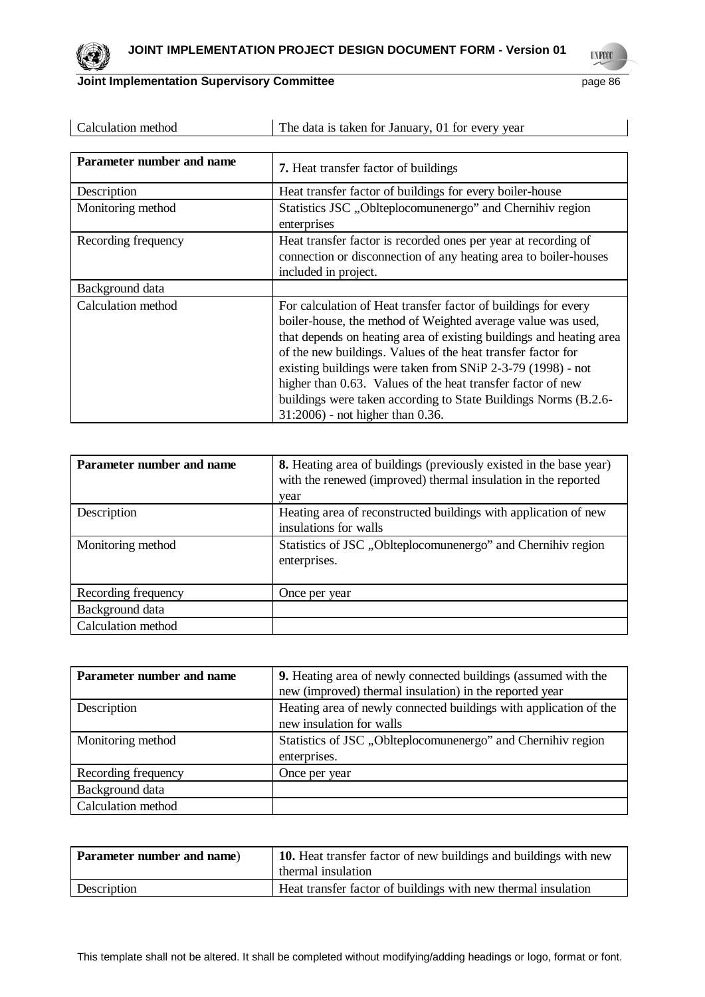| Calculation method        | The data is taken for January, 01 for every year                                                                                                                                                                                                                                                                                                                                                                                                                                                           |
|---------------------------|------------------------------------------------------------------------------------------------------------------------------------------------------------------------------------------------------------------------------------------------------------------------------------------------------------------------------------------------------------------------------------------------------------------------------------------------------------------------------------------------------------|
|                           |                                                                                                                                                                                                                                                                                                                                                                                                                                                                                                            |
| Parameter number and name | <b>7.</b> Heat transfer factor of buildings                                                                                                                                                                                                                                                                                                                                                                                                                                                                |
| Description               | Heat transfer factor of buildings for every boiler-house                                                                                                                                                                                                                                                                                                                                                                                                                                                   |
| Monitoring method         | Statistics JSC, Oblteplocomunenergo" and Chernihiv region<br>enterprises                                                                                                                                                                                                                                                                                                                                                                                                                                   |
| Recording frequency       | Heat transfer factor is recorded ones per year at recording of<br>connection or disconnection of any heating area to boiler-houses<br>included in project.                                                                                                                                                                                                                                                                                                                                                 |
| Background data           |                                                                                                                                                                                                                                                                                                                                                                                                                                                                                                            |
| Calculation method        | For calculation of Heat transfer factor of buildings for every<br>boiler-house, the method of Weighted average value was used,<br>that depends on heating area of existing buildings and heating area<br>of the new buildings. Values of the heat transfer factor for<br>existing buildings were taken from SNiP 2-3-79 (1998) - not<br>higher than 0.63. Values of the heat transfer factor of new<br>buildings were taken according to State Buildings Norms (B.2.6-<br>31:2006) - not higher than 0.36. |

| Parameter number and name | <b>8.</b> Heating area of buildings (previously existed in the base year)<br>with the renewed (improved) thermal insulation in the reported<br>year |
|---------------------------|-----------------------------------------------------------------------------------------------------------------------------------------------------|
| Description               | Heating area of reconstructed buildings with application of new<br>insulations for walls                                                            |
| Monitoring method         | Statistics of JSC, Oblteplocomunenergo" and Chernihiv region<br>enterprises.                                                                        |
| Recording frequency       | Once per year                                                                                                                                       |
| Background data           |                                                                                                                                                     |
| Calculation method        |                                                                                                                                                     |

| Parameter number and name | <b>9.</b> Heating area of newly connected buildings (assumed with the |
|---------------------------|-----------------------------------------------------------------------|
|                           | new (improved) thermal insulation) in the reported year               |
| Description               | Heating area of newly connected buildings with application of the     |
|                           | new insulation for walls                                              |
| Monitoring method         | Statistics of JSC, Oblteplocomunenergo" and Chernihiv region          |
|                           | enterprises.                                                          |
| Recording frequency       | Once per year                                                         |
| Background data           |                                                                       |
| Calculation method        |                                                                       |

| Parameter number and name) | 10. Heat transfer factor of new buildings and buildings with new<br>thermal insulation |
|----------------------------|----------------------------------------------------------------------------------------|
| Description                | Heat transfer factor of buildings with new thermal insulation                          |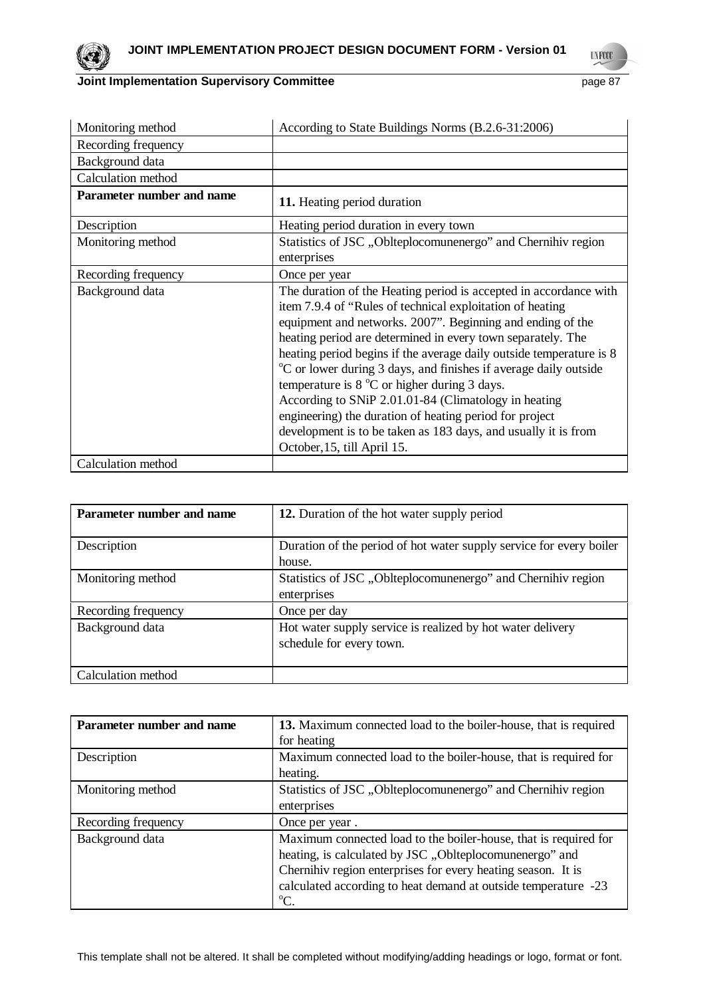

| Monitoring method                | According to State Buildings Norms (B.2.6-31:2006)                                                                                                                                                                                                                                                                                                                                                                                                                                                                                                                                                                                                                                              |
|----------------------------------|-------------------------------------------------------------------------------------------------------------------------------------------------------------------------------------------------------------------------------------------------------------------------------------------------------------------------------------------------------------------------------------------------------------------------------------------------------------------------------------------------------------------------------------------------------------------------------------------------------------------------------------------------------------------------------------------------|
| Recording frequency              |                                                                                                                                                                                                                                                                                                                                                                                                                                                                                                                                                                                                                                                                                                 |
| Background data                  |                                                                                                                                                                                                                                                                                                                                                                                                                                                                                                                                                                                                                                                                                                 |
| Calculation method               |                                                                                                                                                                                                                                                                                                                                                                                                                                                                                                                                                                                                                                                                                                 |
| <b>Parameter number and name</b> | 11. Heating period duration                                                                                                                                                                                                                                                                                                                                                                                                                                                                                                                                                                                                                                                                     |
| Description                      | Heating period duration in every town                                                                                                                                                                                                                                                                                                                                                                                                                                                                                                                                                                                                                                                           |
| Monitoring method                | Statistics of JSC, Oblteplocomunenergo" and Chernihiv region<br>enterprises                                                                                                                                                                                                                                                                                                                                                                                                                                                                                                                                                                                                                     |
| Recording frequency              | Once per year                                                                                                                                                                                                                                                                                                                                                                                                                                                                                                                                                                                                                                                                                   |
| Background data                  | The duration of the Heating period is accepted in accordance with<br>item 7.9.4 of "Rules of technical exploitation of heating<br>equipment and networks. 2007". Beginning and ending of the<br>heating period are determined in every town separately. The<br>heating period begins if the average daily outside temperature is 8<br><sup>o</sup> C or lower during 3 days, and finishes if average daily outside<br>temperature is $8^{\circ}$ C or higher during 3 days.<br>According to SNiP 2.01.01-84 (Climatology in heating<br>engineering) the duration of heating period for project<br>development is to be taken as 183 days, and usually it is from<br>October, 15, till April 15. |
| Calculation method               |                                                                                                                                                                                                                                                                                                                                                                                                                                                                                                                                                                                                                                                                                                 |

| Parameter number and name | 12. Duration of the hot water supply period                                            |
|---------------------------|----------------------------------------------------------------------------------------|
| Description               | Duration of the period of hot water supply service for every boiler<br>house.          |
| Monitoring method         | Statistics of JSC, Oblteplocomunenergo" and Chernihiv region<br>enterprises            |
| Recording frequency       | Once per day                                                                           |
| Background data           | Hot water supply service is realized by hot water delivery<br>schedule for every town. |
| Calculation method        |                                                                                        |

| Parameter number and name | 13. Maximum connected load to the boiler-house, that is required<br>for heating                                                                                                                                                                                              |
|---------------------------|------------------------------------------------------------------------------------------------------------------------------------------------------------------------------------------------------------------------------------------------------------------------------|
| Description               | Maximum connected load to the boiler-house, that is required for<br>heating.                                                                                                                                                                                                 |
| Monitoring method         | Statistics of JSC, Oblteplocomunenergo" and Chernihiv region<br>enterprises                                                                                                                                                                                                  |
| Recording frequency       | Once per year.                                                                                                                                                                                                                                                               |
| Background data           | Maximum connected load to the boiler-house, that is required for<br>heating, is calculated by JSC "Oblteplocomunenergo" and<br>Chernihiv region enterprises for every heating season. It is<br>calculated according to heat demand at outside temperature -23<br>$\rm{^oC}.$ |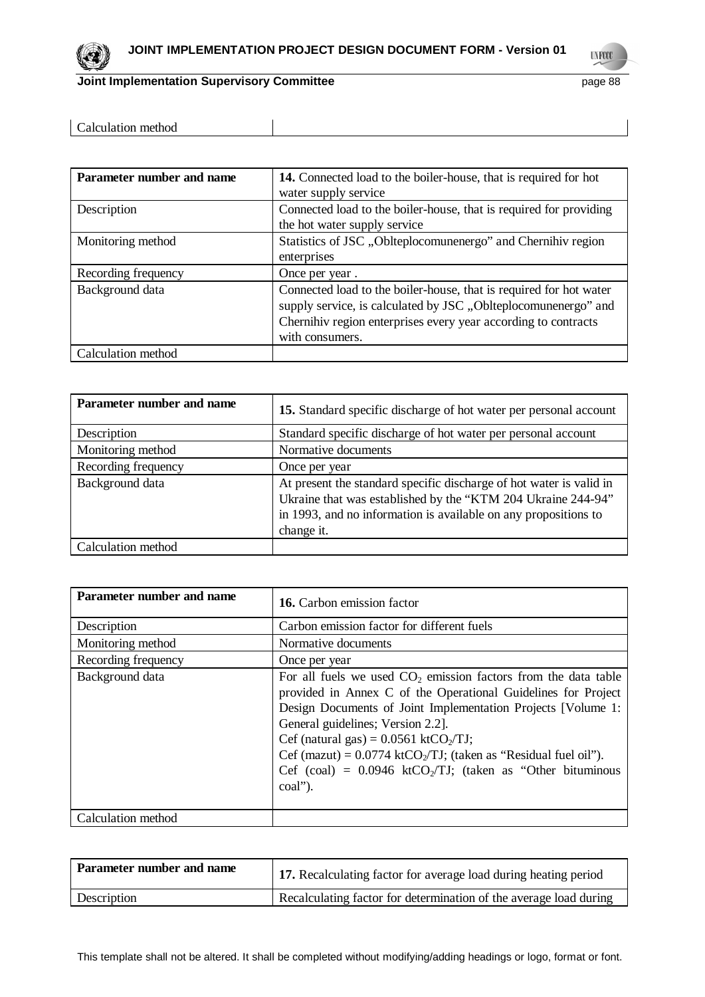

| Parameter number and name | 14. Connected load to the boiler-house, that is required for hot<br>water supply service                                                                                                                                  |
|---------------------------|---------------------------------------------------------------------------------------------------------------------------------------------------------------------------------------------------------------------------|
| Description               | Connected load to the boiler-house, that is required for providing<br>the hot water supply service                                                                                                                        |
| Monitoring method         | Statistics of JSC, Oblteplocomunenergo" and Chernihiv region<br>enterprises                                                                                                                                               |
| Recording frequency       | Once per year.                                                                                                                                                                                                            |
| Background data           | Connected load to the boiler-house, that is required for hot water<br>supply service, is calculated by JSC, Oblteplocomunenergo" and<br>Chernihiv region enterprises every year according to contracts<br>with consumers. |
| Calculation method        |                                                                                                                                                                                                                           |

| Parameter number and name | 15. Standard specific discharge of hot water per personal account                                                                                                                                                    |
|---------------------------|----------------------------------------------------------------------------------------------------------------------------------------------------------------------------------------------------------------------|
| Description               | Standard specific discharge of hot water per personal account                                                                                                                                                        |
| Monitoring method         | Normative documents                                                                                                                                                                                                  |
| Recording frequency       | Once per year                                                                                                                                                                                                        |
| Background data           | At present the standard specific discharge of hot water is valid in<br>Ukraine that was established by the "KTM 204 Ukraine 244-94"<br>in 1993, and no information is available on any propositions to<br>change it. |
| Calculation method        |                                                                                                                                                                                                                      |

| Parameter number and name | <b>16.</b> Carbon emission factor                                                                                                                                                                                                                                                                                                                                                                                                                                      |
|---------------------------|------------------------------------------------------------------------------------------------------------------------------------------------------------------------------------------------------------------------------------------------------------------------------------------------------------------------------------------------------------------------------------------------------------------------------------------------------------------------|
| Description               | Carbon emission factor for different fuels                                                                                                                                                                                                                                                                                                                                                                                                                             |
| Monitoring method         | Normative documents                                                                                                                                                                                                                                                                                                                                                                                                                                                    |
| Recording frequency       | Once per year                                                                                                                                                                                                                                                                                                                                                                                                                                                          |
| Background data           | For all fuels we used $CO2$ emission factors from the data table<br>provided in Annex C of the Operational Guidelines for Project<br>Design Documents of Joint Implementation Projects [Volume 1:<br>General guidelines; Version 2.2].<br>Cef (natural gas) = $0.0561$ ktCO <sub>2</sub> /TJ;<br>Cef (mazut) = $0.0774$ ktCO <sub>2</sub> /TJ; (taken as "Residual fuel oil").<br>Cef (coal) = $0.0946$ ktCO <sub>2</sub> /TJ; (taken as "Other bituminous"<br>coal"). |
| Calculation method        |                                                                                                                                                                                                                                                                                                                                                                                                                                                                        |

| Parameter number and name | 17. Recalculating factor for average load during heating period   |
|---------------------------|-------------------------------------------------------------------|
| Description               | Recalculating factor for determination of the average load during |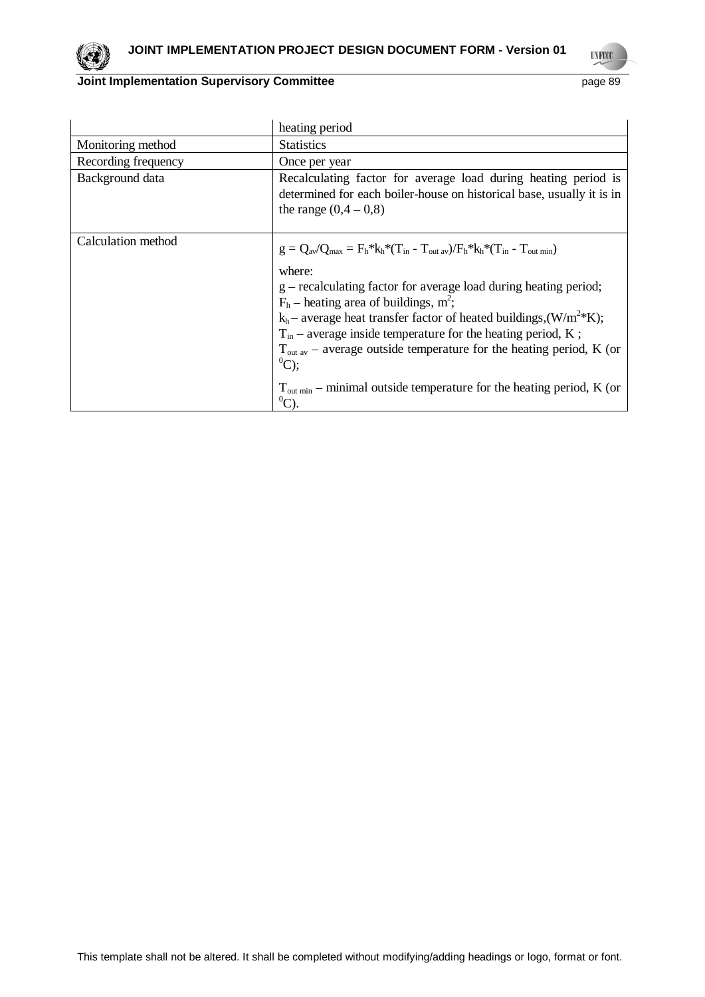

|                     | heating period                                                                                                                                                                                                                                                                                                                                                                                                                                                                                                                                                                    |  |  |
|---------------------|-----------------------------------------------------------------------------------------------------------------------------------------------------------------------------------------------------------------------------------------------------------------------------------------------------------------------------------------------------------------------------------------------------------------------------------------------------------------------------------------------------------------------------------------------------------------------------------|--|--|
| Monitoring method   | <b>Statistics</b>                                                                                                                                                                                                                                                                                                                                                                                                                                                                                                                                                                 |  |  |
| Recording frequency | Once per year                                                                                                                                                                                                                                                                                                                                                                                                                                                                                                                                                                     |  |  |
| Background data     | Recalculating factor for average load during heating period is<br>determined for each boiler-house on historical base, usually it is in<br>the range $(0,4 - 0,8)$                                                                                                                                                                                                                                                                                                                                                                                                                |  |  |
| Calculation method  | $g = Q_{av}/Q_{max} = F_h * k_h * (T_{in} - T_{out av})/F_h * k_h * (T_{in} - T_{out min})$<br>where:<br>g – recalculating factor for average load during heating period;<br>$F_h$ – heating area of buildings, m <sup>2</sup> ;<br>$k_h$ – average heat transfer factor of heated buildings, $(W/m^2*K)$ ;<br>$T_{in}$ – average inside temperature for the heating period, K;<br>$T_{\text{out av}}$ – average outside temperature for the heating period, K (or<br>$^{0}C$ :<br>$T_{\text{out min}}$ – minimal outside temperature for the heating period, K (or<br>$^{0}C$ ). |  |  |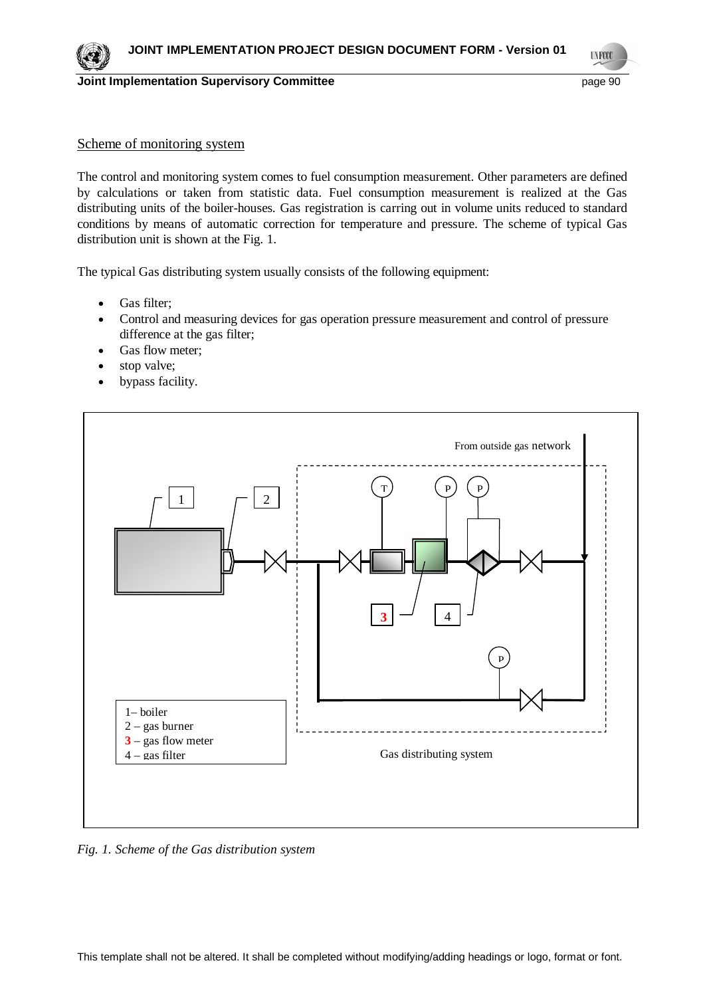

**UNFCCC** 

### Scheme of monitoring system

The control and monitoring system comes to fuel consumption measurement. Other parameters are defined by calculations or taken from statistic data. Fuel consumption measurement is realized at the Gas distributing units of the boiler-houses. Gas registration is carring out in volume units reduced to standard conditions by means of automatic correction for temperature and pressure. The scheme of typical Gas distribution unit is shown at the Fig. 1.

The typical Gas distributing system usually consists of the following equipment:

- $\bullet$  Gas filter:
- Control and measuring devices for gas operation pressure measurement and control of pressure difference at the gas filter;
- Gas flow meter;
- stop valve;
- bypass facility.



*Fig. 1. Scheme of the Gas distribution system*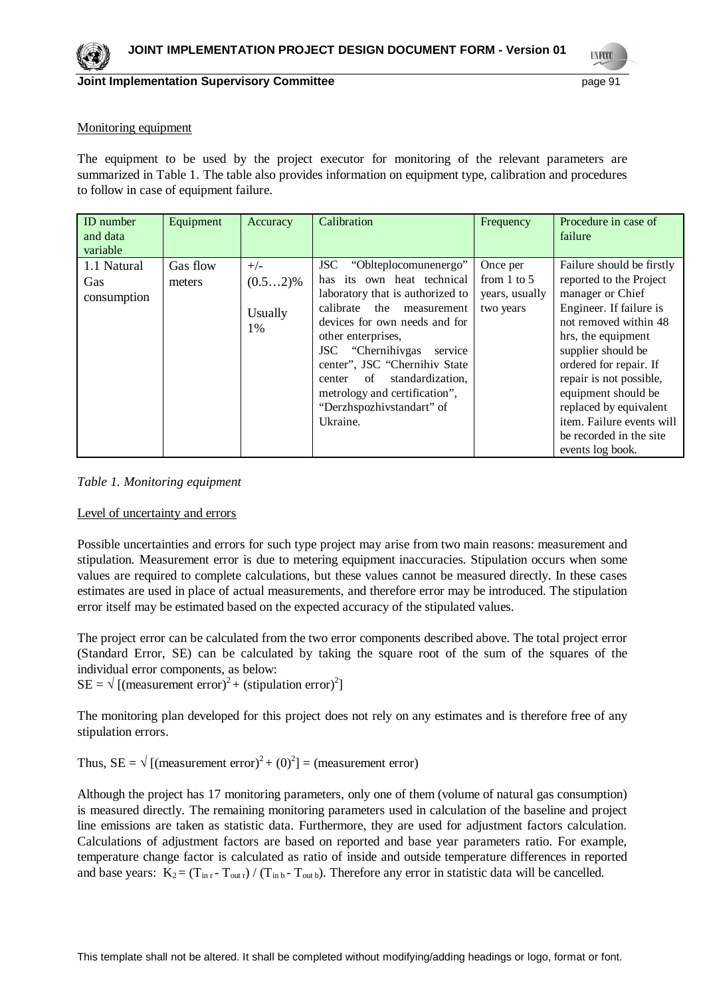**TNFOO** 

#### Monitoring equipment

The equipment to be used by the project executor for monitoring of the relevant parameters are summarized in Table 1. The table also provides information on equipment type, calibration and procedures to follow in case of equipment failure.

| <b>ID</b> number<br>and data<br>variable | Equipment          | Accuracy                             | Calibration                                                                                                                                                                                                                                                                                                                                                                        | Frequency                                                  | Procedure in case of<br>failure                                                                                                                                                                                                                                                                                                                            |
|------------------------------------------|--------------------|--------------------------------------|------------------------------------------------------------------------------------------------------------------------------------------------------------------------------------------------------------------------------------------------------------------------------------------------------------------------------------------------------------------------------------|------------------------------------------------------------|------------------------------------------------------------------------------------------------------------------------------------------------------------------------------------------------------------------------------------------------------------------------------------------------------------------------------------------------------------|
| 1.1 Natural<br>Gas<br>consumption        | Gas flow<br>meters | $+/-$<br>$(0.52)\%$<br>Usually<br>1% | "Oblteplocomunenergo"<br><b>JSC</b><br>its own heat technical<br>has<br>laboratory that is authorized to<br>calibrate<br>the<br>measurement<br>devices for own needs and for<br>other enterprises,<br>JSC "Chernihivgas"<br>service<br>center", JSC "Chernihiv State<br>standardization,<br>of<br>center<br>metrology and certification",<br>"Derzhspozhivstandart" of<br>Ukraine. | Once per<br>from $1$ to $5$<br>years, usually<br>two years | Failure should be firstly<br>reported to the Project<br>manager or Chief<br>Engineer. If failure is<br>not removed within 48<br>hrs, the equipment<br>supplier should be<br>ordered for repair. If<br>repair is not possible,<br>equipment should be<br>replaced by equivalent<br>item. Failure events will<br>be recorded in the site<br>events log book. |



#### Level of uncertainty and errors

Possible uncertainties and errors for such type project may arise from two main reasons: measurement and stipulation. Measurement error is due to metering equipment inaccuracies. Stipulation occurs when some values are required to complete calculations, but these values cannot be measured directly. In these cases estimates are used in place of actual measurements, and therefore error may be introduced. The stipulation error itself may be estimated based on the expected accuracy of the stipulated values.

The project error can be calculated from the two error components described above. The total project error (Standard Error, SE) can be calculated by taking the square root of the sum of the squares of the individual error components, as below:

 $SE = \sqrt{\text{(measurement error)}^2 + \text{(stipulation error)}^2}$ 

The monitoring plan developed for this project does not rely on any estimates and is therefore free of any stipulation errors.

Thus,  $SE = \sqrt{\text{(measurement error)}^2 + (0)^2} = \text{(measurement error)}$ 

Although the project has 17 monitoring parameters, only one of them (volume of natural gas consumption) is measured directly. The remaining monitoring parameters used in calculation of the baseline and project line emissions are taken as statistic data. Furthermore, they are used for adjustment factors calculation. Calculations of adjustment factors are based on reported and base year parameters ratio. For example, temperature change factor is calculated as ratio of inside and outside temperature differences in reported and base years:  $K_2 = (T_{\text{in }r} - T_{\text{out }r}) / (T_{\text{in }b} - T_{\text{out }b})$ . Therefore any error in statistic data will be cancelled.

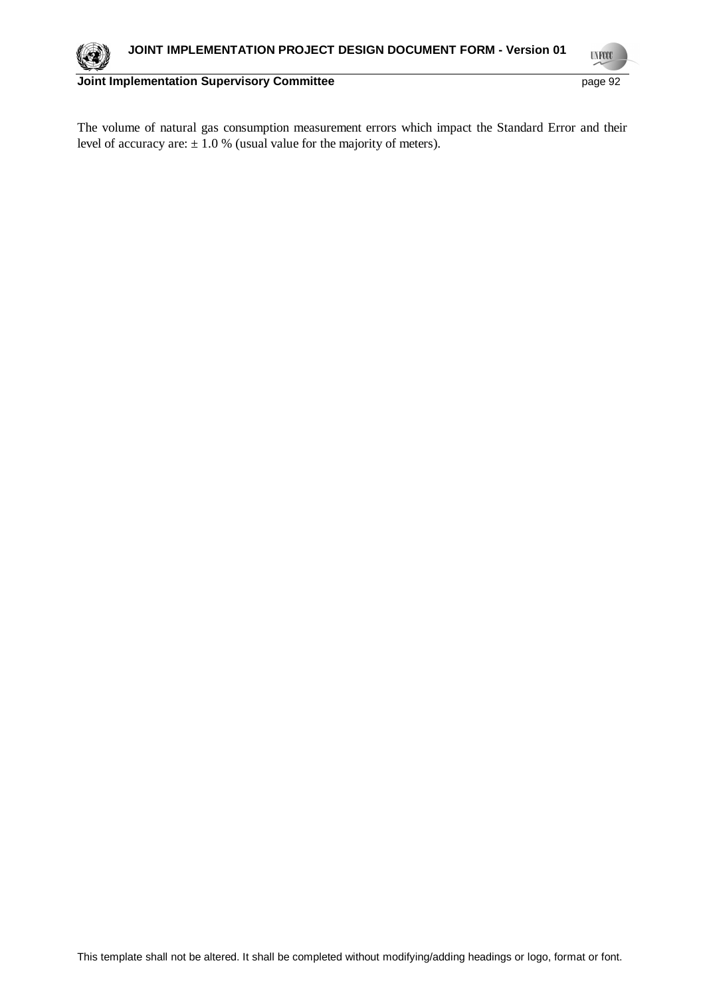

**UNFCCC** 

The volume of natural gas consumption measurement errors which impact the Standard Error and their level of accuracy are:  $\pm$  1.0 % (usual value for the majority of meters).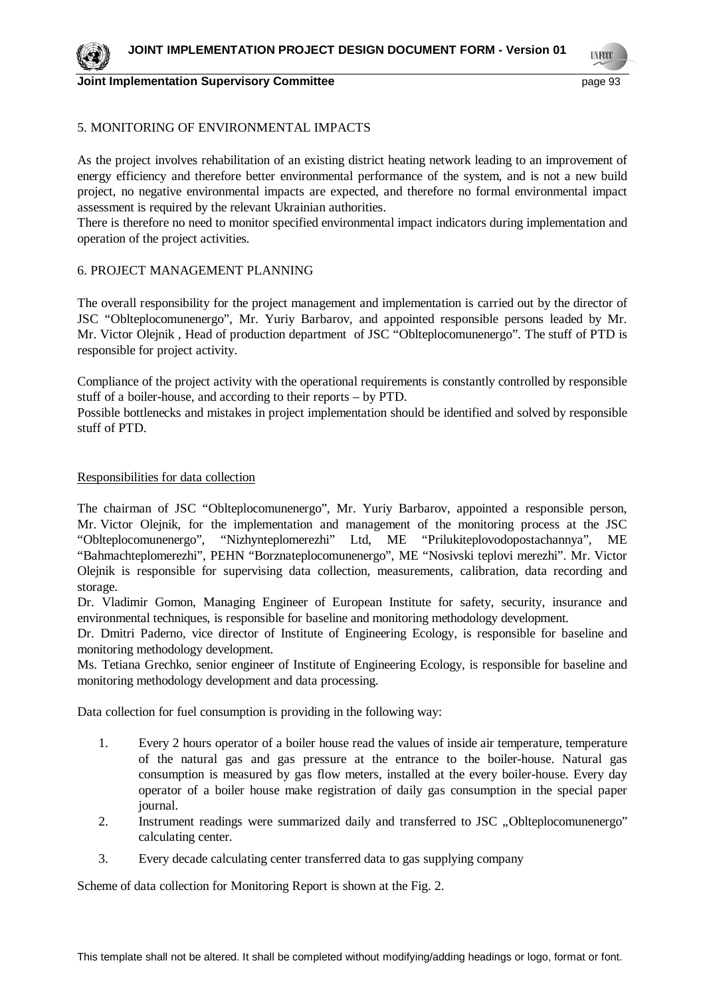

**UNFOCO** 

## 5. MONITORING OF ENVIRONMENTAL IMPACTS

As the project involves rehabilitation of an existing district heating network leading to an improvement of energy efficiency and therefore better environmental performance of the system, and is not a new build project, no negative environmental impacts are expected, and therefore no formal environmental impact assessment is required by the relevant Ukrainian authorities.

There is therefore no need to monitor specified environmental impact indicators during implementation and operation of the project activities.

### 6. PROJECT MANAGEMENT PLANNING

The overall responsibility for the project management and implementation is carried out by the director of JSC "Oblteplocomunenergo", Mr. Yuriy Barbarov, and appointed responsible persons leaded by Mr. Mr. Victor Olejnik , Head of production department of JSC "Oblteplocomunenergo". The stuff of PTD is responsible for project activity.

Compliance of the project activity with the operational requirements is constantly controlled by responsible stuff of a boiler-house, and according to their reports – by PTD.

Possible bottlenecks and mistakes in project implementation should be identified and solved by responsible stuff of PTD.

### Responsibilities for data collection

The chairman of JSC "Oblteplocomunenergo", Mr. Yuriy Barbarov, appointed a responsible person, Mr. Victor Olejnik, for the implementation and management of the monitoring process at the JSC "Oblteplocomunenergo", "Nizhynteplomerezhi" Ltd, ME "Prilukiteplovodopostachannya", ME "Bahmachteplomerezhi", PEHN "Borznateplocomunenergo", ME "Nosivski teplovi merezhi". Mr. Victor Olejnik is responsible for supervising data collection, measurements, calibration, data recording and storage.

Dr. Vladimir Gomon, Managing Engineer of European Institute for safety, security, insurance and environmental techniques, is responsible for baseline and monitoring methodology development.

Dr. Dmitri Paderno, vice director of Institute of Engineering Ecology, is responsible for baseline and monitoring methodology development.

Ms. Tetiana Grechko, senior engineer of Institute of Engineering Ecology, is responsible for baseline and monitoring methodology development and data processing.

Data collection for fuel consumption is providing in the following way:

- 1. Every 2 hours operator of a boiler house read the values of inside air temperature, temperature of the natural gas and gas pressure at the entrance to the boiler-house. Natural gas consumption is measured by gas flow meters, installed at the every boiler-house. Every day operator of a boiler house make registration of daily gas consumption in the special paper journal.
- 2. Instrument readings were summarized daily and transferred to JSC "Oblteplocomunenergo" calculating center.
- 3. Every decade calculating center transferred data to gas supplying company

Scheme of data collection for Monitoring Report is shown at the Fig. 2.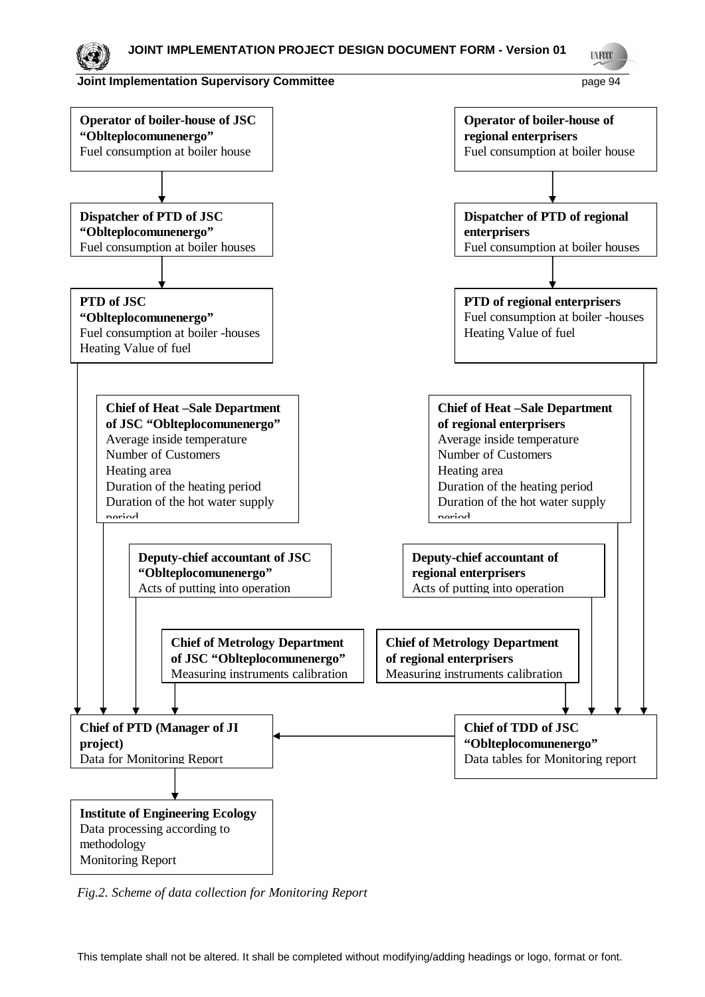

*Fig.2. Scheme of data collection for Monitoring Report*